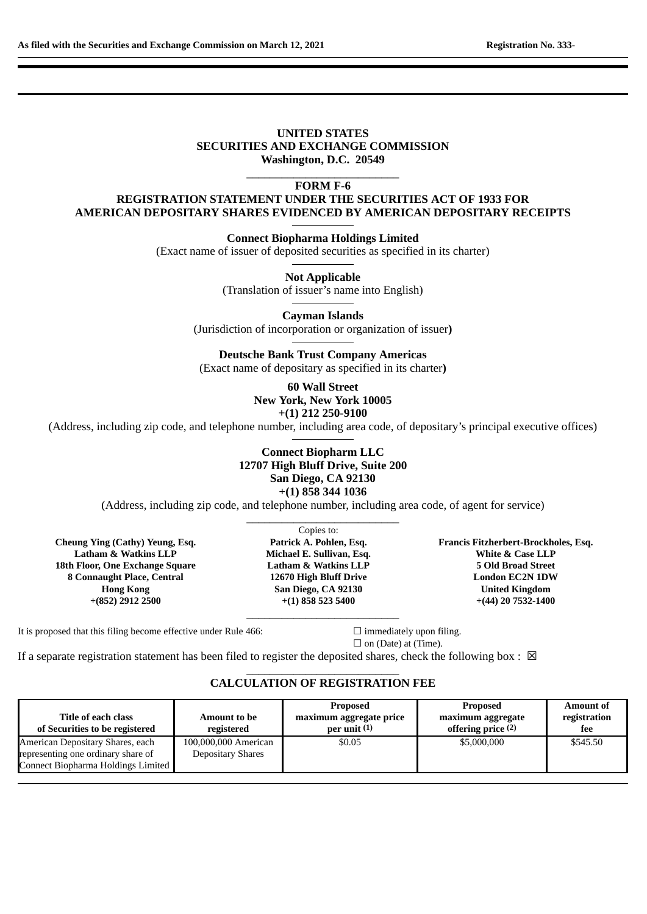### **UNITED STATES SECURITIES AND EXCHANGE COMMISSION Washington, D.C. 20549**

 $\_$ **FORM F-6**

# **REGISTRATION STATEMENT UNDER THE SECURITIES ACT OF 1933 FOR AMERICAN DEPOSITARY SHARES EVIDENCED BY AMERICAN DEPOSITARY RECEIPTS**

**Connect Biopharma Holdings Limited**

(Exact name of issuer of deposited securities as specified in its charter)

**Not Applicable** (Translation of issuer's name into English)

**Cayman Islands** (Jurisdiction of incorporation or organization of issuer**)**

**Deutsche Bank Trust Company Americas**

(Exact name of depositary as specified in its charter**)**

**60 Wall Street New York, New York 10005 +(1) 212 250-9100**

(Address, including zip code, and telephone number, including area code, of depositary's principal executive offices)

## **Connect Biopharm LLC 12707 High Bluff Drive, Suite 200 San Diego, CA 92130 +(1) 858 344 1036**

(Address, including zip code, and telephone number, including area code, of agent for service)  $\_$ 

**Cheung Ying (Cathy) Yeung, Esq. Latham & Watkins LLP 18th Floor, One Exchange Square 8 Connaught Place, Central Hong Kong +(852) 2912 2500**

Copies to: **Patrick A. Pohlen, Esq. Michael E. Sullivan, Esq. Latham & Watkins LLP 12670 High Bluff Drive San Diego, CA 92130 +(1) 858 523 5400**

 $\_$ 

**Francis Fitzherbert-Brockholes, Esq. White & Case LLP 5 Old Broad Street London EC2N 1DW United Kingdom +(44) 20 7532-1400**

It is proposed that this filing become effective under Rule 466:  $□$  immediately upon filing.

 $\Box$  on (Date) at (Time).

If a separate registration statement has been filed to register the deposited shares, check the following box :  $\boxtimes$ 

### $\_$ **CALCULATION OF REGISTRATION FEE**

|                                                       |                            | <b>Proposed</b>                           | <b>Proposed</b>                                    | <b>Amount of</b>    |
|-------------------------------------------------------|----------------------------|-------------------------------------------|----------------------------------------------------|---------------------|
| Title of each class<br>of Securities to be registered | Amount to be<br>registered | maximum aggregate price<br>per unit $(1)$ | maximum aggregate<br>offering price <sup>(2)</sup> | registration<br>fee |
| American Depositary Shares, each                      | 100,000,000 American       | \$0.05                                    | \$5,000,000                                        | \$545.50            |
| representing one ordinary share of                    | <b>Depositary Shares</b>   |                                           |                                                    |                     |
| Connect Biopharma Holdings Limited                    |                            |                                           |                                                    |                     |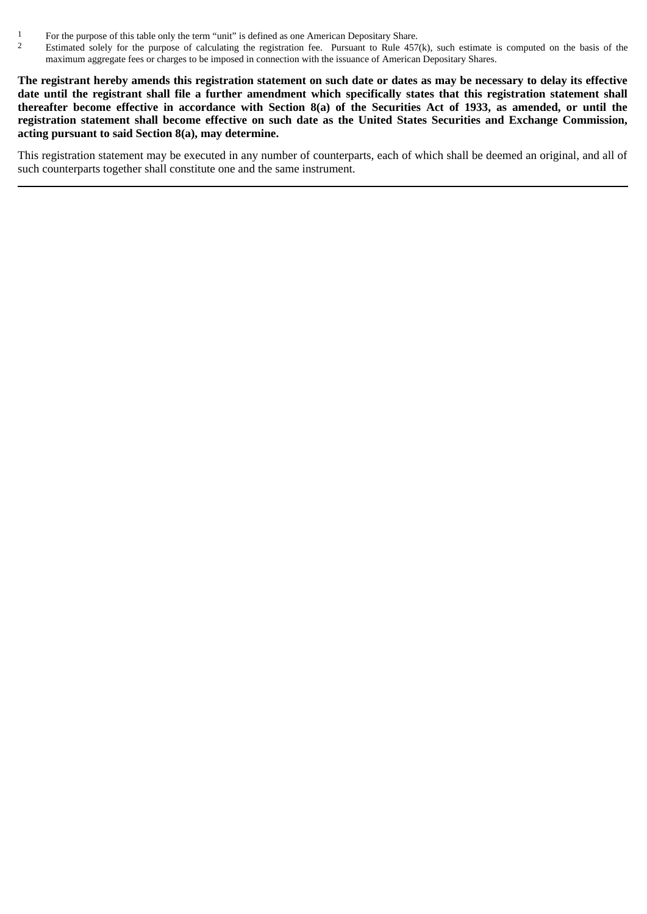- 1 For the purpose of this table only the term "unit" is defined as one American Depositary Share.<br>2 Estimated solely for the purpose of calculating the registration fee Pursuant to Rule 457
- 2 Estimated solely for the purpose of calculating the registration fee. Pursuant to Rule 457(k), such estimate is computed on the basis of the maximum aggregate fees or charges to be imposed in connection with the issuance of American Depositary Shares.

**The registrant hereby amends this registration statement on such date or dates as may be necessary to delay its effective date until the registrant shall file a further amendment which specifically states that this registration statement shall thereafter become effective in accordance with Section 8(a) of the Securities Act of 1933, as amended, or until the registration statement shall become effective on such date as the United States Securities and Exchange Commission, acting pursuant to said Section 8(a), may determine.**

This registration statement may be executed in any number of counterparts, each of which shall be deemed an original, and all of such counterparts together shall constitute one and the same instrument.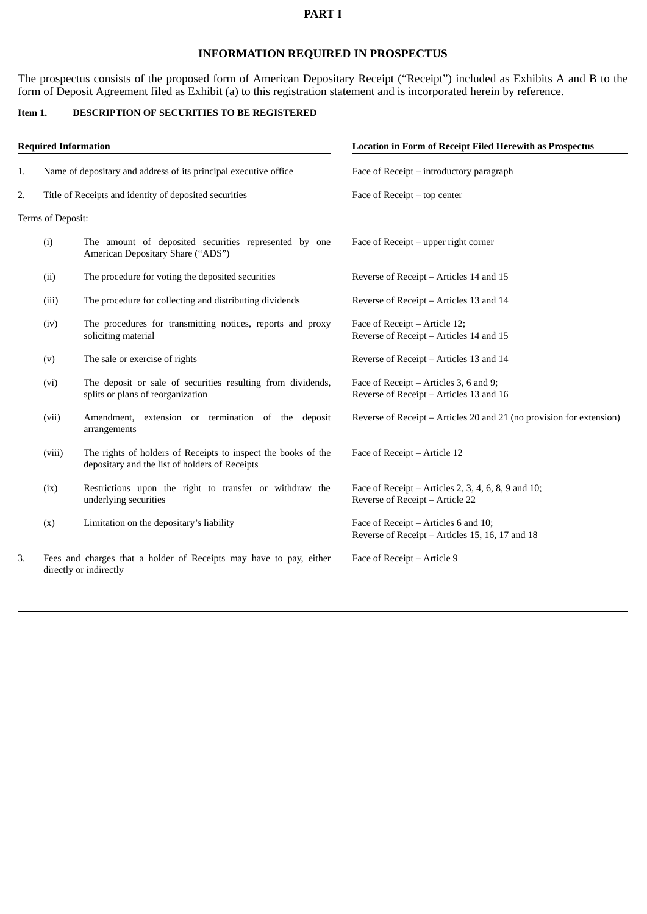### **PART I**

# **INFORMATION REQUIRED IN PROSPECTUS**

The prospectus consists of the proposed form of American Depositary Receipt ("Receipt") included as Exhibits A and B to the form of Deposit Agreement filed as Exhibit (a) to this registration statement and is incorporated herein by reference.

## **Item 1. DESCRIPTION OF SECURITIES TO BE REGISTERED**

| <b>Required Information</b> |                                                                                                                             |                                                                                                                 | <b>Location in Form of Receipt Filed Herewith as Prospectus</b>                         |  |
|-----------------------------|-----------------------------------------------------------------------------------------------------------------------------|-----------------------------------------------------------------------------------------------------------------|-----------------------------------------------------------------------------------------|--|
| 1.                          | Name of depositary and address of its principal executive office                                                            |                                                                                                                 | Face of Receipt - introductory paragraph                                                |  |
| 2.                          | Title of Receipts and identity of deposited securities                                                                      |                                                                                                                 | Face of Receipt – top center                                                            |  |
|                             | Terms of Deposit:                                                                                                           |                                                                                                                 |                                                                                         |  |
|                             | (i)                                                                                                                         | The amount of deposited securities represented by one<br>American Depositary Share ("ADS")                      | Face of Receipt $-$ upper right corner                                                  |  |
|                             | (ii)                                                                                                                        | The procedure for voting the deposited securities                                                               | Reverse of Receipt – Articles 14 and 15                                                 |  |
|                             | (iii)                                                                                                                       | The procedure for collecting and distributing dividends                                                         | Reverse of Receipt – Articles 13 and 14                                                 |  |
|                             | (iv)                                                                                                                        | The procedures for transmitting notices, reports and proxy<br>soliciting material                               | Face of Receipt - Article 12;<br>Reverse of Receipt - Articles 14 and 15                |  |
|                             | (v)                                                                                                                         | The sale or exercise of rights                                                                                  | Reverse of Receipt – Articles 13 and 14                                                 |  |
|                             | (vi)                                                                                                                        | The deposit or sale of securities resulting from dividends,<br>splits or plans of reorganization                | Face of Receipt – Articles 3, 6 and 9;<br>Reverse of Receipt - Articles 13 and 16       |  |
|                             | (vii)                                                                                                                       | Amendment, extension or termination of the deposit<br>arrangements                                              | Reverse of Receipt – Articles 20 and 21 (no provision for extension)                    |  |
|                             | (viii)                                                                                                                      | The rights of holders of Receipts to inspect the books of the<br>depositary and the list of holders of Receipts | Face of Receipt - Article 12                                                            |  |
|                             | (ix)                                                                                                                        | Restrictions upon the right to transfer or withdraw the<br>underlying securities                                | Face of Receipt - Articles 2, 3, 4, 6, 8, 9 and 10;<br>Reverse of Receipt - Article 22  |  |
|                             | (x)                                                                                                                         | Limitation on the depositary's liability                                                                        | Face of Receipt - Articles 6 and 10;<br>Reverse of Receipt - Articles 15, 16, 17 and 18 |  |
| 3.                          | Fees and charges that a holder of Receipts may have to pay, either<br>Face of Receipt - Article 9<br>directly or indirectly |                                                                                                                 |                                                                                         |  |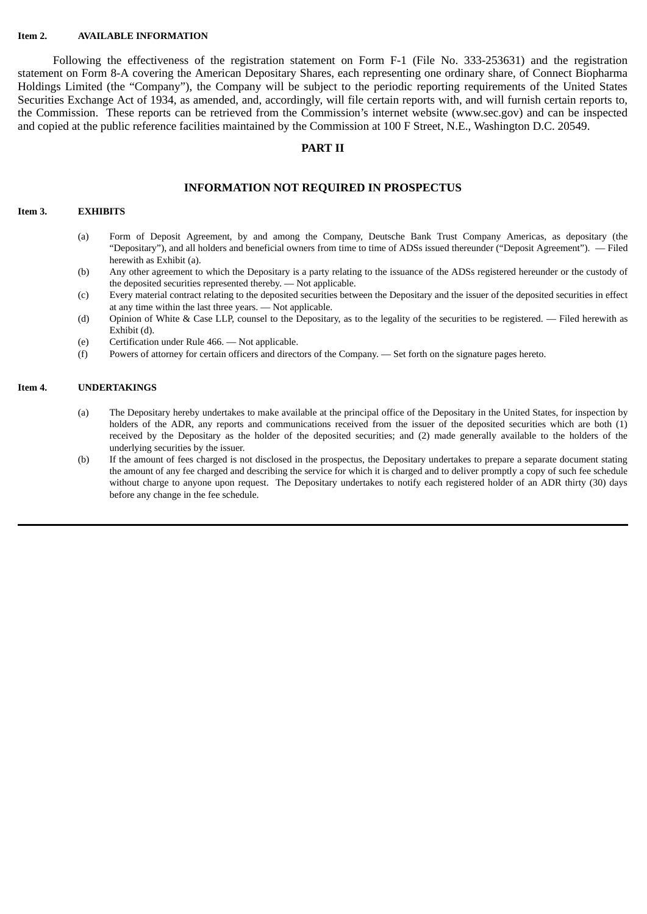#### **Item 2. AVAILABLE INFORMATION**

Following the effectiveness of the registration statement on Form F-1 (File No. 333-253631) and the registration statement on Form 8-A covering the American Depositary Shares, each representing one ordinary share, of Connect Biopharma Holdings Limited (the "Company"), the Company will be subject to the periodic reporting requirements of the United States Securities Exchange Act of 1934, as amended, and, accordingly, will file certain reports with, and will furnish certain reports to, the Commission. These reports can be retrieved from the Commission's internet website (www.sec.gov) and can be inspected and copied at the public reference facilities maintained by the Commission at 100 F Street, N.E., Washington D.C. 20549.

### **PART II**

### **INFORMATION NOT REQUIRED IN PROSPECTUS**

### **Item 3. EXHIBITS**

- (a) Form of Deposit Agreement, by and among the Company, Deutsche Bank Trust Company Americas, as depositary (the "Depositary"), and all holders and beneficial owners from time to time of ADSs issued thereunder ("Deposit Agreement"). — Filed herewith as Exhibit (a).
- (b) Any other agreement to which the Depositary is a party relating to the issuance of the ADSs registered hereunder or the custody of the deposited securities represented thereby. — Not applicable.
- (c) Every material contract relating to the deposited securities between the Depositary and the issuer of the deposited securities in effect at any time within the last three years. — Not applicable.
- (d) Opinion of White & Case LLP, counsel to the Depositary, as to the legality of the securities to be registered. Filed herewith as Exhibit (d).
- (e) Certification under Rule 466. Not applicable.
- (f) Powers of attorney for certain officers and directors of the Company. Set forth on the signature pages hereto.

#### **Item 4. UNDERTAKINGS**

- (a) The Depositary hereby undertakes to make available at the principal office of the Depositary in the United States, for inspection by holders of the ADR, any reports and communications received from the issuer of the deposited securities which are both (1) received by the Depositary as the holder of the deposited securities; and (2) made generally available to the holders of the underlying securities by the issuer.
- (b) If the amount of fees charged is not disclosed in the prospectus, the Depositary undertakes to prepare a separate document stating the amount of any fee charged and describing the service for which it is charged and to deliver promptly a copy of such fee schedule without charge to anyone upon request. The Depositary undertakes to notify each registered holder of an ADR thirty (30) days before any change in the fee schedule.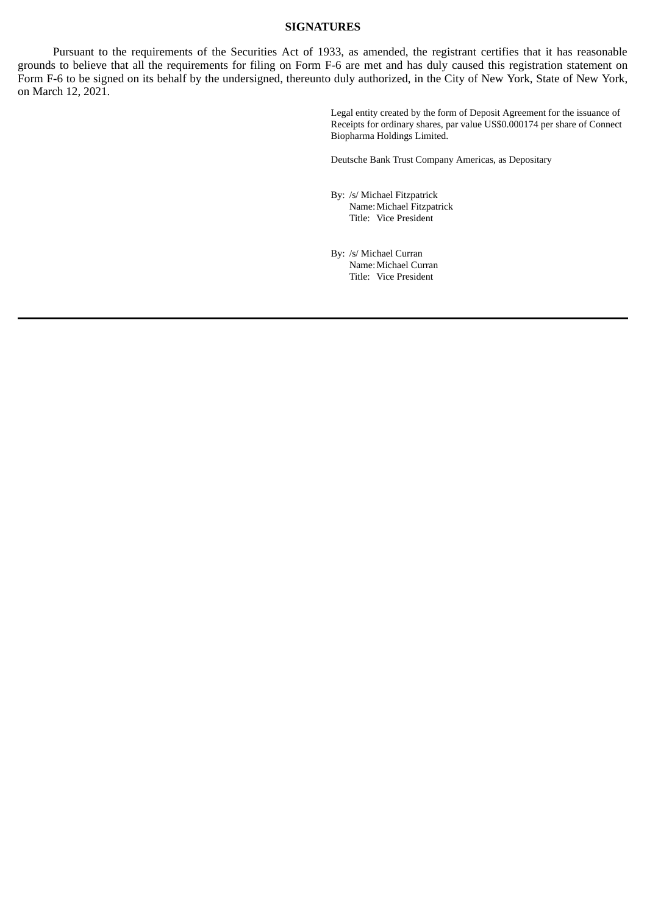### **SIGNATURES**

Pursuant to the requirements of the Securities Act of 1933, as amended, the registrant certifies that it has reasonable grounds to believe that all the requirements for filing on Form F-6 are met and has duly caused this registration statement on Form F-6 to be signed on its behalf by the undersigned, thereunto duly authorized, in the City of New York, State of New York, on March 12, 2021.

> Legal entity created by the form of Deposit Agreement for the issuance of Receipts for ordinary shares, par value US\$0.000174 per share of Connect Biopharma Holdings Limited.

Deutsche Bank Trust Company Americas, as Depositary

- By: /s/ Michael Fitzpatrick Name:Michael Fitzpatrick Title: Vice President
- By: /s/ Michael Curran Name:Michael Curran Title: Vice President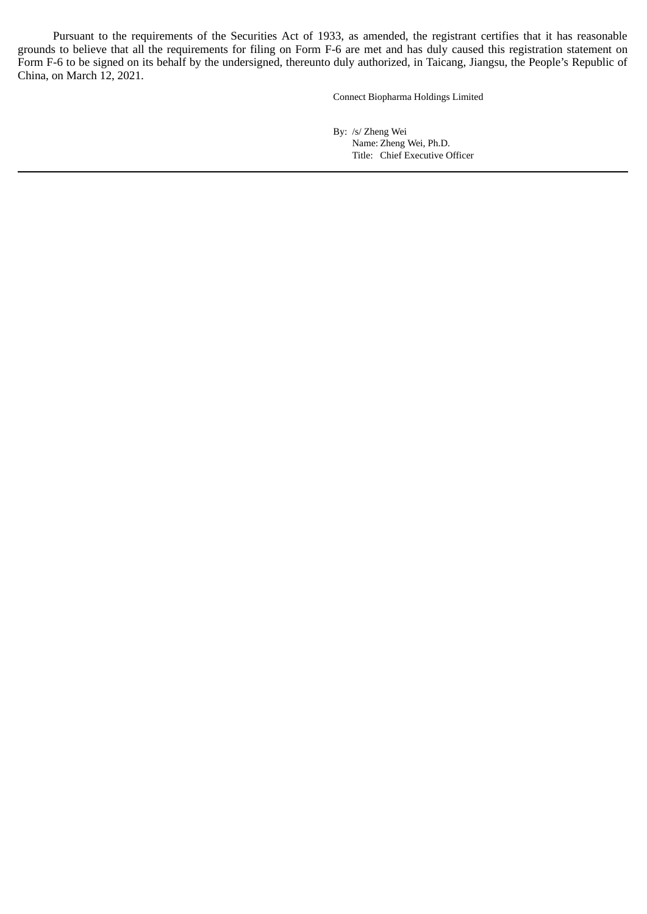Pursuant to the requirements of the Securities Act of 1933, as amended, the registrant certifies that it has reasonable grounds to believe that all the requirements for filing on Form F-6 are met and has duly caused this registration statement on Form F-6 to be signed on its behalf by the undersigned, thereunto duly authorized, in Taicang, Jiangsu, the People's Republic of China, on March 12, 2021.

Connect Biopharma Holdings Limited

By: /s/ Zheng Wei Name: Zheng Wei, Ph.D. Title: Chief Executive Officer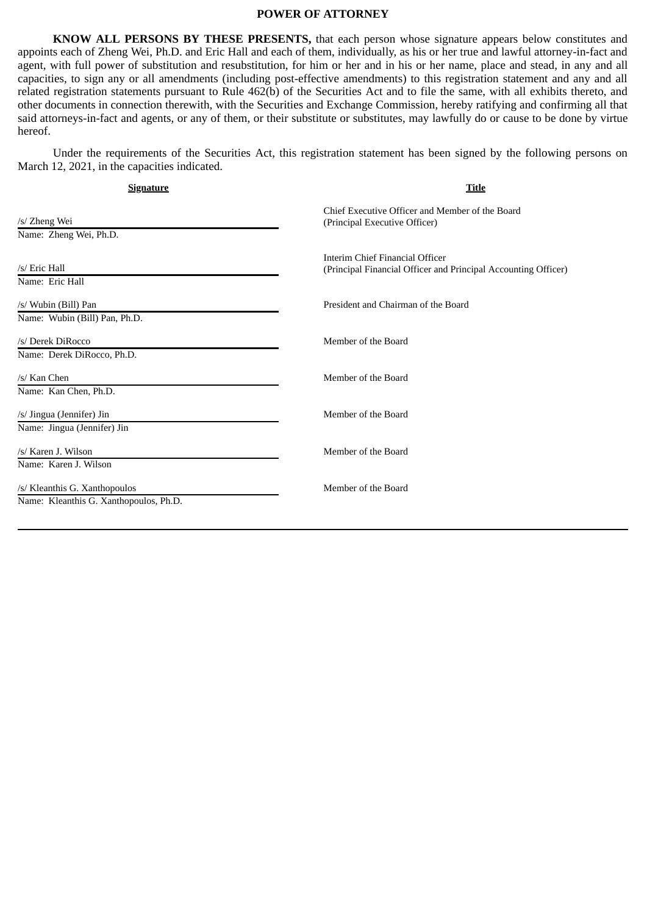#### **POWER OF ATTORNEY**

**KNOW ALL PERSONS BY THESE PRESENTS,** that each person whose signature appears below constitutes and appoints each of Zheng Wei, Ph.D. and Eric Hall and each of them, individually, as his or her true and lawful attorney-in-fact and agent, with full power of substitution and resubstitution, for him or her and in his or her name, place and stead, in any and all capacities, to sign any or all amendments (including post-effective amendments) to this registration statement and any and all related registration statements pursuant to Rule 462(b) of the Securities Act and to file the same, with all exhibits thereto, and other documents in connection therewith, with the Securities and Exchange Commission, hereby ratifying and confirming all that said attorneys-in-fact and agents, or any of them, or their substitute or substitutes, may lawfully do or cause to be done by virtue hereof.

Under the requirements of the Securities Act, this registration statement has been signed by the following persons on March 12, 2021, in the capacities indicated.

| Signature                                                               | <b>Title</b>                                                                                      |
|-------------------------------------------------------------------------|---------------------------------------------------------------------------------------------------|
| /s/ Zheng Wei<br>Name: Zheng Wei, Ph.D.                                 | Chief Executive Officer and Member of the Board<br>(Principal Executive Officer)                  |
| /s/ Eric Hall<br>Name: Eric Hall                                        | Interim Chief Financial Officer<br>(Principal Financial Officer and Principal Accounting Officer) |
| /s/ Wubin (Bill) Pan<br>Name: Wubin (Bill) Pan, Ph.D.                   | President and Chairman of the Board                                                               |
| /s/ Derek DiRocco<br>Name: Derek DiRocco, Ph.D.                         | Member of the Board                                                                               |
| /s/ Kan Chen<br>Name: Kan Chen, Ph.D.                                   | Member of the Board                                                                               |
| /s/ Jingua (Jennifer) Jin<br>Name: Jingua (Jennifer) Jin                | Member of the Board                                                                               |
| /s/ Karen J. Wilson<br>Name: Karen J. Wilson                            | Member of the Board                                                                               |
| /s/ Kleanthis G. Xanthopoulos<br>Name: Kleanthis G. Xanthopoulos, Ph.D. | Member of the Board                                                                               |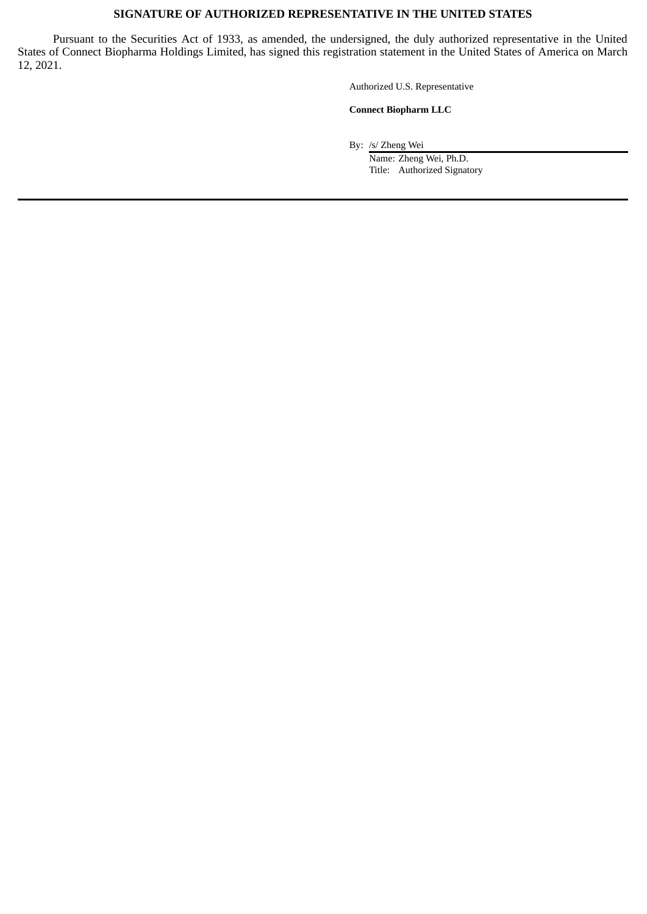## **SIGNATURE OF AUTHORIZED REPRESENTATIVE IN THE UNITED STATES**

Pursuant to the Securities Act of 1933, as amended, the undersigned, the duly authorized representative in the United States of Connect Biopharma Holdings Limited, has signed this registration statement in the United States of America on March 12, 2021.

Authorized U.S. Representative

#### **Connect Biopharm LLC**

By: /s/ Zheng Wei

Name: Zheng Wei, Ph.D. Title: Authorized Signatory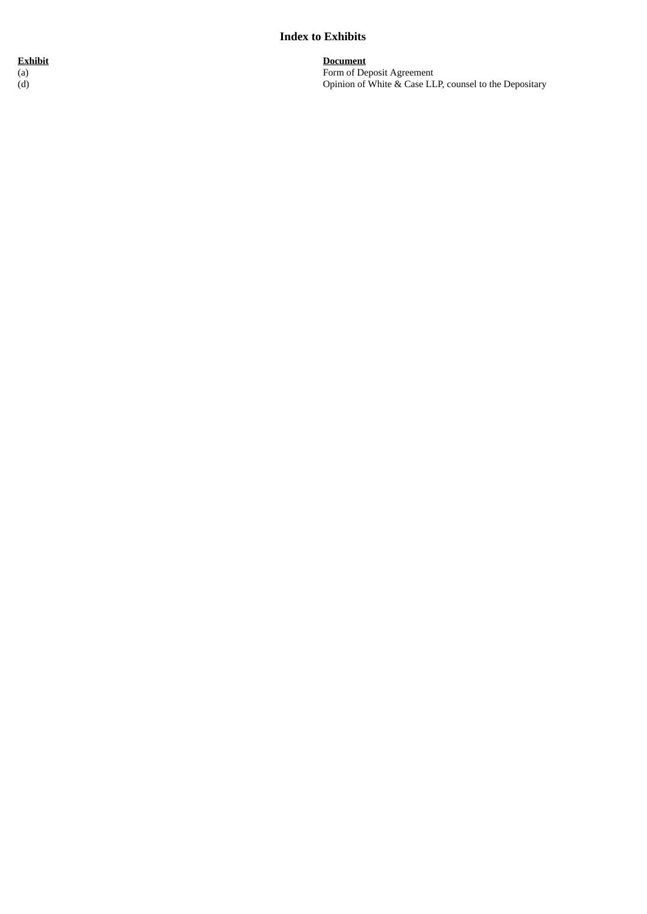# **Index to Exhibits**

**E x h i b i t** ( a ) ( d )

**D**ocument Form of Deposit Agreement Opinion of White & Case LLP, counsel to the Depositary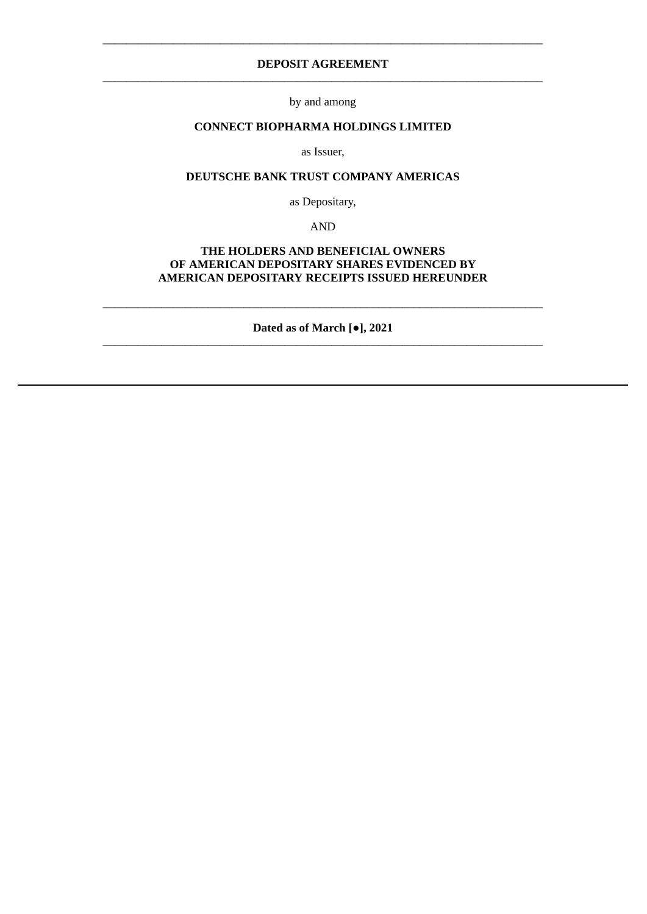## **DEPOSIT AGREEMENT** \_\_\_\_\_\_\_\_\_\_\_\_\_\_\_\_\_\_\_\_\_\_\_\_\_\_\_\_\_\_\_\_\_\_\_\_\_\_\_\_\_\_\_\_\_\_\_\_\_\_\_\_\_\_\_\_\_\_\_\_\_\_\_\_\_\_\_\_\_\_\_\_\_\_\_

\_\_\_\_\_\_\_\_\_\_\_\_\_\_\_\_\_\_\_\_\_\_\_\_\_\_\_\_\_\_\_\_\_\_\_\_\_\_\_\_\_\_\_\_\_\_\_\_\_\_\_\_\_\_\_\_\_\_\_\_\_\_\_\_\_\_\_\_\_\_\_\_\_\_\_

by and among

## **CONNECT BIOPHARMA HOLDINGS LIMITED**

as Issuer,

## **DEUTSCHE BANK TRUST COMPANY AMERICAS**

as Depositary,

AND

## **THE HOLDERS AND BENEFICIAL OWNERS OF AMERICAN DEPOSITARY SHARES EVIDENCED BY AMERICAN DEPOSITARY RECEIPTS ISSUED HEREUNDER**

**Dated as of March [●], 2021** \_\_\_\_\_\_\_\_\_\_\_\_\_\_\_\_\_\_\_\_\_\_\_\_\_\_\_\_\_\_\_\_\_\_\_\_\_\_\_\_\_\_\_\_\_\_\_\_\_\_\_\_\_\_\_\_\_\_\_\_\_\_\_\_\_\_\_\_\_\_\_\_\_\_\_

\_\_\_\_\_\_\_\_\_\_\_\_\_\_\_\_\_\_\_\_\_\_\_\_\_\_\_\_\_\_\_\_\_\_\_\_\_\_\_\_\_\_\_\_\_\_\_\_\_\_\_\_\_\_\_\_\_\_\_\_\_\_\_\_\_\_\_\_\_\_\_\_\_\_\_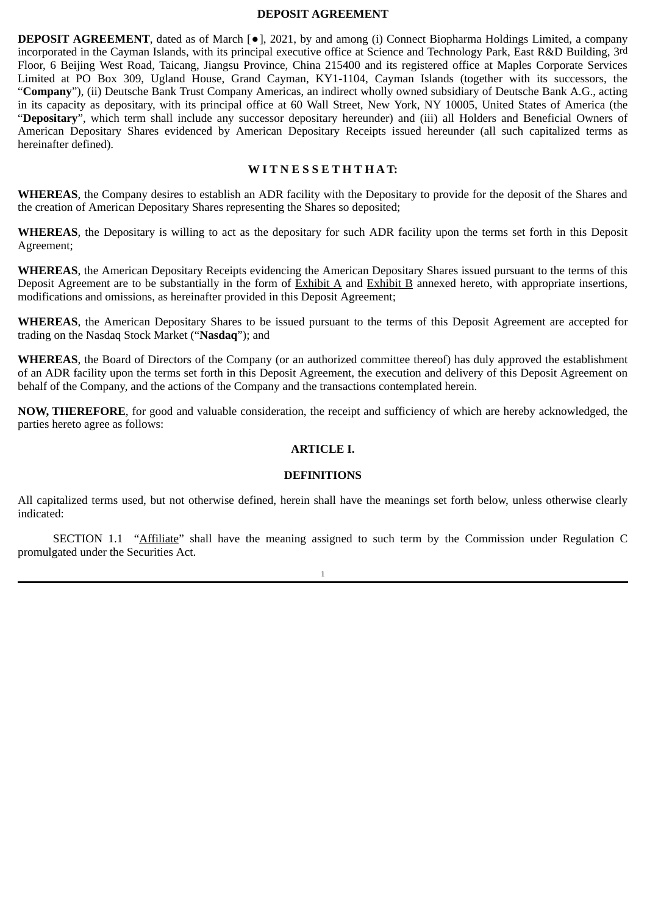#### **DEPOSIT AGREEMENT**

**DEPOSIT AGREEMENT**, dated as of March [●], 2021, by and among (i) Connect Biopharma Holdings Limited, a company incorporated in the Cayman Islands, with its principal executive office at Science and Technology Park, East R&D Building, 3rd Floor, 6 Beijing West Road, Taicang, Jiangsu Province, China 215400 and its registered office at Maples Corporate Services Limited at PO Box 309, Ugland House, Grand Cayman, KY1-1104, Cayman Islands (together with its successors, the "**Company**"), (ii) Deutsche Bank Trust Company Americas, an indirect wholly owned subsidiary of Deutsche Bank A.G., acting in its capacity as depositary, with its principal office at 60 Wall Street, New York, NY 10005, United States of America (the "**Depositary**", which term shall include any successor depositary hereunder) and (iii) all Holders and Beneficial Owners of American Depositary Shares evidenced by American Depositary Receipts issued hereunder (all such capitalized terms as hereinafter defined).

## **W I T N E S S E T H T H A T:**

**WHEREAS**, the Company desires to establish an ADR facility with the Depositary to provide for the deposit of the Shares and the creation of American Depositary Shares representing the Shares so deposited;

**WHEREAS**, the Depositary is willing to act as the depositary for such ADR facility upon the terms set forth in this Deposit Agreement;

**WHEREAS**, the American Depositary Receipts evidencing the American Depositary Shares issued pursuant to the terms of this Deposit Agreement are to be substantially in the form of Exhibit A and Exhibit B annexed hereto, with appropriate insertions, modifications and omissions, as hereinafter provided in this Deposit Agreement;

**WHEREAS**, the American Depositary Shares to be issued pursuant to the terms of this Deposit Agreement are accepted for trading on the Nasdaq Stock Market ("**Nasdaq**"); and

**WHEREAS**, the Board of Directors of the Company (or an authorized committee thereof) has duly approved the establishment of an ADR facility upon the terms set forth in this Deposit Agreement, the execution and delivery of this Deposit Agreement on behalf of the Company, and the actions of the Company and the transactions contemplated herein.

**NOW, THEREFORE**, for good and valuable consideration, the receipt and sufficiency of which are hereby acknowledged, the parties hereto agree as follows:

## **ARTICLE I.**

### **DEFINITIONS**

All capitalized terms used, but not otherwise defined, herein shall have the meanings set forth below, unless otherwise clearly indicated:

SECTION 1.1 "Affiliate" shall have the meaning assigned to such term by the Commission under Regulation C promulgated under the Securities Act.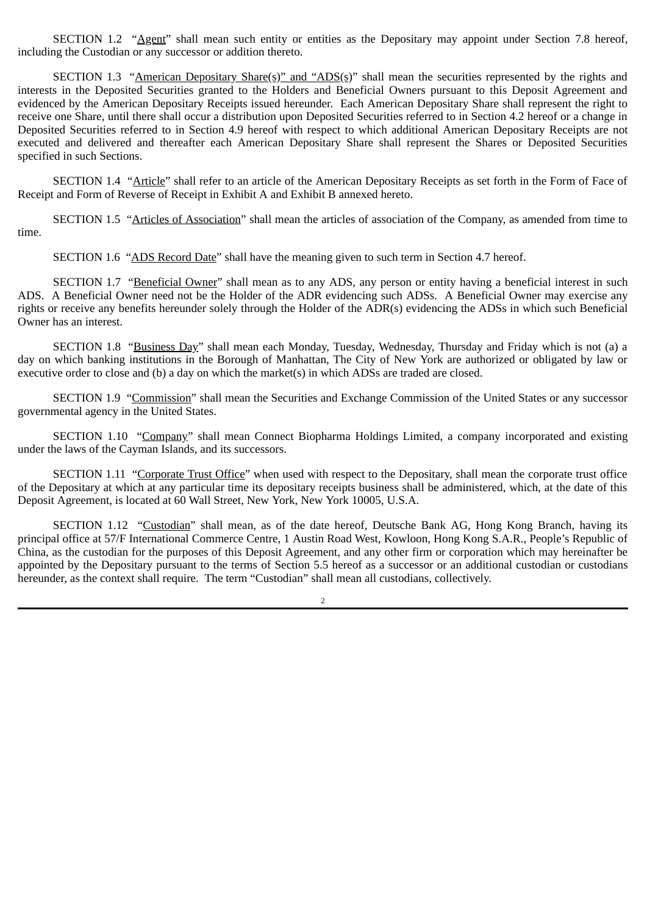SECTION 1.2 "Agent" shall mean such entity or entities as the Depositary may appoint under Section 7.8 hereof, including the Custodian or any successor or addition thereto.

SECTION 1.3 "American Depositary Share(s)" and "ADS(s)" shall mean the securities represented by the rights and interests in the Deposited Securities granted to the Holders and Beneficial Owners pursuant to this Deposit Agreement and evidenced by the American Depositary Receipts issued hereunder. Each American Depositary Share shall represent the right to receive one Share, until there shall occur a distribution upon Deposited Securities referred to in Section 4.2 hereof or a change in Deposited Securities referred to in Section 4.9 hereof with respect to which additional American Depositary Receipts are not executed and delivered and thereafter each American Depositary Share shall represent the Shares or Deposited Securities specified in such Sections.

SECTION 1.4 "Article" shall refer to an article of the American Depositary Receipts as set forth in the Form of Face of Receipt and Form of Reverse of Receipt in Exhibit A and Exhibit B annexed hereto.

SECTION 1.5 "Articles of Association" shall mean the articles of association of the Company, as amended from time to time.

SECTION 1.6 "ADS Record Date" shall have the meaning given to such term in Section 4.7 hereof.

SECTION 1.7 "Beneficial Owner" shall mean as to any ADS, any person or entity having a beneficial interest in such ADS. A Beneficial Owner need not be the Holder of the ADR evidencing such ADSs. A Beneficial Owner may exercise any rights or receive any benefits hereunder solely through the Holder of the ADR(s) evidencing the ADSs in which such Beneficial Owner has an interest.

SECTION 1.8 "Business Day" shall mean each Monday, Tuesday, Wednesday, Thursday and Friday which is not (a) a day on which banking institutions in the Borough of Manhattan, The City of New York are authorized or obligated by law or executive order to close and (b) a day on which the market(s) in which ADSs are traded are closed.

SECTION 1.9 "Commission" shall mean the Securities and Exchange Commission of the United States or any successor governmental agency in the United States.

SECTION 1.10 "Company" shall mean Connect Biopharma Holdings Limited, a company incorporated and existing under the laws of the Cayman Islands, and its successors.

SECTION 1.11 "Corporate Trust Office" when used with respect to the Depositary, shall mean the corporate trust office of the Depositary at which at any particular time its depositary receipts business shall be administered, which, at the date of this Deposit Agreement, is located at 60 Wall Street, New York, New York 10005, U.S.A.

SECTION 1.12 "Custodian" shall mean, as of the date hereof, Deutsche Bank AG, Hong Kong Branch, having its principal office at 57/F International Commerce Centre, 1 Austin Road West, Kowloon, Hong Kong S.A.R., People's Republic of China, as the custodian for the purposes of this Deposit Agreement, and any other firm or corporation which may hereinafter be appointed by the Depositary pursuant to the terms of Section 5.5 hereof as a successor or an additional custodian or custodians hereunder, as the context shall require. The term "Custodian" shall mean all custodians, collectively.

 $\overline{2}$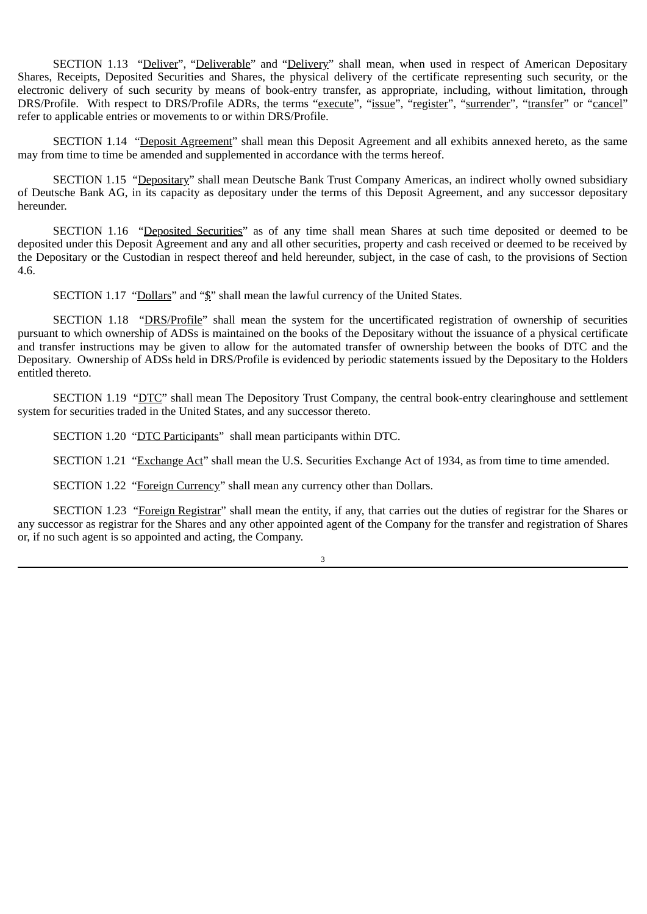SECTION 1.13 "Deliver", "Deliverable" and "Delivery" shall mean, when used in respect of American Depositary Shares, Receipts, Deposited Securities and Shares, the physical delivery of the certificate representing such security, or the electronic delivery of such security by means of book-entry transfer, as appropriate, including, without limitation, through DRS/Profile. With respect to DRS/Profile ADRs, the terms "execute", "issue", "register", "surrender", "transfer" or "cancel" refer to applicable entries or movements to or within DRS/Profile.

SECTION 1.14 "Deposit Agreement" shall mean this Deposit Agreement and all exhibits annexed hereto, as the same may from time to time be amended and supplemented in accordance with the terms hereof.

SECTION 1.15 "Depositary" shall mean Deutsche Bank Trust Company Americas, an indirect wholly owned subsidiary of Deutsche Bank AG, in its capacity as depositary under the terms of this Deposit Agreement, and any successor depositary hereunder.

SECTION 1.16 "Deposited Securities" as of any time shall mean Shares at such time deposited or deemed to be deposited under this Deposit Agreement and any and all other securities, property and cash received or deemed to be received by the Depositary or the Custodian in respect thereof and held hereunder, subject, in the case of cash, to the provisions of Section 4.6.

SECTION 1.17 "Dollars" and "\$" shall mean the lawful currency of the United States.

SECTION 1.18 "DRS/Profile" shall mean the system for the uncertificated registration of ownership of securities pursuant to which ownership of ADSs is maintained on the books of the Depositary without the issuance of a physical certificate and transfer instructions may be given to allow for the automated transfer of ownership between the books of DTC and the Depositary. Ownership of ADSs held in DRS/Profile is evidenced by periodic statements issued by the Depositary to the Holders entitled thereto.

SECTION 1.19 "DTC" shall mean The Depository Trust Company, the central book‑entry clearinghouse and settlement system for securities traded in the United States, and any successor thereto.

SECTION 1.20 "DTC Participants" shall mean participants within DTC.

SECTION 1.21 "Exchange Act" shall mean the U.S. Securities Exchange Act of 1934, as from time to time amended.

SECTION 1.22 "Foreign Currency" shall mean any currency other than Dollars.

SECTION 1.23 "Foreign Registrar" shall mean the entity, if any, that carries out the duties of registrar for the Shares or any successor as registrar for the Shares and any other appointed agent of the Company for the transfer and registration of Shares or, if no such agent is so appointed and acting, the Company.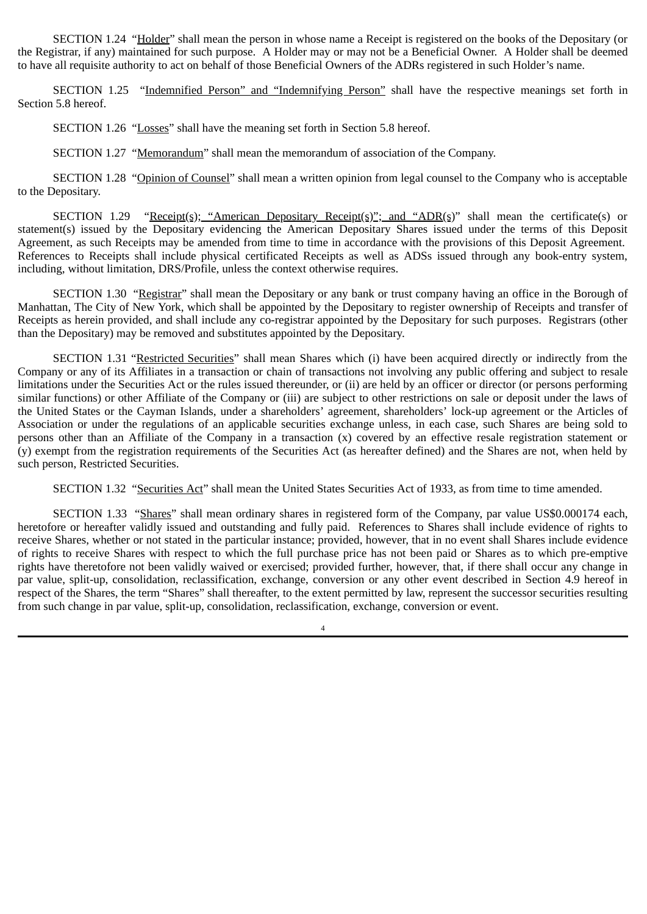SECTION 1.24 "Holder" shall mean the person in whose name a Receipt is registered on the books of the Depositary (or the Registrar, if any) maintained for such purpose. A Holder may or may not be a Beneficial Owner. A Holder shall be deemed to have all requisite authority to act on behalf of those Beneficial Owners of the ADRs registered in such Holder's name.

SECTION 1.25 "Indemnified Person" and "Indemnifying Person" shall have the respective meanings set forth in Section 5.8 hereof.

SECTION 1.26 "Losses" shall have the meaning set forth in Section 5.8 hereof.

SECTION 1.27 "Memorandum" shall mean the memorandum of association of the Company.

SECTION 1.28 "Opinion of Counsel" shall mean a written opinion from legal counsel to the Company who is acceptable to the Depositary.

SECTION 1.29 "Receipt(s); "American Depositary Receipt(s)"; and "ADR(s)" shall mean the certificate(s) or statement(s) issued by the Depositary evidencing the American Depositary Shares issued under the terms of this Deposit Agreement, as such Receipts may be amended from time to time in accordance with the provisions of this Deposit Agreement. References to Receipts shall include physical certificated Receipts as well as ADSs issued through any book-entry system, including, without limitation, DRS/Profile, unless the context otherwise requires.

SECTION 1.30 "Registrar" shall mean the Depositary or any bank or trust company having an office in the Borough of Manhattan, The City of New York, which shall be appointed by the Depositary to register ownership of Receipts and transfer of Receipts as herein provided, and shall include any co-registrar appointed by the Depositary for such purposes. Registrars (other than the Depositary) may be removed and substitutes appointed by the Depositary.

SECTION 1.31 "Restricted Securities" shall mean Shares which (i) have been acquired directly or indirectly from the Company or any of its Affiliates in a transaction or chain of transactions not involving any public offering and subject to resale limitations under the Securities Act or the rules issued thereunder, or (ii) are held by an officer or director (or persons performing similar functions) or other Affiliate of the Company or (iii) are subject to other restrictions on sale or deposit under the laws of the United States or the Cayman Islands, under a shareholders' agreement, shareholders' lock‑up agreement or the Articles of Association or under the regulations of an applicable securities exchange unless, in each case, such Shares are being sold to persons other than an Affiliate of the Company in a transaction (x) covered by an effective resale registration statement or (y) exempt from the registration requirements of the Securities Act (as hereafter defined) and the Shares are not, when held by such person, Restricted Securities.

SECTION 1.32 "Securities Act" shall mean the United States Securities Act of 1933, as from time to time amended.

SECTION 1.33 "Shares" shall mean ordinary shares in registered form of the Company, par value US\$0.000174 each, heretofore or hereafter validly issued and outstanding and fully paid. References to Shares shall include evidence of rights to receive Shares, whether or not stated in the particular instance; provided, however, that in no event shall Shares include evidence of rights to receive Shares with respect to which the full purchase price has not been paid or Shares as to which pre‑emptive rights have theretofore not been validly waived or exercised; provided further, however, that, if there shall occur any change in par value, split-up, consolidation, reclassification, exchange, conversion or any other event described in Section 4.9 hereof in respect of the Shares, the term "Shares" shall thereafter, to the extent permitted by law, represent the successor securities resulting from such change in par value, split‑up, consolidation, reclassification, exchange, conversion or event.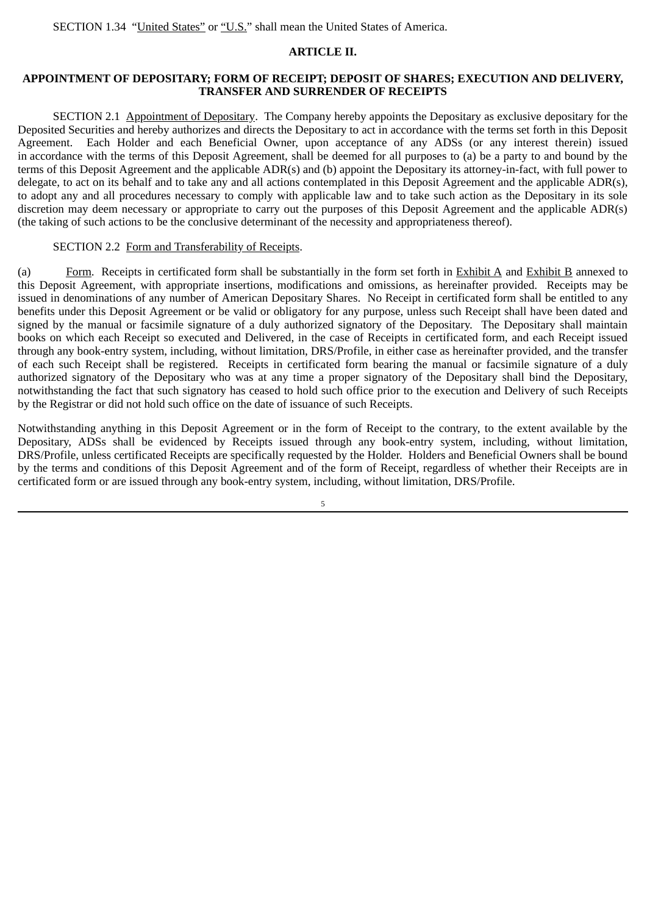## **ARTICLE II.**

## **APPOINTMENT OF DEPOSITARY; FORM OF RECEIPT; DEPOSIT OF SHARES; EXECUTION AND DELIVERY, TRANSFER AND SURRENDER OF RECEIPTS**

SECTION 2.1 Appointment of Depositary. The Company hereby appoints the Depositary as exclusive depositary for the Deposited Securities and hereby authorizes and directs the Depositary to act in accordance with the terms set forth in this Deposit Agreement. Each Holder and each Beneficial Owner, upon acceptance of any ADSs (or any interest therein) issued in accordance with the terms of this Deposit Agreement, shall be deemed for all purposes to (a) be a party to and bound by the terms of this Deposit Agreement and the applicable ADR(s) and (b) appoint the Depositary its attorney-in-fact, with full power to delegate, to act on its behalf and to take any and all actions contemplated in this Deposit Agreement and the applicable ADR(s), to adopt any and all procedures necessary to comply with applicable law and to take such action as the Depositary in its sole discretion may deem necessary or appropriate to carry out the purposes of this Deposit Agreement and the applicable ADR(s) (the taking of such actions to be the conclusive determinant of the necessity and appropriateness thereof).

## SECTION 2.2 Form and Transferability of Receipts.

(a) Form. Receipts in certificated form shall be substantially in the form set forth in Exhibit A and Exhibit B annexed to this Deposit Agreement, with appropriate insertions, modifications and omissions, as hereinafter provided. Receipts may be issued in denominations of any number of American Depositary Shares. No Receipt in certificated form shall be entitled to any benefits under this Deposit Agreement or be valid or obligatory for any purpose, unless such Receipt shall have been dated and signed by the manual or facsimile signature of a duly authorized signatory of the Depositary. The Depositary shall maintain books on which each Receipt so executed and Delivered, in the case of Receipts in certificated form, and each Receipt issued through any book‑entry system, including, without limitation, DRS/Profile, in either case as hereinafter provided, and the transfer of each such Receipt shall be registered. Receipts in certificated form bearing the manual or facsimile signature of a duly authorized signatory of the Depositary who was at any time a proper signatory of the Depositary shall bind the Depositary, notwithstanding the fact that such signatory has ceased to hold such office prior to the execution and Delivery of such Receipts by the Registrar or did not hold such office on the date of issuance of such Receipts.

Notwithstanding anything in this Deposit Agreement or in the form of Receipt to the contrary, to the extent available by the Depositary, ADSs shall be evidenced by Receipts issued through any book-entry system, including, without limitation, DRS/Profile, unless certificated Receipts are specifically requested by the Holder. Holders and Beneficial Owners shall be bound by the terms and conditions of this Deposit Agreement and of the form of Receipt, regardless of whether their Receipts are in certificated form or are issued through any book-entry system, including, without limitation, DRS/Profile.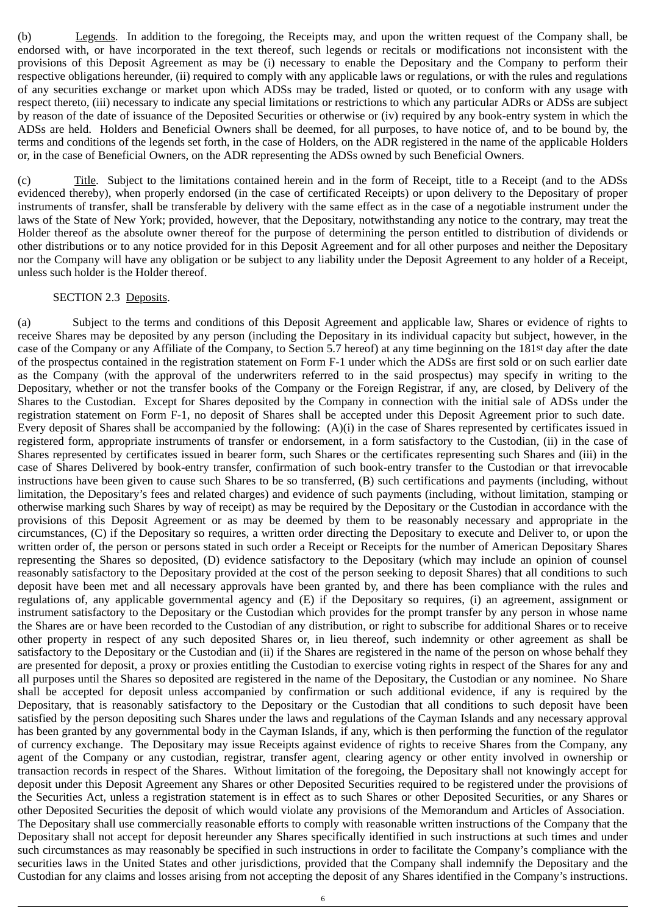(b) Legends. In addition to the foregoing, the Receipts may, and upon the written request of the Company shall, be endorsed with, or have incorporated in the text thereof, such legends or recitals or modifications not inconsistent with the provisions of this Deposit Agreement as may be (i) necessary to enable the Depositary and the Company to perform their respective obligations hereunder, (ii) required to comply with any applicable laws or regulations, or with the rules and regulations of any securities exchange or market upon which ADSs may be traded, listed or quoted, or to conform with any usage with respect thereto, (iii) necessary to indicate any special limitations or restrictions to which any particular ADRs or ADSs are subject by reason of the date of issuance of the Deposited Securities or otherwise or (iv) required by any book‑entry system in which the ADSs are held. Holders and Beneficial Owners shall be deemed, for all purposes, to have notice of, and to be bound by, the terms and conditions of the legends set forth, in the case of Holders, on the ADR registered in the name of the applicable Holders or, in the case of Beneficial Owners, on the ADR representing the ADSs owned by such Beneficial Owners.

(c) Title. Subject to the limitations contained herein and in the form of Receipt, title to a Receipt (and to the ADSs evidenced thereby), when properly endorsed (in the case of certificated Receipts) or upon delivery to the Depositary of proper instruments of transfer, shall be transferable by delivery with the same effect as in the case of a negotiable instrument under the laws of the State of New York; provided, however, that the Depositary, notwithstanding any notice to the contrary, may treat the Holder thereof as the absolute owner thereof for the purpose of determining the person entitled to distribution of dividends or other distributions or to any notice provided for in this Deposit Agreement and for all other purposes and neither the Depositary nor the Company will have any obligation or be subject to any liability under the Deposit Agreement to any holder of a Receipt, unless such holder is the Holder thereof.

### SECTION 2.3 Deposits.

(a) Subject to the terms and conditions of this Deposit Agreement and applicable law, Shares or evidence of rights to receive Shares may be deposited by any person (including the Depositary in its individual capacity but subject, however, in the case of the Company or any Affiliate of the Company, to Section 5.7 hereof) at any time beginning on the 181st day after the date of the prospectus contained in the registration statement on Form F‑1 under which the ADSs are first sold or on such earlier date as the Company (with the approval of the underwriters referred to in the said prospectus) may specify in writing to the Depositary, whether or not the transfer books of the Company or the Foreign Registrar, if any, are closed, by Delivery of the Shares to the Custodian. Except for Shares deposited by the Company in connection with the initial sale of ADSs under the registration statement on Form F-1, no deposit of Shares shall be accepted under this Deposit Agreement prior to such date. Every deposit of Shares shall be accompanied by the following: (A)(i) in the case of Shares represented by certificates issued in registered form, appropriate instruments of transfer or endorsement, in a form satisfactory to the Custodian, (ii) in the case of Shares represented by certificates issued in bearer form, such Shares or the certificates representing such Shares and (iii) in the case of Shares Delivered by book‑entry transfer, confirmation of such book‑entry transfer to the Custodian or that irrevocable instructions have been given to cause such Shares to be so transferred, (B) such certifications and payments (including, without limitation, the Depositary's fees and related charges) and evidence of such payments (including, without limitation, stamping or otherwise marking such Shares by way of receipt) as may be required by the Depositary or the Custodian in accordance with the provisions of this Deposit Agreement or as may be deemed by them to be reasonably necessary and appropriate in the circumstances, (C) if the Depositary so requires, a written order directing the Depositary to execute and Deliver to, or upon the written order of, the person or persons stated in such order a Receipt or Receipts for the number of American Depositary Shares representing the Shares so deposited, (D) evidence satisfactory to the Depositary (which may include an opinion of counsel reasonably satisfactory to the Depositary provided at the cost of the person seeking to deposit Shares) that all conditions to such deposit have been met and all necessary approvals have been granted by, and there has been compliance with the rules and regulations of, any applicable governmental agency and (E) if the Depositary so requires, (i) an agreement, assignment or instrument satisfactory to the Depositary or the Custodian which provides for the prompt transfer by any person in whose name the Shares are or have been recorded to the Custodian of any distribution, or right to subscribe for additional Shares or to receive other property in respect of any such deposited Shares or, in lieu thereof, such indemnity or other agreement as shall be satisfactory to the Depositary or the Custodian and (ii) if the Shares are registered in the name of the person on whose behalf they are presented for deposit, a proxy or proxies entitling the Custodian to exercise voting rights in respect of the Shares for any and all purposes until the Shares so deposited are registered in the name of the Depositary, the Custodian or any nominee. No Share shall be accepted for deposit unless accompanied by confirmation or such additional evidence, if any is required by the Depositary, that is reasonably satisfactory to the Depositary or the Custodian that all conditions to such deposit have been satisfied by the person depositing such Shares under the laws and regulations of the Cayman Islands and any necessary approval has been granted by any governmental body in the Cayman Islands, if any, which is then performing the function of the regulator of currency exchange. The Depositary may issue Receipts against evidence of rights to receive Shares from the Company, any agent of the Company or any custodian, registrar, transfer agent, clearing agency or other entity involved in ownership or transaction records in respect of the Shares. Without limitation of the foregoing, the Depositary shall not knowingly accept for deposit under this Deposit Agreement any Shares or other Deposited Securities required to be registered under the provisions of the Securities Act, unless a registration statement is in effect as to such Shares or other Deposited Securities, or any Shares or other Deposited Securities the deposit of which would violate any provisions of the Memorandum and Articles of Association. The Depositary shall use commercially reasonable efforts to comply with reasonable written instructions of the Company that the Depositary shall not accept for deposit hereunder any Shares specifically identified in such instructions at such times and under such circumstances as may reasonably be specified in such instructions in order to facilitate the Company's compliance with the securities laws in the United States and other jurisdictions, provided that the Company shall indemnify the Depositary and the Custodian for any claims and losses arising from not accepting the deposit of any Shares identified in the Company's instructions.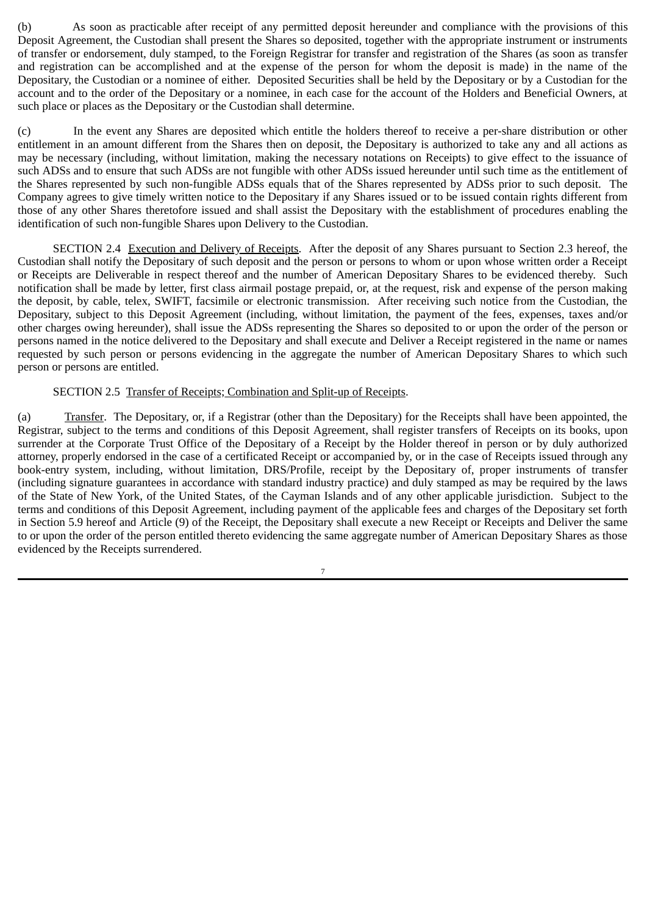(b) As soon as practicable after receipt of any permitted deposit hereunder and compliance with the provisions of this Deposit Agreement, the Custodian shall present the Shares so deposited, together with the appropriate instrument or instruments of transfer or endorsement, duly stamped, to the Foreign Registrar for transfer and registration of the Shares (as soon as transfer and registration can be accomplished and at the expense of the person for whom the deposit is made) in the name of the Depositary, the Custodian or a nominee of either. Deposited Securities shall be held by the Depositary or by a Custodian for the account and to the order of the Depositary or a nominee, in each case for the account of the Holders and Beneficial Owners, at such place or places as the Depositary or the Custodian shall determine.

(c) In the event any Shares are deposited which entitle the holders thereof to receive a per‑share distribution or other entitlement in an amount different from the Shares then on deposit, the Depositary is authorized to take any and all actions as may be necessary (including, without limitation, making the necessary notations on Receipts) to give effect to the issuance of such ADSs and to ensure that such ADSs are not fungible with other ADSs issued hereunder until such time as the entitlement of the Shares represented by such non-fungible ADSs equals that of the Shares represented by ADSs prior to such deposit. The Company agrees to give timely written notice to the Depositary if any Shares issued or to be issued contain rights different from those of any other Shares theretofore issued and shall assist the Depositary with the establishment of procedures enabling the identification of such non-fungible Shares upon Delivery to the Custodian.

SECTION 2.4 Execution and Delivery of Receipts. After the deposit of any Shares pursuant to Section 2.3 hereof, the Custodian shall notify the Depositary of such deposit and the person or persons to whom or upon whose written order a Receipt or Receipts are Deliverable in respect thereof and the number of American Depositary Shares to be evidenced thereby. Such notification shall be made by letter, first class airmail postage prepaid, or, at the request, risk and expense of the person making the deposit, by cable, telex, SWIFT, facsimile or electronic transmission. After receiving such notice from the Custodian, the Depositary, subject to this Deposit Agreement (including, without limitation, the payment of the fees, expenses, taxes and/or other charges owing hereunder), shall issue the ADSs representing the Shares so deposited to or upon the order of the person or persons named in the notice delivered to the Depositary and shall execute and Deliver a Receipt registered in the name or names requested by such person or persons evidencing in the aggregate the number of American Depositary Shares to which such person or persons are entitled.

### SECTION 2.5 Transfer of Receipts; Combination and Split-up of Receipts.

(a) Transfer. The Depositary, or, if a Registrar (other than the Depositary) for the Receipts shall have been appointed, the Registrar, subject to the terms and conditions of this Deposit Agreement, shall register transfers of Receipts on its books, upon surrender at the Corporate Trust Office of the Depositary of a Receipt by the Holder thereof in person or by duly authorized attorney, properly endorsed in the case of a certificated Receipt or accompanied by, or in the case of Receipts issued through any book-entry system, including, without limitation, DRS/Profile, receipt by the Depositary of, proper instruments of transfer (including signature guarantees in accordance with standard industry practice) and duly stamped as may be required by the laws of the State of New York, of the United States, of the Cayman Islands and of any other applicable jurisdiction. Subject to the terms and conditions of this Deposit Agreement, including payment of the applicable fees and charges of the Depositary set forth in Section 5.9 hereof and Article (9) of the Receipt, the Depositary shall execute a new Receipt or Receipts and Deliver the same to or upon the order of the person entitled thereto evidencing the same aggregate number of American Depositary Shares as those evidenced by the Receipts surrendered.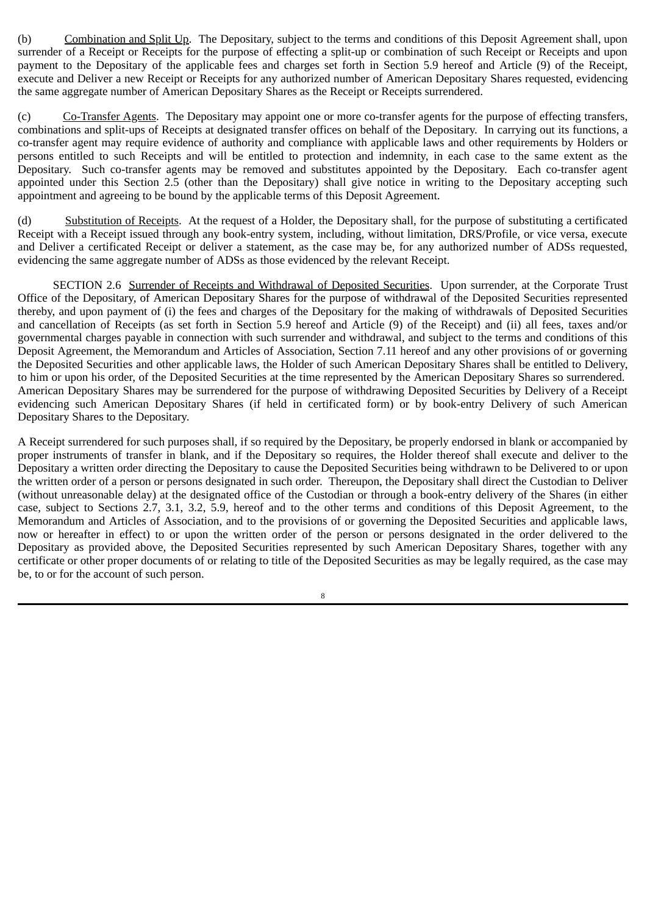(b) Combination and Split Up. The Depositary, subject to the terms and conditions of this Deposit Agreement shall, upon surrender of a Receipt or Receipts for the purpose of effecting a split-up or combination of such Receipt or Receipts and upon payment to the Depositary of the applicable fees and charges set forth in Section 5.9 hereof and Article (9) of the Receipt, execute and Deliver a new Receipt or Receipts for any authorized number of American Depositary Shares requested, evidencing the same aggregate number of American Depositary Shares as the Receipt or Receipts surrendered.

(c) Co‑Transfer Agents. The Depositary may appoint one or more co‑transfer agents for the purpose of effecting transfers, combinations and split‑ups of Receipts at designated transfer offices on behalf of the Depositary. In carrying out its functions, a co‑transfer agent may require evidence of authority and compliance with applicable laws and other requirements by Holders or persons entitled to such Receipts and will be entitled to protection and indemnity, in each case to the same extent as the Depositary. Such co-transfer agents may be removed and substitutes appointed by the Depositary. Each co-transfer agent appointed under this Section 2.5 (other than the Depositary) shall give notice in writing to the Depositary accepting such appointment and agreeing to be bound by the applicable terms of this Deposit Agreement.

(d) Substitution of Receipts. At the request of a Holder, the Depositary shall, for the purpose of substituting a certificated Receipt with a Receipt issued through any book-entry system, including, without limitation, DRS/Profile, or vice versa, execute and Deliver a certificated Receipt or deliver a statement, as the case may be, for any authorized number of ADSs requested, evidencing the same aggregate number of ADSs as those evidenced by the relevant Receipt.

SECTION 2.6 Surrender of Receipts and Withdrawal of Deposited Securities. Upon surrender, at the Corporate Trust Office of the Depositary, of American Depositary Shares for the purpose of withdrawal of the Deposited Securities represented thereby, and upon payment of (i) the fees and charges of the Depositary for the making of withdrawals of Deposited Securities and cancellation of Receipts (as set forth in Section 5.9 hereof and Article (9) of the Receipt) and (ii) all fees, taxes and/or governmental charges payable in connection with such surrender and withdrawal, and subject to the terms and conditions of this Deposit Agreement, the Memorandum and Articles of Association, Section 7.11 hereof and any other provisions of or governing the Deposited Securities and other applicable laws, the Holder of such American Depositary Shares shall be entitled to Delivery, to him or upon his order, of the Deposited Securities at the time represented by the American Depositary Shares so surrendered. American Depositary Shares may be surrendered for the purpose of withdrawing Deposited Securities by Delivery of a Receipt evidencing such American Depositary Shares (if held in certificated form) or by book‑entry Delivery of such American Depositary Shares to the Depositary.

A Receipt surrendered for such purposes shall, if so required by the Depositary, be properly endorsed in blank or accompanied by proper instruments of transfer in blank, and if the Depositary so requires, the Holder thereof shall execute and deliver to the Depositary a written order directing the Depositary to cause the Deposited Securities being withdrawn to be Delivered to or upon the written order of a person or persons designated in such order. Thereupon, the Depositary shall direct the Custodian to Deliver (without unreasonable delay) at the designated office of the Custodian or through a book‑entry delivery of the Shares (in either case, subject to Sections 2.7, 3.1, 3.2, 5.9, hereof and to the other terms and conditions of this Deposit Agreement, to the Memorandum and Articles of Association, and to the provisions of or governing the Deposited Securities and applicable laws, now or hereafter in effect) to or upon the written order of the person or persons designated in the order delivered to the Depositary as provided above, the Deposited Securities represented by such American Depositary Shares, together with any certificate or other proper documents of or relating to title of the Deposited Securities as may be legally required, as the case may be, to or for the account of such person.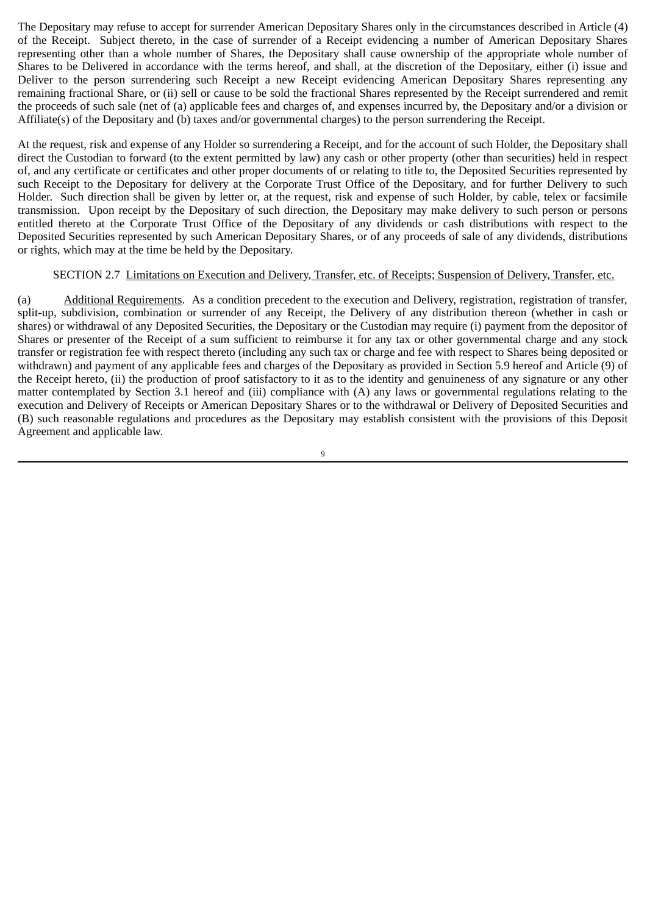The Depositary may refuse to accept for surrender American Depositary Shares only in the circumstances described in Article (4) of the Receipt. Subject thereto, in the case of surrender of a Receipt evidencing a number of American Depositary Shares representing other than a whole number of Shares, the Depositary shall cause ownership of the appropriate whole number of Shares to be Delivered in accordance with the terms hereof, and shall, at the discretion of the Depositary, either (i) issue and Deliver to the person surrendering such Receipt a new Receipt evidencing American Depositary Shares representing any remaining fractional Share, or (ii) sell or cause to be sold the fractional Shares represented by the Receipt surrendered and remit the proceeds of such sale (net of (a) applicable fees and charges of, and expenses incurred by, the Depositary and/or a division or Affiliate(s) of the Depositary and (b) taxes and/or governmental charges) to the person surrendering the Receipt.

At the request, risk and expense of any Holder so surrendering a Receipt, and for the account of such Holder, the Depositary shall direct the Custodian to forward (to the extent permitted by law) any cash or other property (other than securities) held in respect of, and any certificate or certificates and other proper documents of or relating to title to, the Deposited Securities represented by such Receipt to the Depositary for delivery at the Corporate Trust Office of the Depositary, and for further Delivery to such Holder. Such direction shall be given by letter or, at the request, risk and expense of such Holder, by cable, telex or facsimile transmission. Upon receipt by the Depositary of such direction, the Depositary may make delivery to such person or persons entitled thereto at the Corporate Trust Office of the Depositary of any dividends or cash distributions with respect to the Deposited Securities represented by such American Depositary Shares, or of any proceeds of sale of any dividends, distributions or rights, which may at the time be held by the Depositary.

## SECTION 2.7 Limitations on Execution and Delivery, Transfer, etc. of Receipts; Suspension of Delivery, Transfer, etc.

(a) Additional Requirements. As a condition precedent to the execution and Delivery, registration, registration of transfer, split-up, subdivision, combination or surrender of any Receipt, the Delivery of any distribution thereon (whether in cash or shares) or withdrawal of any Deposited Securities, the Depositary or the Custodian may require (i) payment from the depositor of Shares or presenter of the Receipt of a sum sufficient to reimburse it for any tax or other governmental charge and any stock transfer or registration fee with respect thereto (including any such tax or charge and fee with respect to Shares being deposited or withdrawn) and payment of any applicable fees and charges of the Depositary as provided in Section 5.9 hereof and Article (9) of the Receipt hereto, (ii) the production of proof satisfactory to it as to the identity and genuineness of any signature or any other matter contemplated by Section 3.1 hereof and (iii) compliance with (A) any laws or governmental regulations relating to the execution and Delivery of Receipts or American Depositary Shares or to the withdrawal or Delivery of Deposited Securities and (B) such reasonable regulations and procedures as the Depositary may establish consistent with the provisions of this Deposit Agreement and applicable law.

 $\overline{q}$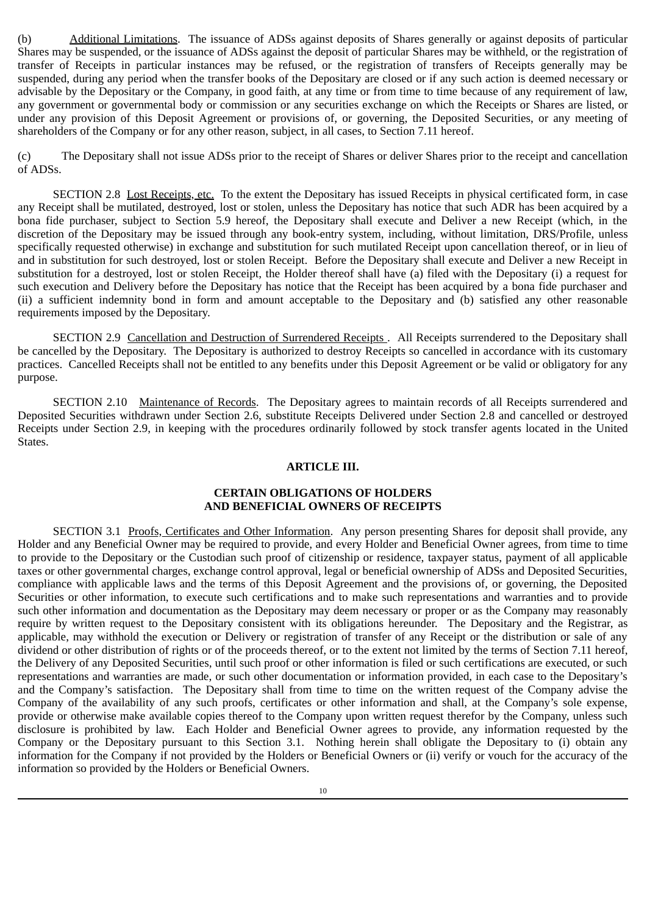(b) Additional Limitations. The issuance of ADSs against deposits of Shares generally or against deposits of particular Shares may be suspended, or the issuance of ADSs against the deposit of particular Shares may be withheld, or the registration of transfer of Receipts in particular instances may be refused, or the registration of transfers of Receipts generally may be suspended, during any period when the transfer books of the Depositary are closed or if any such action is deemed necessary or advisable by the Depositary or the Company, in good faith, at any time or from time to time because of any requirement of law, any government or governmental body or commission or any securities exchange on which the Receipts or Shares are listed, or under any provision of this Deposit Agreement or provisions of, or governing, the Deposited Securities, or any meeting of shareholders of the Company or for any other reason, subject, in all cases, to Section 7.11 hereof.

(c) The Depositary shall not issue ADSs prior to the receipt of Shares or deliver Shares prior to the receipt and cancellation of ADSs.

SECTION 2.8 Lost Receipts, etc. To the extent the Depositary has issued Receipts in physical certificated form, in case any Receipt shall be mutilated, destroyed, lost or stolen, unless the Depositary has notice that such ADR has been acquired by a bona fide purchaser, subject to Section 5.9 hereof, the Depositary shall execute and Deliver a new Receipt (which, in the discretion of the Depositary may be issued through any book-entry system, including, without limitation, DRS/Profile, unless specifically requested otherwise) in exchange and substitution for such mutilated Receipt upon cancellation thereof, or in lieu of and in substitution for such destroyed, lost or stolen Receipt. Before the Depositary shall execute and Deliver a new Receipt in substitution for a destroyed, lost or stolen Receipt, the Holder thereof shall have (a) filed with the Depositary (i) a request for such execution and Delivery before the Depositary has notice that the Receipt has been acquired by a bona fide purchaser and (ii) a sufficient indemnity bond in form and amount acceptable to the Depositary and (b) satisfied any other reasonable requirements imposed by the Depositary.

SECTION 2.9 Cancellation and Destruction of Surrendered Receipts . All Receipts surrendered to the Depositary shall be cancelled by the Depositary. The Depositary is authorized to destroy Receipts so cancelled in accordance with its customary practices. Cancelled Receipts shall not be entitled to any benefits under this Deposit Agreement or be valid or obligatory for any purpose.

SECTION 2.10 Maintenance of Records. The Depositary agrees to maintain records of all Receipts surrendered and Deposited Securities withdrawn under Section 2.6, substitute Receipts Delivered under Section 2.8 and cancelled or destroyed Receipts under Section 2.9, in keeping with the procedures ordinarily followed by stock transfer agents located in the United States.

### **ARTICLE III.**

## **CERTAIN OBLIGATIONS OF HOLDERS AND BENEFICIAL OWNERS OF RECEIPTS**

SECTION 3.1 Proofs, Certificates and Other Information. Any person presenting Shares for deposit shall provide, any Holder and any Beneficial Owner may be required to provide, and every Holder and Beneficial Owner agrees, from time to time to provide to the Depositary or the Custodian such proof of citizenship or residence, taxpayer status, payment of all applicable taxes or other governmental charges, exchange control approval, legal or beneficial ownership of ADSs and Deposited Securities, compliance with applicable laws and the terms of this Deposit Agreement and the provisions of, or governing, the Deposited Securities or other information, to execute such certifications and to make such representations and warranties and to provide such other information and documentation as the Depositary may deem necessary or proper or as the Company may reasonably require by written request to the Depositary consistent with its obligations hereunder. The Depositary and the Registrar, as applicable, may withhold the execution or Delivery or registration of transfer of any Receipt or the distribution or sale of any dividend or other distribution of rights or of the proceeds thereof, or to the extent not limited by the terms of Section 7.11 hereof, the Delivery of any Deposited Securities, until such proof or other information is filed or such certifications are executed, or such representations and warranties are made, or such other documentation or information provided, in each case to the Depositary's and the Company's satisfaction. The Depositary shall from time to time on the written request of the Company advise the Company of the availability of any such proofs, certificates or other information and shall, at the Company's sole expense, provide or otherwise make available copies thereof to the Company upon written request therefor by the Company, unless such disclosure is prohibited by law. Each Holder and Beneficial Owner agrees to provide, any information requested by the Company or the Depositary pursuant to this Section 3.1. Nothing herein shall obligate the Depositary to (i) obtain any information for the Company if not provided by the Holders or Beneficial Owners or (ii) verify or vouch for the accuracy of the information so provided by the Holders or Beneficial Owners.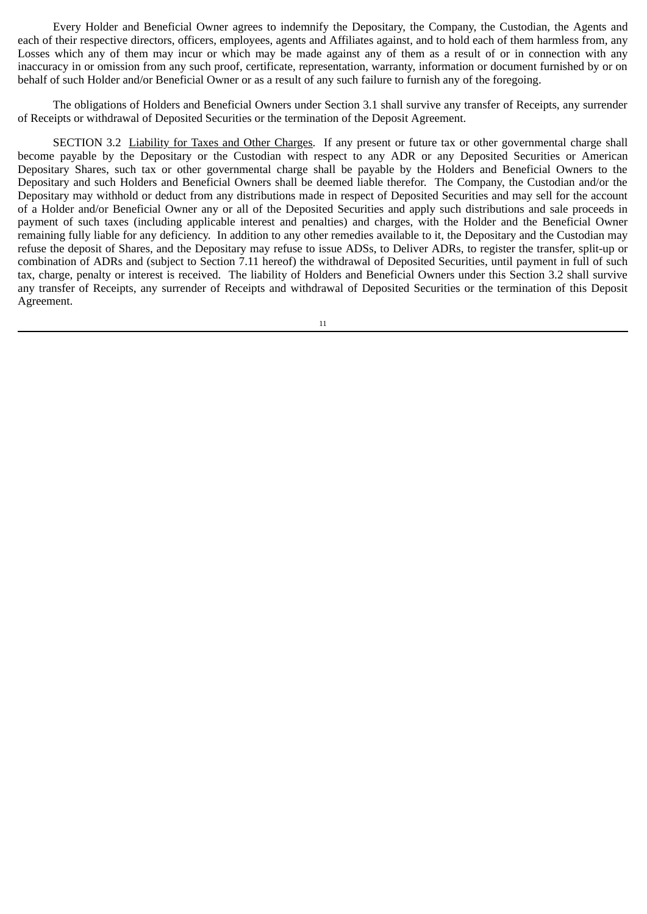Every Holder and Beneficial Owner agrees to indemnify the Depositary, the Company, the Custodian, the Agents and each of their respective directors, officers, employees, agents and Affiliates against, and to hold each of them harmless from, any Losses which any of them may incur or which may be made against any of them as a result of or in connection with any inaccuracy in or omission from any such proof, certificate, representation, warranty, information or document furnished by or on behalf of such Holder and/or Beneficial Owner or as a result of any such failure to furnish any of the foregoing.

The obligations of Holders and Beneficial Owners under Section 3.1 shall survive any transfer of Receipts, any surrender of Receipts or withdrawal of Deposited Securities or the termination of the Deposit Agreement.

SECTION 3.2 Liability for Taxes and Other Charges. If any present or future tax or other governmental charge shall become payable by the Depositary or the Custodian with respect to any ADR or any Deposited Securities or American Depositary Shares, such tax or other governmental charge shall be payable by the Holders and Beneficial Owners to the Depositary and such Holders and Beneficial Owners shall be deemed liable therefor. The Company, the Custodian and/or the Depositary may withhold or deduct from any distributions made in respect of Deposited Securities and may sell for the account of a Holder and/or Beneficial Owner any or all of the Deposited Securities and apply such distributions and sale proceeds in payment of such taxes (including applicable interest and penalties) and charges, with the Holder and the Beneficial Owner remaining fully liable for any deficiency. In addition to any other remedies available to it, the Depositary and the Custodian may refuse the deposit of Shares, and the Depositary may refuse to issue ADSs, to Deliver ADRs, to register the transfer, split‑up or combination of ADRs and (subject to Section 7.11 hereof) the withdrawal of Deposited Securities, until payment in full of such tax, charge, penalty or interest is received. The liability of Holders and Beneficial Owners under this Section 3.2 shall survive any transfer of Receipts, any surrender of Receipts and withdrawal of Deposited Securities or the termination of this Deposit Agreement.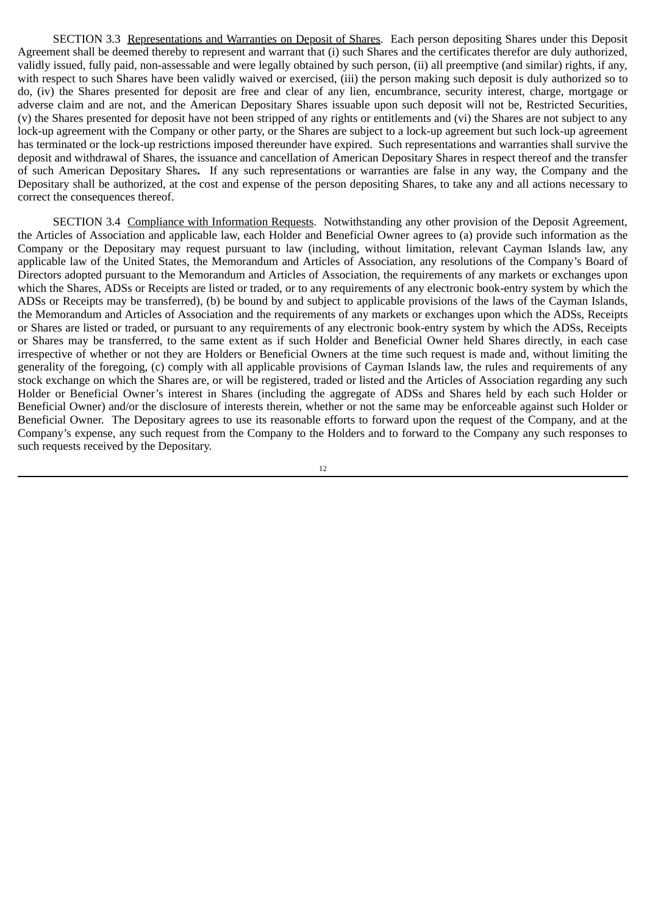SECTION 3.3 Representations and Warranties on Deposit of Shares. Each person depositing Shares under this Deposit Agreement shall be deemed thereby to represent and warrant that (i) such Shares and the certificates therefor are duly authorized, validly issued, fully paid, non‑assessable and were legally obtained by such person, (ii) all preemptive (and similar) rights, if any, with respect to such Shares have been validly waived or exercised, (iii) the person making such deposit is duly authorized so to do, (iv) the Shares presented for deposit are free and clear of any lien, encumbrance, security interest, charge, mortgage or adverse claim and are not, and the American Depositary Shares issuable upon such deposit will not be, Restricted Securities, (v) the Shares presented for deposit have not been stripped of any rights or entitlements and (vi) the Shares are not subject to any lock-up agreement with the Company or other party, or the Shares are subject to a lock-up agreement but such lock-up agreement has terminated or the lock-up restrictions imposed thereunder have expired. Such representations and warranties shall survive the deposit and withdrawal of Shares, the issuance and cancellation of American Depositary Shares in respect thereof and the transfer of such American Depositary Shares**.** If any such representations or warranties are false in any way, the Company and the Depositary shall be authorized, at the cost and expense of the person depositing Shares, to take any and all actions necessary to correct the consequences thereof.

SECTION 3.4 Compliance with Information Requests. Notwithstanding any other provision of the Deposit Agreement, the Articles of Association and applicable law, each Holder and Beneficial Owner agrees to (a) provide such information as the Company or the Depositary may request pursuant to law (including, without limitation, relevant Cayman Islands law, any applicable law of the United States, the Memorandum and Articles of Association, any resolutions of the Company's Board of Directors adopted pursuant to the Memorandum and Articles of Association, the requirements of any markets or exchanges upon which the Shares, ADSs or Receipts are listed or traded, or to any requirements of any electronic book-entry system by which the ADSs or Receipts may be transferred), (b) be bound by and subject to applicable provisions of the laws of the Cayman Islands, the Memorandum and Articles of Association and the requirements of any markets or exchanges upon which the ADSs, Receipts or Shares are listed or traded, or pursuant to any requirements of any electronic book‑entry system by which the ADSs, Receipts or Shares may be transferred, to the same extent as if such Holder and Beneficial Owner held Shares directly, in each case irrespective of whether or not they are Holders or Beneficial Owners at the time such request is made and, without limiting the generality of the foregoing, (c) comply with all applicable provisions of Cayman Islands law, the rules and requirements of any stock exchange on which the Shares are, or will be registered, traded or listed and the Articles of Association regarding any such Holder or Beneficial Owner's interest in Shares (including the aggregate of ADSs and Shares held by each such Holder or Beneficial Owner) and/or the disclosure of interests therein, whether or not the same may be enforceable against such Holder or Beneficial Owner. The Depositary agrees to use its reasonable efforts to forward upon the request of the Company, and at the Company's expense, any such request from the Company to the Holders and to forward to the Company any such responses to such requests received by the Depositary.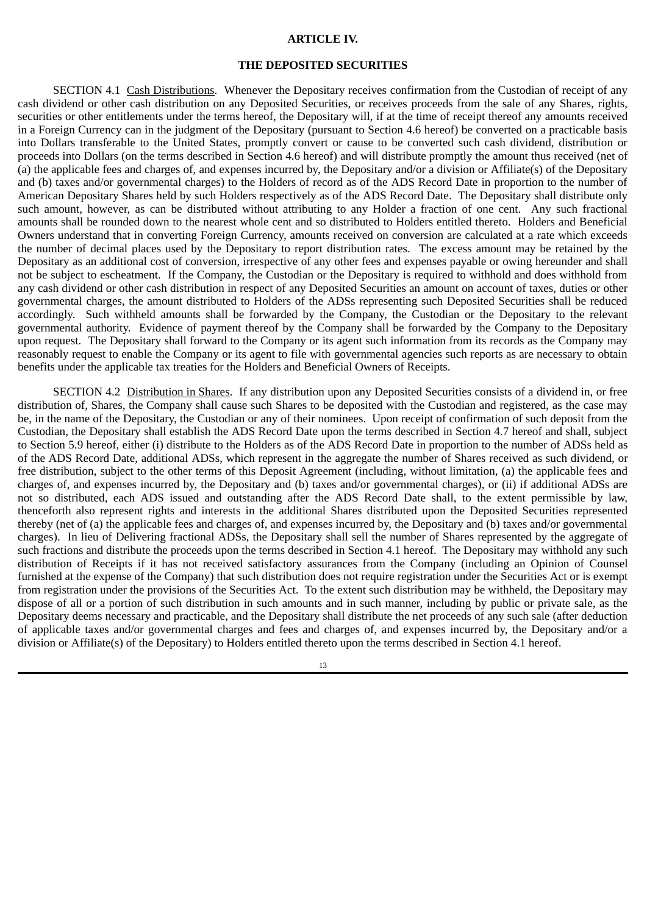#### **ARTICLE IV.**

### **THE DEPOSITED SECURITIES**

SECTION 4.1 Cash Distributions. Whenever the Depositary receives confirmation from the Custodian of receipt of any cash dividend or other cash distribution on any Deposited Securities, or receives proceeds from the sale of any Shares, rights, securities or other entitlements under the terms hereof, the Depositary will, if at the time of receipt thereof any amounts received in a Foreign Currency can in the judgment of the Depositary (pursuant to Section 4.6 hereof) be converted on a practicable basis into Dollars transferable to the United States, promptly convert or cause to be converted such cash dividend, distribution or proceeds into Dollars (on the terms described in Section 4.6 hereof) and will distribute promptly the amount thus received (net of (a) the applicable fees and charges of, and expenses incurred by, the Depositary and/or a division or Affiliate(s) of the Depositary and (b) taxes and/or governmental charges) to the Holders of record as of the ADS Record Date in proportion to the number of American Depositary Shares held by such Holders respectively as of the ADS Record Date. The Depositary shall distribute only such amount, however, as can be distributed without attributing to any Holder a fraction of one cent. Any such fractional amounts shall be rounded down to the nearest whole cent and so distributed to Holders entitled thereto. Holders and Beneficial Owners understand that in converting Foreign Currency, amounts received on conversion are calculated at a rate which exceeds the number of decimal places used by the Depositary to report distribution rates. The excess amount may be retained by the Depositary as an additional cost of conversion, irrespective of any other fees and expenses payable or owing hereunder and shall not be subject to escheatment. If the Company, the Custodian or the Depositary is required to withhold and does withhold from any cash dividend or other cash distribution in respect of any Deposited Securities an amount on account of taxes, duties or other governmental charges, the amount distributed to Holders of the ADSs representing such Deposited Securities shall be reduced accordingly. Such withheld amounts shall be forwarded by the Company, the Custodian or the Depositary to the relevant governmental authority. Evidence of payment thereof by the Company shall be forwarded by the Company to the Depositary upon request. The Depositary shall forward to the Company or its agent such information from its records as the Company may reasonably request to enable the Company or its agent to file with governmental agencies such reports as are necessary to obtain benefits under the applicable tax treaties for the Holders and Beneficial Owners of Receipts.

SECTION 4.2 Distribution in Shares. If any distribution upon any Deposited Securities consists of a dividend in, or free distribution of, Shares, the Company shall cause such Shares to be deposited with the Custodian and registered, as the case may be, in the name of the Depositary, the Custodian or any of their nominees. Upon receipt of confirmation of such deposit from the Custodian, the Depositary shall establish the ADS Record Date upon the terms described in Section 4.7 hereof and shall, subject to Section 5.9 hereof, either (i) distribute to the Holders as of the ADS Record Date in proportion to the number of ADSs held as of the ADS Record Date, additional ADSs, which represent in the aggregate the number of Shares received as such dividend, or free distribution, subject to the other terms of this Deposit Agreement (including, without limitation, (a) the applicable fees and charges of, and expenses incurred by, the Depositary and (b) taxes and/or governmental charges), or (ii) if additional ADSs are not so distributed, each ADS issued and outstanding after the ADS Record Date shall, to the extent permissible by law, thenceforth also represent rights and interests in the additional Shares distributed upon the Deposited Securities represented thereby (net of (a) the applicable fees and charges of, and expenses incurred by, the Depositary and (b) taxes and/or governmental charges). In lieu of Delivering fractional ADSs, the Depositary shall sell the number of Shares represented by the aggregate of such fractions and distribute the proceeds upon the terms described in Section 4.1 hereof. The Depositary may withhold any such distribution of Receipts if it has not received satisfactory assurances from the Company (including an Opinion of Counsel furnished at the expense of the Company) that such distribution does not require registration under the Securities Act or is exempt from registration under the provisions of the Securities Act. To the extent such distribution may be withheld, the Depositary may dispose of all or a portion of such distribution in such amounts and in such manner, including by public or private sale, as the Depositary deems necessary and practicable, and the Depositary shall distribute the net proceeds of any such sale (after deduction of applicable taxes and/or governmental charges and fees and charges of, and expenses incurred by, the Depositary and/or a division or Affiliate(s) of the Depositary) to Holders entitled thereto upon the terms described in Section 4.1 hereof.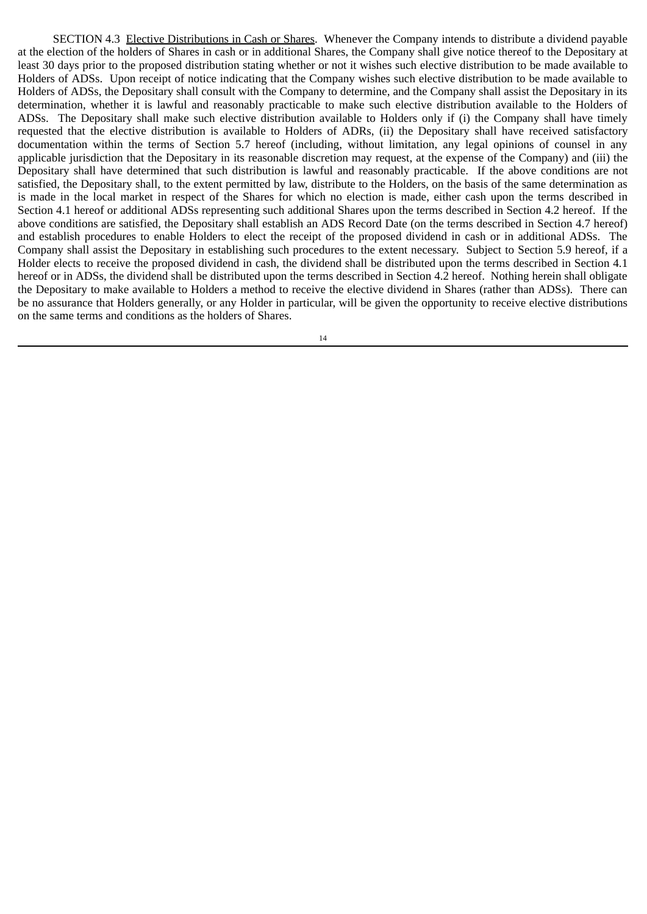SECTION 4.3 Elective Distributions in Cash or Shares. Whenever the Company intends to distribute a dividend payable at the election of the holders of Shares in cash or in additional Shares, the Company shall give notice thereof to the Depositary at least 30 days prior to the proposed distribution stating whether or not it wishes such elective distribution to be made available to Holders of ADSs. Upon receipt of notice indicating that the Company wishes such elective distribution to be made available to Holders of ADSs, the Depositary shall consult with the Company to determine, and the Company shall assist the Depositary in its determination, whether it is lawful and reasonably practicable to make such elective distribution available to the Holders of ADSs. The Depositary shall make such elective distribution available to Holders only if (i) the Company shall have timely requested that the elective distribution is available to Holders of ADRs, (ii) the Depositary shall have received satisfactory documentation within the terms of Section 5.7 hereof (including, without limitation, any legal opinions of counsel in any applicable jurisdiction that the Depositary in its reasonable discretion may request, at the expense of the Company) and (iii) the Depositary shall have determined that such distribution is lawful and reasonably practicable. If the above conditions are not satisfied, the Depositary shall, to the extent permitted by law, distribute to the Holders, on the basis of the same determination as is made in the local market in respect of the Shares for which no election is made, either cash upon the terms described in Section 4.1 hereof or additional ADSs representing such additional Shares upon the terms described in Section 4.2 hereof. If the above conditions are satisfied, the Depositary shall establish an ADS Record Date (on the terms described in Section 4.7 hereof) and establish procedures to enable Holders to elect the receipt of the proposed dividend in cash or in additional ADSs. The Company shall assist the Depositary in establishing such procedures to the extent necessary. Subject to Section 5.9 hereof, if a Holder elects to receive the proposed dividend in cash, the dividend shall be distributed upon the terms described in Section 4.1 hereof or in ADSs, the dividend shall be distributed upon the terms described in Section 4.2 hereof. Nothing herein shall obligate the Depositary to make available to Holders a method to receive the elective dividend in Shares (rather than ADSs). There can be no assurance that Holders generally, or any Holder in particular, will be given the opportunity to receive elective distributions on the same terms and conditions as the holders of Shares.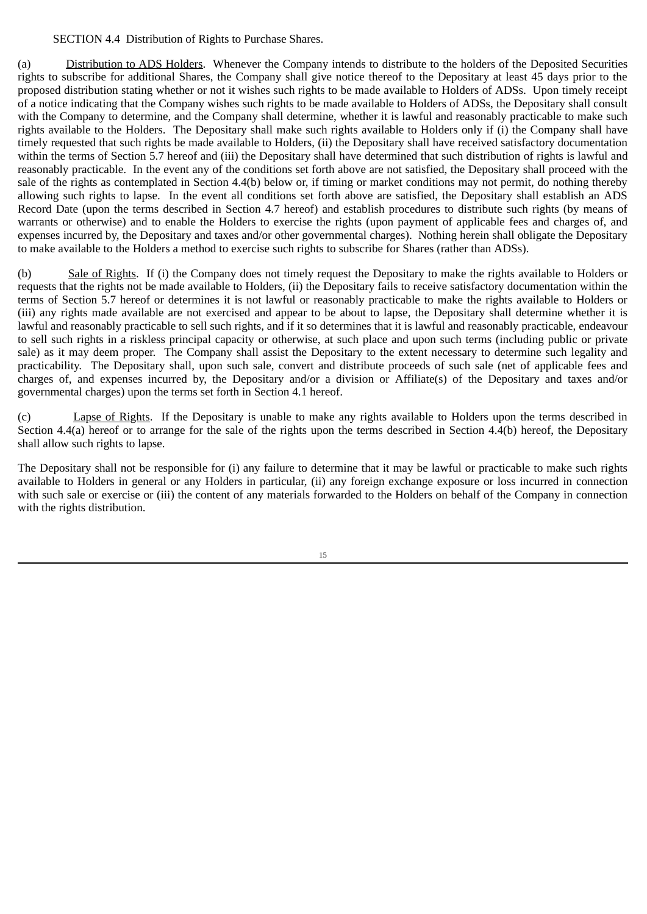## SECTION 4.4 Distribution of Rights to Purchase Shares.

(a) Distribution to ADS Holders. Whenever the Company intends to distribute to the holders of the Deposited Securities rights to subscribe for additional Shares, the Company shall give notice thereof to the Depositary at least 45 days prior to the proposed distribution stating whether or not it wishes such rights to be made available to Holders of ADSs. Upon timely receipt of a notice indicating that the Company wishes such rights to be made available to Holders of ADSs, the Depositary shall consult with the Company to determine, and the Company shall determine, whether it is lawful and reasonably practicable to make such rights available to the Holders. The Depositary shall make such rights available to Holders only if (i) the Company shall have timely requested that such rights be made available to Holders, (ii) the Depositary shall have received satisfactory documentation within the terms of Section 5.7 hereof and (iii) the Depositary shall have determined that such distribution of rights is lawful and reasonably practicable. In the event any of the conditions set forth above are not satisfied, the Depositary shall proceed with the sale of the rights as contemplated in Section 4.4(b) below or, if timing or market conditions may not permit, do nothing thereby allowing such rights to lapse. In the event all conditions set forth above are satisfied, the Depositary shall establish an ADS Record Date (upon the terms described in Section 4.7 hereof) and establish procedures to distribute such rights (by means of warrants or otherwise) and to enable the Holders to exercise the rights (upon payment of applicable fees and charges of, and expenses incurred by, the Depositary and taxes and/or other governmental charges). Nothing herein shall obligate the Depositary to make available to the Holders a method to exercise such rights to subscribe for Shares (rather than ADSs).

(b) Sale of Rights. If (i) the Company does not timely request the Depositary to make the rights available to Holders or requests that the rights not be made available to Holders, (ii) the Depositary fails to receive satisfactory documentation within the terms of Section 5.7 hereof or determines it is not lawful or reasonably practicable to make the rights available to Holders or (iii) any rights made available are not exercised and appear to be about to lapse, the Depositary shall determine whether it is lawful and reasonably practicable to sell such rights, and if it so determines that it is lawful and reasonably practicable, endeavour to sell such rights in a riskless principal capacity or otherwise, at such place and upon such terms (including public or private sale) as it may deem proper. The Company shall assist the Depositary to the extent necessary to determine such legality and practicability. The Depositary shall, upon such sale, convert and distribute proceeds of such sale (net of applicable fees and charges of, and expenses incurred by, the Depositary and/or a division or Affiliate(s) of the Depositary and taxes and/or governmental charges) upon the terms set forth in Section 4.1 hereof.

(c) Lapse of Rights. If the Depositary is unable to make any rights available to Holders upon the terms described in Section 4.4(a) hereof or to arrange for the sale of the rights upon the terms described in Section 4.4(b) hereof, the Depositary shall allow such rights to lapse.

The Depositary shall not be responsible for (i) any failure to determine that it may be lawful or practicable to make such rights available to Holders in general or any Holders in particular, (ii) any foreign exchange exposure or loss incurred in connection with such sale or exercise or (iii) the content of any materials forwarded to the Holders on behalf of the Company in connection with the rights distribution.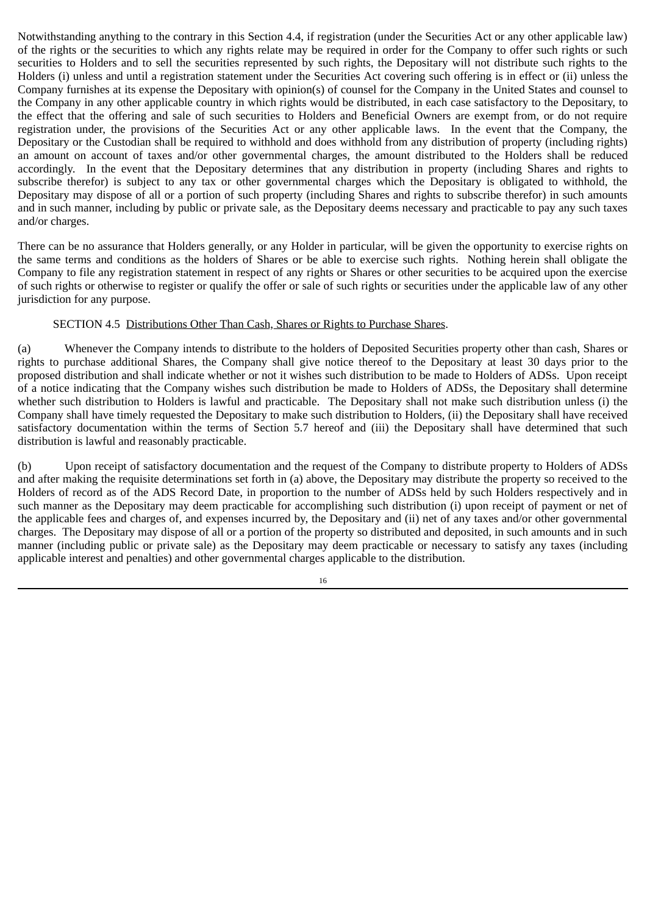Notwithstanding anything to the contrary in this Section 4.4, if registration (under the Securities Act or any other applicable law) of the rights or the securities to which any rights relate may be required in order for the Company to offer such rights or such securities to Holders and to sell the securities represented by such rights, the Depositary will not distribute such rights to the Holders (i) unless and until a registration statement under the Securities Act covering such offering is in effect or (ii) unless the Company furnishes at its expense the Depositary with opinion(s) of counsel for the Company in the United States and counsel to the Company in any other applicable country in which rights would be distributed, in each case satisfactory to the Depositary, to the effect that the offering and sale of such securities to Holders and Beneficial Owners are exempt from, or do not require registration under, the provisions of the Securities Act or any other applicable laws. In the event that the Company, the Depositary or the Custodian shall be required to withhold and does withhold from any distribution of property (including rights) an amount on account of taxes and/or other governmental charges, the amount distributed to the Holders shall be reduced accordingly. In the event that the Depositary determines that any distribution in property (including Shares and rights to subscribe therefor) is subject to any tax or other governmental charges which the Depositary is obligated to withhold, the Depositary may dispose of all or a portion of such property (including Shares and rights to subscribe therefor) in such amounts and in such manner, including by public or private sale, as the Depositary deems necessary and practicable to pay any such taxes and/or charges.

There can be no assurance that Holders generally, or any Holder in particular, will be given the opportunity to exercise rights on the same terms and conditions as the holders of Shares or be able to exercise such rights. Nothing herein shall obligate the Company to file any registration statement in respect of any rights or Shares or other securities to be acquired upon the exercise of such rights or otherwise to register or qualify the offer or sale of such rights or securities under the applicable law of any other jurisdiction for any purpose.

## SECTION 4.5 Distributions Other Than Cash, Shares or Rights to Purchase Shares.

(a) Whenever the Company intends to distribute to the holders of Deposited Securities property other than cash, Shares or rights to purchase additional Shares, the Company shall give notice thereof to the Depositary at least 30 days prior to the proposed distribution and shall indicate whether or not it wishes such distribution to be made to Holders of ADSs. Upon receipt of a notice indicating that the Company wishes such distribution be made to Holders of ADSs, the Depositary shall determine whether such distribution to Holders is lawful and practicable. The Depositary shall not make such distribution unless (i) the Company shall have timely requested the Depositary to make such distribution to Holders, (ii) the Depositary shall have received satisfactory documentation within the terms of Section 5.7 hereof and (iii) the Depositary shall have determined that such distribution is lawful and reasonably practicable.

(b) Upon receipt of satisfactory documentation and the request of the Company to distribute property to Holders of ADSs and after making the requisite determinations set forth in (a) above, the Depositary may distribute the property so received to the Holders of record as of the ADS Record Date, in proportion to the number of ADSs held by such Holders respectively and in such manner as the Depositary may deem practicable for accomplishing such distribution (i) upon receipt of payment or net of the applicable fees and charges of, and expenses incurred by, the Depositary and (ii) net of any taxes and/or other governmental charges. The Depositary may dispose of all or a portion of the property so distributed and deposited, in such amounts and in such manner (including public or private sale) as the Depositary may deem practicable or necessary to satisfy any taxes (including applicable interest and penalties) and other governmental charges applicable to the distribution.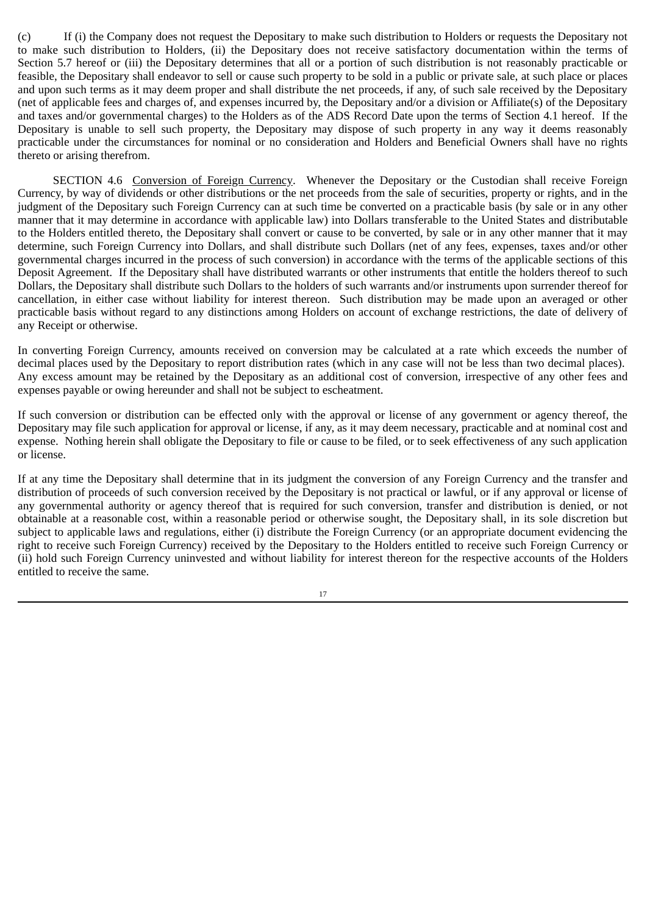(c) If (i) the Company does not request the Depositary to make such distribution to Holders or requests the Depositary not to make such distribution to Holders, (ii) the Depositary does not receive satisfactory documentation within the terms of Section 5.7 hereof or (iii) the Depositary determines that all or a portion of such distribution is not reasonably practicable or feasible, the Depositary shall endeavor to sell or cause such property to be sold in a public or private sale, at such place or places and upon such terms as it may deem proper and shall distribute the net proceeds, if any, of such sale received by the Depositary (net of applicable fees and charges of, and expenses incurred by, the Depositary and/or a division or Affiliate(s) of the Depositary and taxes and/or governmental charges) to the Holders as of the ADS Record Date upon the terms of Section 4.1 hereof. If the Depositary is unable to sell such property, the Depositary may dispose of such property in any way it deems reasonably practicable under the circumstances for nominal or no consideration and Holders and Beneficial Owners shall have no rights thereto or arising therefrom.

SECTION 4.6 Conversion of Foreign Currency. Whenever the Depositary or the Custodian shall receive Foreign Currency, by way of dividends or other distributions or the net proceeds from the sale of securities, property or rights, and in the judgment of the Depositary such Foreign Currency can at such time be converted on a practicable basis (by sale or in any other manner that it may determine in accordance with applicable law) into Dollars transferable to the United States and distributable to the Holders entitled thereto, the Depositary shall convert or cause to be converted, by sale or in any other manner that it may determine, such Foreign Currency into Dollars, and shall distribute such Dollars (net of any fees, expenses, taxes and/or other governmental charges incurred in the process of such conversion) in accordance with the terms of the applicable sections of this Deposit Agreement. If the Depositary shall have distributed warrants or other instruments that entitle the holders thereof to such Dollars, the Depositary shall distribute such Dollars to the holders of such warrants and/or instruments upon surrender thereof for cancellation, in either case without liability for interest thereon. Such distribution may be made upon an averaged or other practicable basis without regard to any distinctions among Holders on account of exchange restrictions, the date of delivery of any Receipt or otherwise.

In converting Foreign Currency, amounts received on conversion may be calculated at a rate which exceeds the number of decimal places used by the Depositary to report distribution rates (which in any case will not be less than two decimal places). Any excess amount may be retained by the Depositary as an additional cost of conversion, irrespective of any other fees and expenses payable or owing hereunder and shall not be subject to escheatment.

If such conversion or distribution can be effected only with the approval or license of any government or agency thereof, the Depositary may file such application for approval or license, if any, as it may deem necessary, practicable and at nominal cost and expense. Nothing herein shall obligate the Depositary to file or cause to be filed, or to seek effectiveness of any such application or license.

If at any time the Depositary shall determine that in its judgment the conversion of any Foreign Currency and the transfer and distribution of proceeds of such conversion received by the Depositary is not practical or lawful, or if any approval or license of any governmental authority or agency thereof that is required for such conversion, transfer and distribution is denied, or not obtainable at a reasonable cost, within a reasonable period or otherwise sought, the Depositary shall, in its sole discretion but subject to applicable laws and regulations, either (i) distribute the Foreign Currency (or an appropriate document evidencing the right to receive such Foreign Currency) received by the Depositary to the Holders entitled to receive such Foreign Currency or (ii) hold such Foreign Currency uninvested and without liability for interest thereon for the respective accounts of the Holders entitled to receive the same.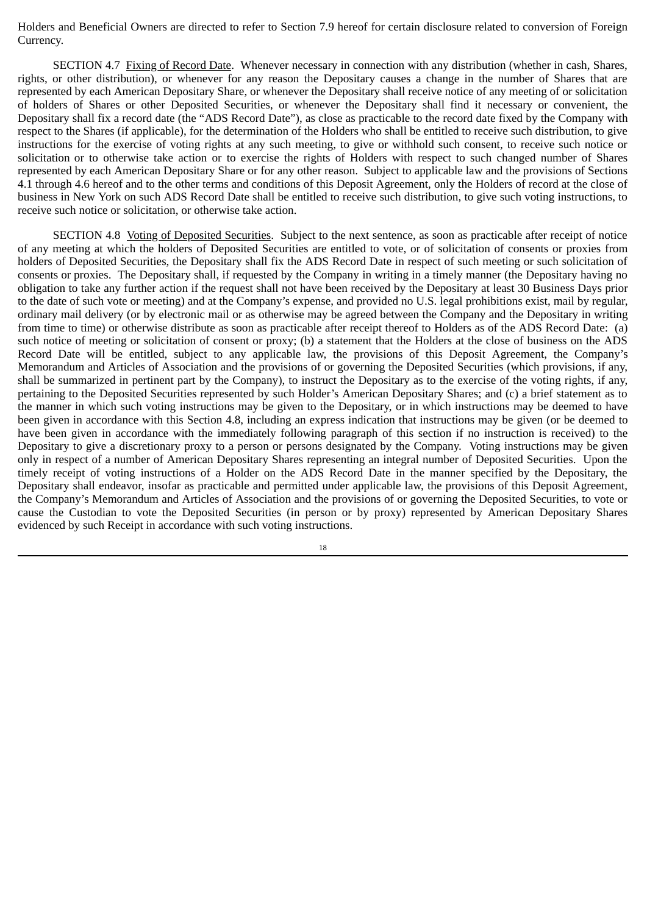Holders and Beneficial Owners are directed to refer to Section 7.9 hereof for certain disclosure related to conversion of Foreign Currency.

SECTION 4.7 Fixing of Record Date. Whenever necessary in connection with any distribution (whether in cash, Shares, rights, or other distribution), or whenever for any reason the Depositary causes a change in the number of Shares that are represented by each American Depositary Share, or whenever the Depositary shall receive notice of any meeting of or solicitation of holders of Shares or other Deposited Securities, or whenever the Depositary shall find it necessary or convenient, the Depositary shall fix a record date (the "ADS Record Date"), as close as practicable to the record date fixed by the Company with respect to the Shares (if applicable), for the determination of the Holders who shall be entitled to receive such distribution, to give instructions for the exercise of voting rights at any such meeting, to give or withhold such consent, to receive such notice or solicitation or to otherwise take action or to exercise the rights of Holders with respect to such changed number of Shares represented by each American Depositary Share or for any other reason. Subject to applicable law and the provisions of Sections 4.1 through 4.6 hereof and to the other terms and conditions of this Deposit Agreement, only the Holders of record at the close of business in New York on such ADS Record Date shall be entitled to receive such distribution, to give such voting instructions, to receive such notice or solicitation, or otherwise take action.

SECTION 4.8 Voting of Deposited Securities. Subject to the next sentence, as soon as practicable after receipt of notice of any meeting at which the holders of Deposited Securities are entitled to vote, or of solicitation of consents or proxies from holders of Deposited Securities, the Depositary shall fix the ADS Record Date in respect of such meeting or such solicitation of consents or proxies. The Depositary shall, if requested by the Company in writing in a timely manner (the Depositary having no obligation to take any further action if the request shall not have been received by the Depositary at least 30 Business Days prior to the date of such vote or meeting) and at the Company's expense, and provided no U.S. legal prohibitions exist, mail by regular, ordinary mail delivery (or by electronic mail or as otherwise may be agreed between the Company and the Depositary in writing from time to time) or otherwise distribute as soon as practicable after receipt thereof to Holders as of the ADS Record Date: (a) such notice of meeting or solicitation of consent or proxy; (b) a statement that the Holders at the close of business on the ADS Record Date will be entitled, subject to any applicable law, the provisions of this Deposit Agreement, the Company's Memorandum and Articles of Association and the provisions of or governing the Deposited Securities (which provisions, if any, shall be summarized in pertinent part by the Company), to instruct the Depositary as to the exercise of the voting rights, if any, pertaining to the Deposited Securities represented by such Holder's American Depositary Shares; and (c) a brief statement as to the manner in which such voting instructions may be given to the Depositary, or in which instructions may be deemed to have been given in accordance with this Section 4.8, including an express indication that instructions may be given (or be deemed to have been given in accordance with the immediately following paragraph of this section if no instruction is received) to the Depositary to give a discretionary proxy to a person or persons designated by the Company. Voting instructions may be given only in respect of a number of American Depositary Shares representing an integral number of Deposited Securities. Upon the timely receipt of voting instructions of a Holder on the ADS Record Date in the manner specified by the Depositary, the Depositary shall endeavor, insofar as practicable and permitted under applicable law, the provisions of this Deposit Agreement, the Company's Memorandum and Articles of Association and the provisions of or governing the Deposited Securities, to vote or cause the Custodian to vote the Deposited Securities (in person or by proxy) represented by American Depositary Shares evidenced by such Receipt in accordance with such voting instructions.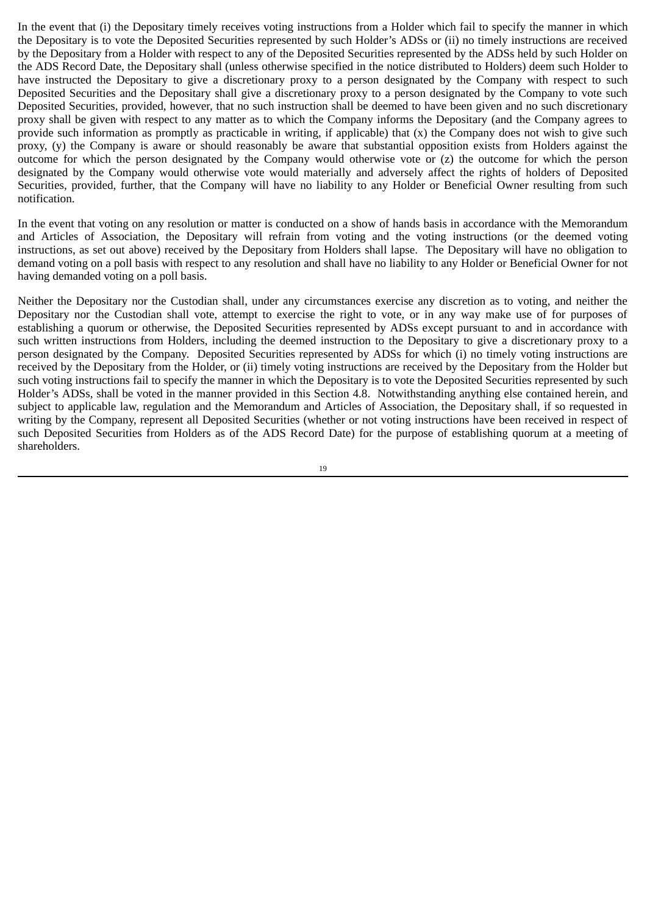In the event that (i) the Depositary timely receives voting instructions from a Holder which fail to specify the manner in which the Depositary is to vote the Deposited Securities represented by such Holder's ADSs or (ii) no timely instructions are received by the Depositary from a Holder with respect to any of the Deposited Securities represented by the ADSs held by such Holder on the ADS Record Date, the Depositary shall (unless otherwise specified in the notice distributed to Holders) deem such Holder to have instructed the Depositary to give a discretionary proxy to a person designated by the Company with respect to such Deposited Securities and the Depositary shall give a discretionary proxy to a person designated by the Company to vote such Deposited Securities, provided, however, that no such instruction shall be deemed to have been given and no such discretionary proxy shall be given with respect to any matter as to which the Company informs the Depositary (and the Company agrees to provide such information as promptly as practicable in writing, if applicable) that (x) the Company does not wish to give such proxy, (y) the Company is aware or should reasonably be aware that substantial opposition exists from Holders against the outcome for which the person designated by the Company would otherwise vote or (z) the outcome for which the person designated by the Company would otherwise vote would materially and adversely affect the rights of holders of Deposited Securities, provided, further, that the Company will have no liability to any Holder or Beneficial Owner resulting from such notification.

In the event that voting on any resolution or matter is conducted on a show of hands basis in accordance with the Memorandum and Articles of Association, the Depositary will refrain from voting and the voting instructions (or the deemed voting instructions, as set out above) received by the Depositary from Holders shall lapse. The Depositary will have no obligation to demand voting on a poll basis with respect to any resolution and shall have no liability to any Holder or Beneficial Owner for not having demanded voting on a poll basis.

Neither the Depositary nor the Custodian shall, under any circumstances exercise any discretion as to voting, and neither the Depositary nor the Custodian shall vote, attempt to exercise the right to vote, or in any way make use of for purposes of establishing a quorum or otherwise, the Deposited Securities represented by ADSs except pursuant to and in accordance with such written instructions from Holders, including the deemed instruction to the Depositary to give a discretionary proxy to a person designated by the Company. Deposited Securities represented by ADSs for which (i) no timely voting instructions are received by the Depositary from the Holder, or (ii) timely voting instructions are received by the Depositary from the Holder but such voting instructions fail to specify the manner in which the Depositary is to vote the Deposited Securities represented by such Holder's ADSs, shall be voted in the manner provided in this Section 4.8. Notwithstanding anything else contained herein, and subject to applicable law, regulation and the Memorandum and Articles of Association, the Depositary shall, if so requested in writing by the Company, represent all Deposited Securities (whether or not voting instructions have been received in respect of such Deposited Securities from Holders as of the ADS Record Date) for the purpose of establishing quorum at a meeting of shareholders.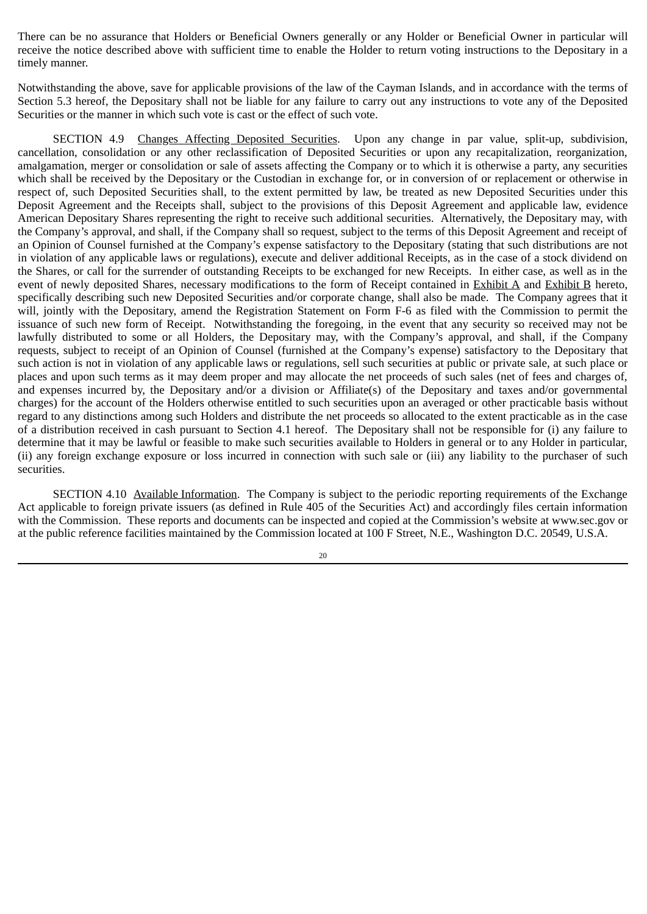There can be no assurance that Holders or Beneficial Owners generally or any Holder or Beneficial Owner in particular will receive the notice described above with sufficient time to enable the Holder to return voting instructions to the Depositary in a timely manner.

Notwithstanding the above, save for applicable provisions of the law of the Cayman Islands, and in accordance with the terms of Section 5.3 hereof, the Depositary shall not be liable for any failure to carry out any instructions to vote any of the Deposited Securities or the manner in which such vote is cast or the effect of such vote.

SECTION 4.9 Changes Affecting Deposited Securities. Upon any change in par value, split‑up, subdivision, cancellation, consolidation or any other reclassification of Deposited Securities or upon any recapitalization, reorganization, amalgamation, merger or consolidation or sale of assets affecting the Company or to which it is otherwise a party, any securities which shall be received by the Depositary or the Custodian in exchange for, or in conversion of or replacement or otherwise in respect of, such Deposited Securities shall, to the extent permitted by law, be treated as new Deposited Securities under this Deposit Agreement and the Receipts shall, subject to the provisions of this Deposit Agreement and applicable law, evidence American Depositary Shares representing the right to receive such additional securities. Alternatively, the Depositary may, with the Company's approval, and shall, if the Company shall so request, subject to the terms of this Deposit Agreement and receipt of an Opinion of Counsel furnished at the Company's expense satisfactory to the Depositary (stating that such distributions are not in violation of any applicable laws or regulations), execute and deliver additional Receipts, as in the case of a stock dividend on the Shares, or call for the surrender of outstanding Receipts to be exchanged for new Receipts. In either case, as well as in the event of newly deposited Shares, necessary modifications to the form of Receipt contained in Exhibit A and Exhibit B hereto, specifically describing such new Deposited Securities and/or corporate change, shall also be made. The Company agrees that it will, jointly with the Depositary, amend the Registration Statement on Form F-6 as filed with the Commission to permit the issuance of such new form of Receipt. Notwithstanding the foregoing, in the event that any security so received may not be lawfully distributed to some or all Holders, the Depositary may, with the Company's approval, and shall, if the Company requests, subject to receipt of an Opinion of Counsel (furnished at the Company's expense) satisfactory to the Depositary that such action is not in violation of any applicable laws or regulations, sell such securities at public or private sale, at such place or places and upon such terms as it may deem proper and may allocate the net proceeds of such sales (net of fees and charges of, and expenses incurred by, the Depositary and/or a division or Affiliate(s) of the Depositary and taxes and/or governmental charges) for the account of the Holders otherwise entitled to such securities upon an averaged or other practicable basis without regard to any distinctions among such Holders and distribute the net proceeds so allocated to the extent practicable as in the case of a distribution received in cash pursuant to Section 4.1 hereof. The Depositary shall not be responsible for (i) any failure to determine that it may be lawful or feasible to make such securities available to Holders in general or to any Holder in particular, (ii) any foreign exchange exposure or loss incurred in connection with such sale or (iii) any liability to the purchaser of such securities.

SECTION 4.10 Available Information. The Company is subject to the periodic reporting requirements of the Exchange Act applicable to foreign private issuers (as defined in Rule 405 of the Securities Act) and accordingly files certain information with the Commission. These reports and documents can be inspected and copied at the Commission's website at www.sec.gov or at the public reference facilities maintained by the Commission located at 100 F Street, N.E., Washington D.C. 20549, U.S.A.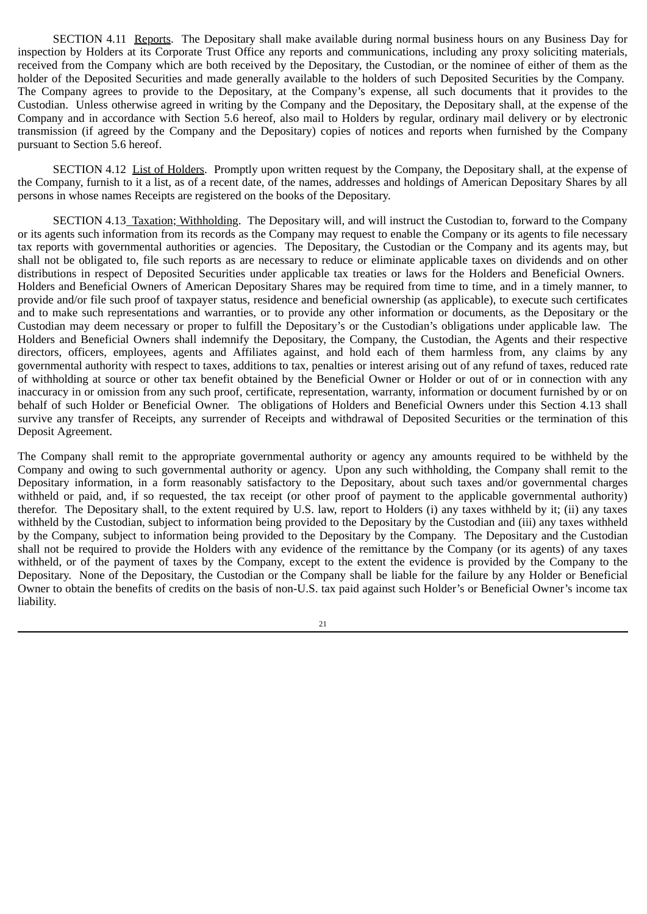SECTION 4.11 Reports. The Depositary shall make available during normal business hours on any Business Day for inspection by Holders at its Corporate Trust Office any reports and communications, including any proxy soliciting materials, received from the Company which are both received by the Depositary, the Custodian, or the nominee of either of them as the holder of the Deposited Securities and made generally available to the holders of such Deposited Securities by the Company. The Company agrees to provide to the Depositary, at the Company's expense, all such documents that it provides to the Custodian. Unless otherwise agreed in writing by the Company and the Depositary, the Depositary shall, at the expense of the Company and in accordance with Section 5.6 hereof, also mail to Holders by regular, ordinary mail delivery or by electronic transmission (if agreed by the Company and the Depositary) copies of notices and reports when furnished by the Company pursuant to Section 5.6 hereof.

SECTION 4.12 List of Holders. Promptly upon written request by the Company, the Depositary shall, at the expense of the Company, furnish to it a list, as of a recent date, of the names, addresses and holdings of American Depositary Shares by all persons in whose names Receipts are registered on the books of the Depositary.

SECTION 4.13 Taxation; Withholding. The Depositary will, and will instruct the Custodian to, forward to the Company or its agents such information from its records as the Company may request to enable the Company or its agents to file necessary tax reports with governmental authorities or agencies. The Depositary, the Custodian or the Company and its agents may, but shall not be obligated to, file such reports as are necessary to reduce or eliminate applicable taxes on dividends and on other distributions in respect of Deposited Securities under applicable tax treaties or laws for the Holders and Beneficial Owners. Holders and Beneficial Owners of American Depositary Shares may be required from time to time, and in a timely manner, to provide and/or file such proof of taxpayer status, residence and beneficial ownership (as applicable), to execute such certificates and to make such representations and warranties, or to provide any other information or documents, as the Depositary or the Custodian may deem necessary or proper to fulfill the Depositary's or the Custodian's obligations under applicable law. The Holders and Beneficial Owners shall indemnify the Depositary, the Company, the Custodian, the Agents and their respective directors, officers, employees, agents and Affiliates against, and hold each of them harmless from, any claims by any governmental authority with respect to taxes, additions to tax, penalties or interest arising out of any refund of taxes, reduced rate of withholding at source or other tax benefit obtained by the Beneficial Owner or Holder or out of or in connection with any inaccuracy in or omission from any such proof, certificate, representation, warranty, information or document furnished by or on behalf of such Holder or Beneficial Owner. The obligations of Holders and Beneficial Owners under this Section 4.13 shall survive any transfer of Receipts, any surrender of Receipts and withdrawal of Deposited Securities or the termination of this Deposit Agreement.

The Company shall remit to the appropriate governmental authority or agency any amounts required to be withheld by the Company and owing to such governmental authority or agency. Upon any such withholding, the Company shall remit to the Depositary information, in a form reasonably satisfactory to the Depositary, about such taxes and/or governmental charges withheld or paid, and, if so requested, the tax receipt (or other proof of payment to the applicable governmental authority) therefor. The Depositary shall, to the extent required by U.S. law, report to Holders (i) any taxes withheld by it; (ii) any taxes withheld by the Custodian, subject to information being provided to the Depositary by the Custodian and (iii) any taxes withheld by the Company, subject to information being provided to the Depositary by the Company. The Depositary and the Custodian shall not be required to provide the Holders with any evidence of the remittance by the Company (or its agents) of any taxes withheld, or of the payment of taxes by the Company, except to the extent the evidence is provided by the Company to the Depositary. None of the Depositary, the Custodian or the Company shall be liable for the failure by any Holder or Beneficial Owner to obtain the benefits of credits on the basis of non‑U.S. tax paid against such Holder's or Beneficial Owner's income tax liability.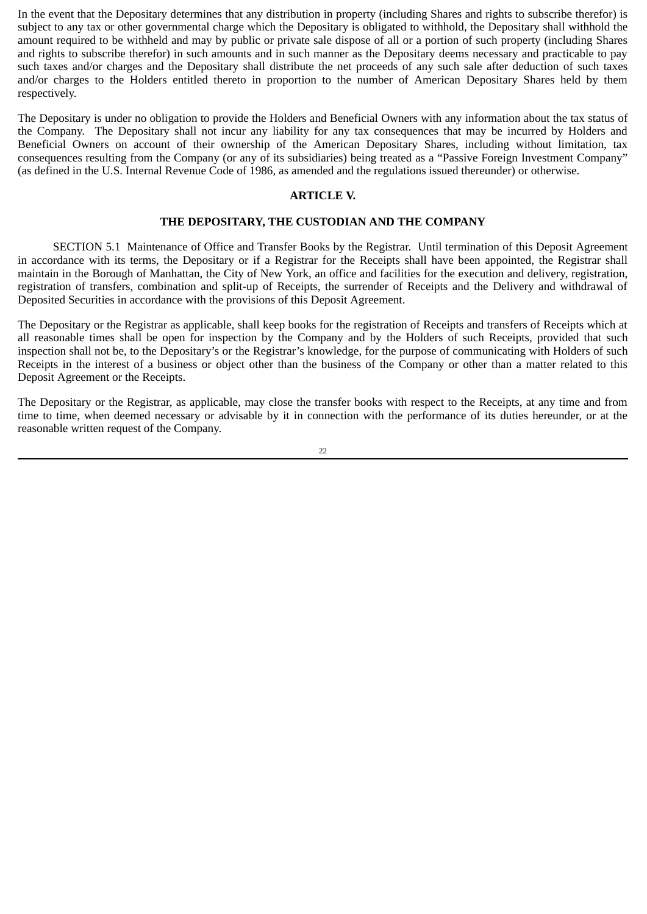In the event that the Depositary determines that any distribution in property (including Shares and rights to subscribe therefor) is subject to any tax or other governmental charge which the Depositary is obligated to withhold, the Depositary shall withhold the amount required to be withheld and may by public or private sale dispose of all or a portion of such property (including Shares and rights to subscribe therefor) in such amounts and in such manner as the Depositary deems necessary and practicable to pay such taxes and/or charges and the Depositary shall distribute the net proceeds of any such sale after deduction of such taxes and/or charges to the Holders entitled thereto in proportion to the number of American Depositary Shares held by them respectively.

The Depositary is under no obligation to provide the Holders and Beneficial Owners with any information about the tax status of the Company. The Depositary shall not incur any liability for any tax consequences that may be incurred by Holders and Beneficial Owners on account of their ownership of the American Depositary Shares, including without limitation, tax consequences resulting from the Company (or any of its subsidiaries) being treated as a "Passive Foreign Investment Company" (as defined in the U.S. Internal Revenue Code of 1986, as amended and the regulations issued thereunder) or otherwise.

## **ARTICLE V.**

## **THE DEPOSITARY, THE CUSTODIAN AND THE COMPANY**

SECTION 5.1 Maintenance of Office and Transfer Books by the Registrar. Until termination of this Deposit Agreement in accordance with its terms, the Depositary or if a Registrar for the Receipts shall have been appointed, the Registrar shall maintain in the Borough of Manhattan, the City of New York, an office and facilities for the execution and delivery, registration, registration of transfers, combination and split-up of Receipts, the surrender of Receipts and the Delivery and withdrawal of Deposited Securities in accordance with the provisions of this Deposit Agreement.

The Depositary or the Registrar as applicable, shall keep books for the registration of Receipts and transfers of Receipts which at all reasonable times shall be open for inspection by the Company and by the Holders of such Receipts, provided that such inspection shall not be, to the Depositary's or the Registrar's knowledge, for the purpose of communicating with Holders of such Receipts in the interest of a business or object other than the business of the Company or other than a matter related to this Deposit Agreement or the Receipts.

The Depositary or the Registrar, as applicable, may close the transfer books with respect to the Receipts, at any time and from time to time, when deemed necessary or advisable by it in connection with the performance of its duties hereunder, or at the reasonable written request of the Company.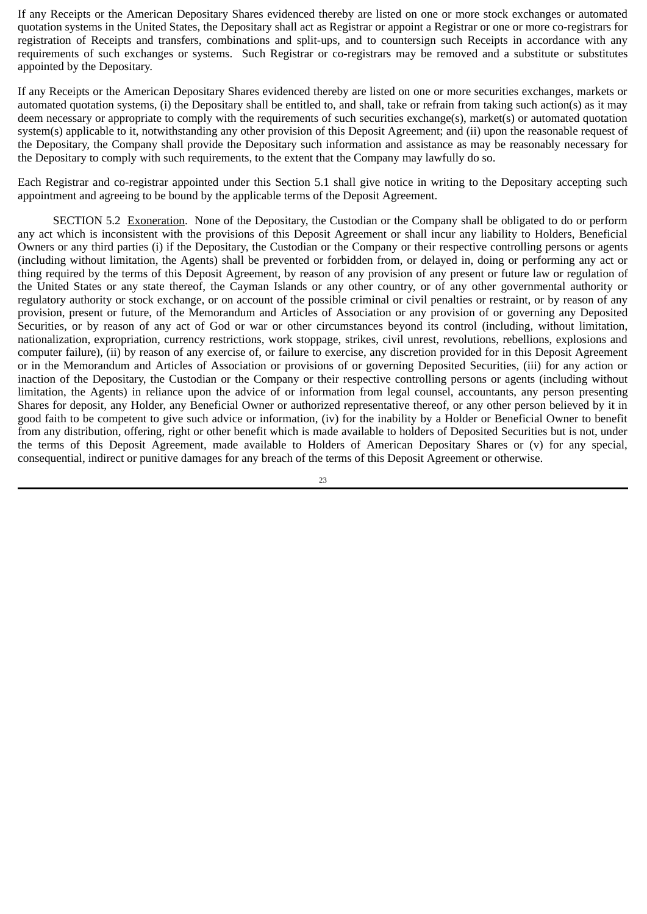If any Receipts or the American Depositary Shares evidenced thereby are listed on one or more stock exchanges or automated quotation systems in the United States, the Depositary shall act as Registrar or appoint a Registrar or one or more co‑registrars for registration of Receipts and transfers, combinations and split‑ups, and to countersign such Receipts in accordance with any requirements of such exchanges or systems. Such Registrar or co-registrars may be removed and a substitute or substitutes appointed by the Depositary.

If any Receipts or the American Depositary Shares evidenced thereby are listed on one or more securities exchanges, markets or automated quotation systems, (i) the Depositary shall be entitled to, and shall, take or refrain from taking such action(s) as it may deem necessary or appropriate to comply with the requirements of such securities exchange(s), market(s) or automated quotation system(s) applicable to it, notwithstanding any other provision of this Deposit Agreement; and (ii) upon the reasonable request of the Depositary, the Company shall provide the Depositary such information and assistance as may be reasonably necessary for the Depositary to comply with such requirements, to the extent that the Company may lawfully do so.

Each Registrar and co-registrar appointed under this Section 5.1 shall give notice in writing to the Depositary accepting such appointment and agreeing to be bound by the applicable terms of the Deposit Agreement.

SECTION 5.2 Exoneration. None of the Depositary, the Custodian or the Company shall be obligated to do or perform any act which is inconsistent with the provisions of this Deposit Agreement or shall incur any liability to Holders, Beneficial Owners or any third parties (i) if the Depositary, the Custodian or the Company or their respective controlling persons or agents (including without limitation, the Agents) shall be prevented or forbidden from, or delayed in, doing or performing any act or thing required by the terms of this Deposit Agreement, by reason of any provision of any present or future law or regulation of the United States or any state thereof, the Cayman Islands or any other country, or of any other governmental authority or regulatory authority or stock exchange, or on account of the possible criminal or civil penalties or restraint, or by reason of any provision, present or future, of the Memorandum and Articles of Association or any provision of or governing any Deposited Securities, or by reason of any act of God or war or other circumstances beyond its control (including, without limitation, nationalization, expropriation, currency restrictions, work stoppage, strikes, civil unrest, revolutions, rebellions, explosions and computer failure), (ii) by reason of any exercise of, or failure to exercise, any discretion provided for in this Deposit Agreement or in the Memorandum and Articles of Association or provisions of or governing Deposited Securities, (iii) for any action or inaction of the Depositary, the Custodian or the Company or their respective controlling persons or agents (including without limitation, the Agents) in reliance upon the advice of or information from legal counsel, accountants, any person presenting Shares for deposit, any Holder, any Beneficial Owner or authorized representative thereof, or any other person believed by it in good faith to be competent to give such advice or information, (iv) for the inability by a Holder or Beneficial Owner to benefit from any distribution, offering, right or other benefit which is made available to holders of Deposited Securities but is not, under the terms of this Deposit Agreement, made available to Holders of American Depositary Shares or (v) for any special, consequential, indirect or punitive damages for any breach of the terms of this Deposit Agreement or otherwise.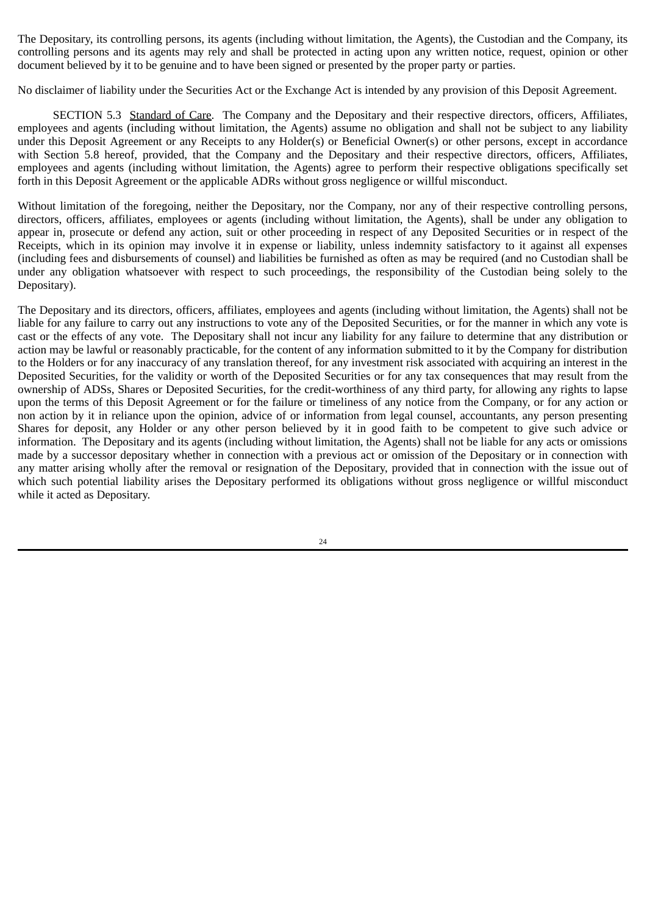The Depositary, its controlling persons, its agents (including without limitation, the Agents), the Custodian and the Company, its controlling persons and its agents may rely and shall be protected in acting upon any written notice, request, opinion or other document believed by it to be genuine and to have been signed or presented by the proper party or parties.

No disclaimer of liability under the Securities Act or the Exchange Act is intended by any provision of this Deposit Agreement.

SECTION 5.3 Standard of Care. The Company and the Depositary and their respective directors, officers, Affiliates, employees and agents (including without limitation, the Agents) assume no obligation and shall not be subject to any liability under this Deposit Agreement or any Receipts to any Holder(s) or Beneficial Owner(s) or other persons, except in accordance with Section 5.8 hereof, provided, that the Company and the Depositary and their respective directors, officers, Affiliates, employees and agents (including without limitation, the Agents) agree to perform their respective obligations specifically set forth in this Deposit Agreement or the applicable ADRs without gross negligence or willful misconduct.

Without limitation of the foregoing, neither the Depositary, nor the Company, nor any of their respective controlling persons, directors, officers, affiliates, employees or agents (including without limitation, the Agents), shall be under any obligation to appear in, prosecute or defend any action, suit or other proceeding in respect of any Deposited Securities or in respect of the Receipts, which in its opinion may involve it in expense or liability, unless indemnity satisfactory to it against all expenses (including fees and disbursements of counsel) and liabilities be furnished as often as may be required (and no Custodian shall be under any obligation whatsoever with respect to such proceedings, the responsibility of the Custodian being solely to the Depositary).

The Depositary and its directors, officers, affiliates, employees and agents (including without limitation, the Agents) shall not be liable for any failure to carry out any instructions to vote any of the Deposited Securities, or for the manner in which any vote is cast or the effects of any vote. The Depositary shall not incur any liability for any failure to determine that any distribution or action may be lawful or reasonably practicable, for the content of any information submitted to it by the Company for distribution to the Holders or for any inaccuracy of any translation thereof, for any investment risk associated with acquiring an interest in the Deposited Securities, for the validity or worth of the Deposited Securities or for any tax consequences that may result from the ownership of ADSs, Shares or Deposited Securities, for the credit‑worthiness of any third party, for allowing any rights to lapse upon the terms of this Deposit Agreement or for the failure or timeliness of any notice from the Company, or for any action or non action by it in reliance upon the opinion, advice of or information from legal counsel, accountants, any person presenting Shares for deposit, any Holder or any other person believed by it in good faith to be competent to give such advice or information. The Depositary and its agents (including without limitation, the Agents) shall not be liable for any acts or omissions made by a successor depositary whether in connection with a previous act or omission of the Depositary or in connection with any matter arising wholly after the removal or resignation of the Depositary, provided that in connection with the issue out of which such potential liability arises the Depositary performed its obligations without gross negligence or willful misconduct while it acted as Depositary.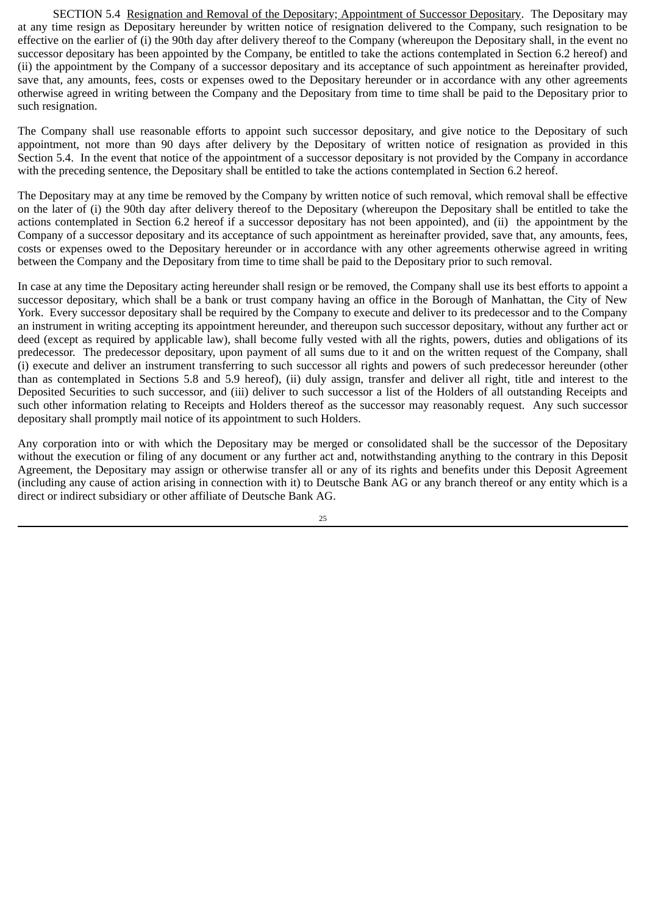SECTION 5.4 Resignation and Removal of the Depositary; Appointment of Successor Depositary. The Depositary may at any time resign as Depositary hereunder by written notice of resignation delivered to the Company, such resignation to be effective on the earlier of (i) the 90th day after delivery thereof to the Company (whereupon the Depositary shall, in the event no successor depositary has been appointed by the Company, be entitled to take the actions contemplated in Section 6.2 hereof) and (ii) the appointment by the Company of a successor depositary and its acceptance of such appointment as hereinafter provided, save that, any amounts, fees, costs or expenses owed to the Depositary hereunder or in accordance with any other agreements otherwise agreed in writing between the Company and the Depositary from time to time shall be paid to the Depositary prior to such resignation.

The Company shall use reasonable efforts to appoint such successor depositary, and give notice to the Depositary of such appointment, not more than 90 days after delivery by the Depositary of written notice of resignation as provided in this Section 5.4. In the event that notice of the appointment of a successor depositary is not provided by the Company in accordance with the preceding sentence, the Depositary shall be entitled to take the actions contemplated in Section 6.2 hereof.

The Depositary may at any time be removed by the Company by written notice of such removal, which removal shall be effective on the later of (i) the 90th day after delivery thereof to the Depositary (whereupon the Depositary shall be entitled to take the actions contemplated in Section 6.2 hereof if a successor depositary has not been appointed), and (ii) the appointment by the Company of a successor depositary and its acceptance of such appointment as hereinafter provided, save that, any amounts, fees, costs or expenses owed to the Depositary hereunder or in accordance with any other agreements otherwise agreed in writing between the Company and the Depositary from time to time shall be paid to the Depositary prior to such removal.

In case at any time the Depositary acting hereunder shall resign or be removed, the Company shall use its best efforts to appoint a successor depositary, which shall be a bank or trust company having an office in the Borough of Manhattan, the City of New York. Every successor depositary shall be required by the Company to execute and deliver to its predecessor and to the Company an instrument in writing accepting its appointment hereunder, and thereupon such successor depositary, without any further act or deed (except as required by applicable law), shall become fully vested with all the rights, powers, duties and obligations of its predecessor. The predecessor depositary, upon payment of all sums due to it and on the written request of the Company, shall (i) execute and deliver an instrument transferring to such successor all rights and powers of such predecessor hereunder (other than as contemplated in Sections 5.8 and 5.9 hereof), (ii) duly assign, transfer and deliver all right, title and interest to the Deposited Securities to such successor, and (iii) deliver to such successor a list of the Holders of all outstanding Receipts and such other information relating to Receipts and Holders thereof as the successor may reasonably request. Any such successor depositary shall promptly mail notice of its appointment to such Holders.

Any corporation into or with which the Depositary may be merged or consolidated shall be the successor of the Depositary without the execution or filing of any document or any further act and, notwithstanding anything to the contrary in this Deposit Agreement, the Depositary may assign or otherwise transfer all or any of its rights and benefits under this Deposit Agreement (including any cause of action arising in connection with it) to Deutsche Bank AG or any branch thereof or any entity which is a direct or indirect subsidiary or other affiliate of Deutsche Bank AG.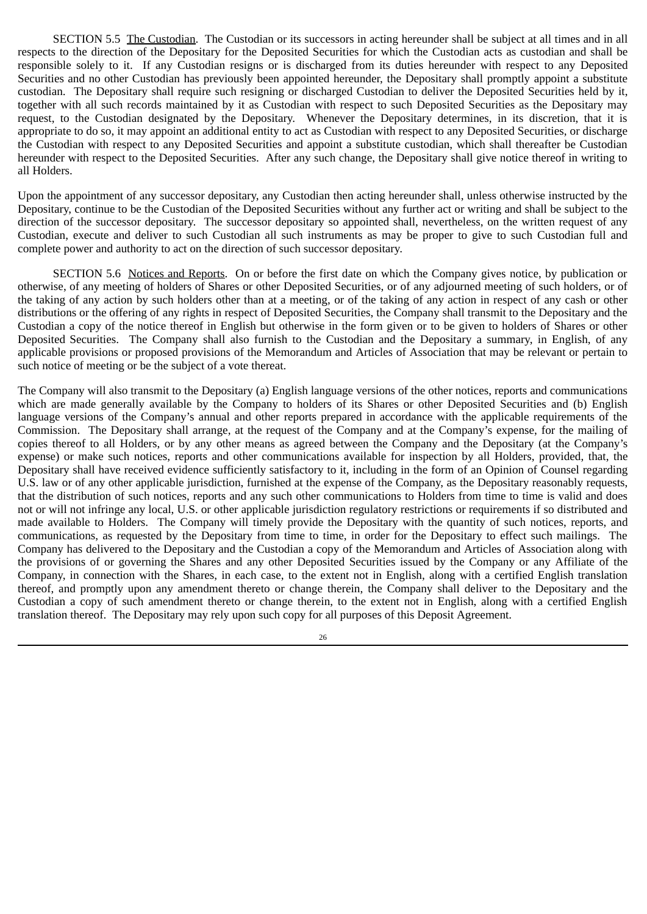SECTION 5.5 The Custodian. The Custodian or its successors in acting hereunder shall be subject at all times and in all respects to the direction of the Depositary for the Deposited Securities for which the Custodian acts as custodian and shall be responsible solely to it. If any Custodian resigns or is discharged from its duties hereunder with respect to any Deposited Securities and no other Custodian has previously been appointed hereunder, the Depositary shall promptly appoint a substitute custodian. The Depositary shall require such resigning or discharged Custodian to deliver the Deposited Securities held by it, together with all such records maintained by it as Custodian with respect to such Deposited Securities as the Depositary may request, to the Custodian designated by the Depositary. Whenever the Depositary determines, in its discretion, that it is appropriate to do so, it may appoint an additional entity to act as Custodian with respect to any Deposited Securities, or discharge the Custodian with respect to any Deposited Securities and appoint a substitute custodian, which shall thereafter be Custodian hereunder with respect to the Deposited Securities. After any such change, the Depositary shall give notice thereof in writing to all Holders.

Upon the appointment of any successor depositary, any Custodian then acting hereunder shall, unless otherwise instructed by the Depositary, continue to be the Custodian of the Deposited Securities without any further act or writing and shall be subject to the direction of the successor depositary. The successor depositary so appointed shall, nevertheless, on the written request of any Custodian, execute and deliver to such Custodian all such instruments as may be proper to give to such Custodian full and complete power and authority to act on the direction of such successor depositary.

SECTION 5.6 Notices and Reports. On or before the first date on which the Company gives notice, by publication or otherwise, of any meeting of holders of Shares or other Deposited Securities, or of any adjourned meeting of such holders, or of the taking of any action by such holders other than at a meeting, or of the taking of any action in respect of any cash or other distributions or the offering of any rights in respect of Deposited Securities, the Company shall transmit to the Depositary and the Custodian a copy of the notice thereof in English but otherwise in the form given or to be given to holders of Shares or other Deposited Securities. The Company shall also furnish to the Custodian and the Depositary a summary, in English, of any applicable provisions or proposed provisions of the Memorandum and Articles of Association that may be relevant or pertain to such notice of meeting or be the subject of a vote thereat.

The Company will also transmit to the Depositary (a) English language versions of the other notices, reports and communications which are made generally available by the Company to holders of its Shares or other Deposited Securities and (b) English language versions of the Company's annual and other reports prepared in accordance with the applicable requirements of the Commission. The Depositary shall arrange, at the request of the Company and at the Company's expense, for the mailing of copies thereof to all Holders, or by any other means as agreed between the Company and the Depositary (at the Company's expense) or make such notices, reports and other communications available for inspection by all Holders, provided, that, the Depositary shall have received evidence sufficiently satisfactory to it, including in the form of an Opinion of Counsel regarding U.S. law or of any other applicable jurisdiction, furnished at the expense of the Company, as the Depositary reasonably requests, that the distribution of such notices, reports and any such other communications to Holders from time to time is valid and does not or will not infringe any local, U.S. or other applicable jurisdiction regulatory restrictions or requirements if so distributed and made available to Holders. The Company will timely provide the Depositary with the quantity of such notices, reports, and communications, as requested by the Depositary from time to time, in order for the Depositary to effect such mailings. The Company has delivered to the Depositary and the Custodian a copy of the Memorandum and Articles of Association along with the provisions of or governing the Shares and any other Deposited Securities issued by the Company or any Affiliate of the Company, in connection with the Shares, in each case, to the extent not in English, along with a certified English translation thereof, and promptly upon any amendment thereto or change therein, the Company shall deliver to the Depositary and the Custodian a copy of such amendment thereto or change therein, to the extent not in English, along with a certified English translation thereof. The Depositary may rely upon such copy for all purposes of this Deposit Agreement.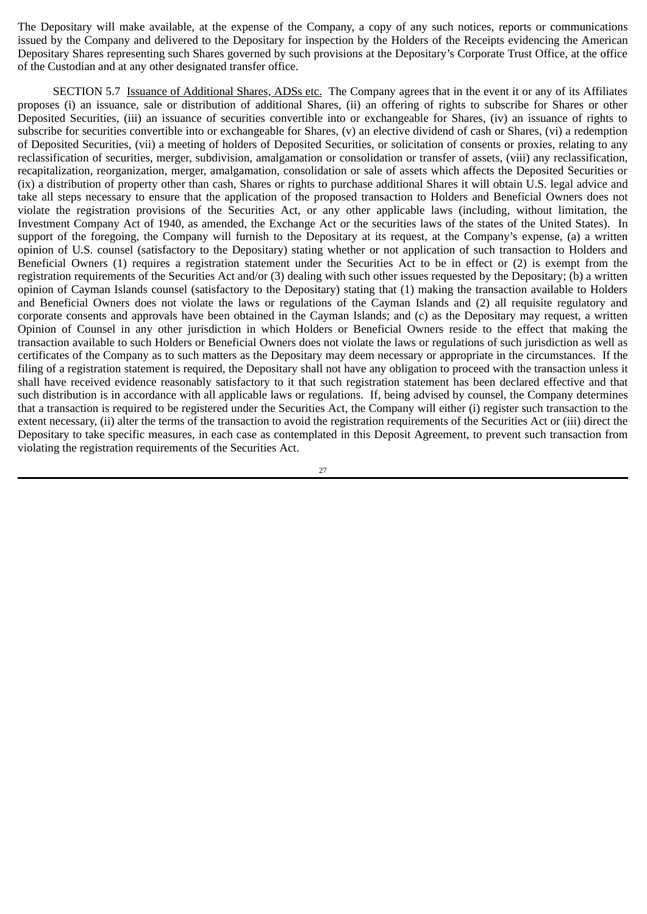The Depositary will make available, at the expense of the Company, a copy of any such notices, reports or communications issued by the Company and delivered to the Depositary for inspection by the Holders of the Receipts evidencing the American Depositary Shares representing such Shares governed by such provisions at the Depositary's Corporate Trust Office, at the office of the Custodian and at any other designated transfer office.

SECTION 5.7 Issuance of Additional Shares, ADSs etc. The Company agrees that in the event it or any of its Affiliates proposes (i) an issuance, sale or distribution of additional Shares, (ii) an offering of rights to subscribe for Shares or other Deposited Securities, (iii) an issuance of securities convertible into or exchangeable for Shares, (iv) an issuance of rights to subscribe for securities convertible into or exchangeable for Shares, (v) an elective dividend of cash or Shares, (vi) a redemption of Deposited Securities, (vii) a meeting of holders of Deposited Securities, or solicitation of consents or proxies, relating to any reclassification of securities, merger, subdivision, amalgamation or consolidation or transfer of assets, (viii) any reclassification, recapitalization, reorganization, merger, amalgamation, consolidation or sale of assets which affects the Deposited Securities or (ix) a distribution of property other than cash, Shares or rights to purchase additional Shares it will obtain U.S. legal advice and take all steps necessary to ensure that the application of the proposed transaction to Holders and Beneficial Owners does not violate the registration provisions of the Securities Act, or any other applicable laws (including, without limitation, the Investment Company Act of 1940, as amended, the Exchange Act or the securities laws of the states of the United States). In support of the foregoing, the Company will furnish to the Depositary at its request, at the Company's expense, (a) a written opinion of U.S. counsel (satisfactory to the Depositary) stating whether or not application of such transaction to Holders and Beneficial Owners (1) requires a registration statement under the Securities Act to be in effect or (2) is exempt from the registration requirements of the Securities Act and/or (3) dealing with such other issues requested by the Depositary; (b) a written opinion of Cayman Islands counsel (satisfactory to the Depositary) stating that (1) making the transaction available to Holders and Beneficial Owners does not violate the laws or regulations of the Cayman Islands and (2) all requisite regulatory and corporate consents and approvals have been obtained in the Cayman Islands; and (c) as the Depositary may request, a written Opinion of Counsel in any other jurisdiction in which Holders or Beneficial Owners reside to the effect that making the transaction available to such Holders or Beneficial Owners does not violate the laws or regulations of such jurisdiction as well as certificates of the Company as to such matters as the Depositary may deem necessary or appropriate in the circumstances. If the filing of a registration statement is required, the Depositary shall not have any obligation to proceed with the transaction unless it shall have received evidence reasonably satisfactory to it that such registration statement has been declared effective and that such distribution is in accordance with all applicable laws or regulations. If, being advised by counsel, the Company determines that a transaction is required to be registered under the Securities Act, the Company will either (i) register such transaction to the extent necessary, (ii) alter the terms of the transaction to avoid the registration requirements of the Securities Act or (iii) direct the Depositary to take specific measures, in each case as contemplated in this Deposit Agreement, to prevent such transaction from violating the registration requirements of the Securities Act.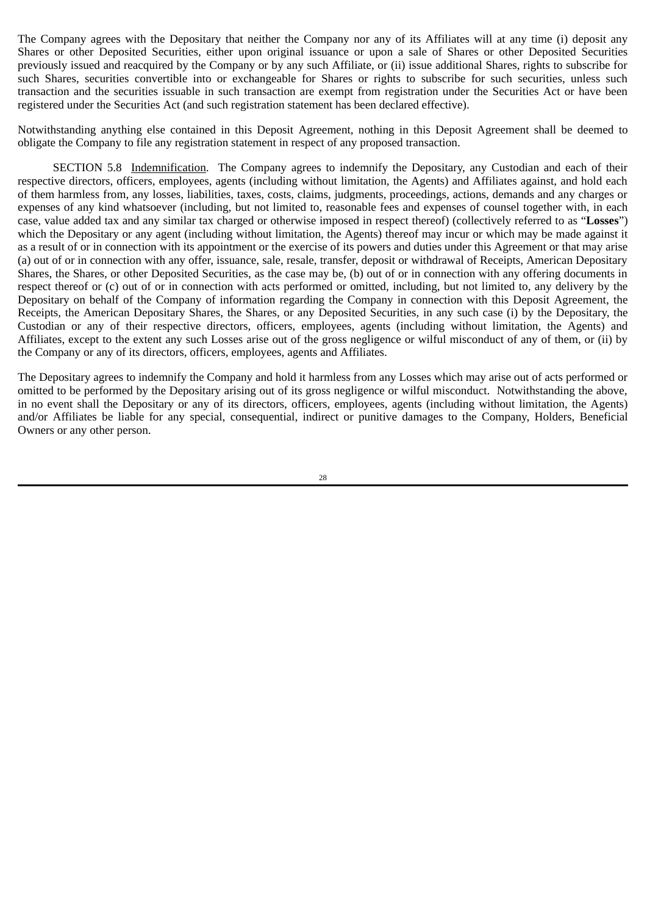The Company agrees with the Depositary that neither the Company nor any of its Affiliates will at any time (i) deposit any Shares or other Deposited Securities, either upon original issuance or upon a sale of Shares or other Deposited Securities previously issued and reacquired by the Company or by any such Affiliate, or (ii) issue additional Shares, rights to subscribe for such Shares, securities convertible into or exchangeable for Shares or rights to subscribe for such securities, unless such transaction and the securities issuable in such transaction are exempt from registration under the Securities Act or have been registered under the Securities Act (and such registration statement has been declared effective).

Notwithstanding anything else contained in this Deposit Agreement, nothing in this Deposit Agreement shall be deemed to obligate the Company to file any registration statement in respect of any proposed transaction.

SECTION 5.8 Indemnification. The Company agrees to indemnify the Depositary, any Custodian and each of their respective directors, officers, employees, agents (including without limitation, the Agents) and Affiliates against, and hold each of them harmless from, any losses, liabilities, taxes, costs, claims, judgments, proceedings, actions, demands and any charges or expenses of any kind whatsoever (including, but not limited to, reasonable fees and expenses of counsel together with, in each case, value added tax and any similar tax charged or otherwise imposed in respect thereof) (collectively referred to as "**Losses**") which the Depositary or any agent (including without limitation, the Agents) thereof may incur or which may be made against it as a result of or in connection with its appointment or the exercise of its powers and duties under this Agreement or that may arise (a) out of or in connection with any offer, issuance, sale, resale, transfer, deposit or withdrawal of Receipts, American Depositary Shares, the Shares, or other Deposited Securities, as the case may be, (b) out of or in connection with any offering documents in respect thereof or (c) out of or in connection with acts performed or omitted, including, but not limited to, any delivery by the Depositary on behalf of the Company of information regarding the Company in connection with this Deposit Agreement, the Receipts, the American Depositary Shares, the Shares, or any Deposited Securities, in any such case (i) by the Depositary, the Custodian or any of their respective directors, officers, employees, agents (including without limitation, the Agents) and Affiliates, except to the extent any such Losses arise out of the gross negligence or wilful misconduct of any of them, or (ii) by the Company or any of its directors, officers, employees, agents and Affiliates.

The Depositary agrees to indemnify the Company and hold it harmless from any Losses which may arise out of acts performed or omitted to be performed by the Depositary arising out of its gross negligence or wilful misconduct. Notwithstanding the above, in no event shall the Depositary or any of its directors, officers, employees, agents (including without limitation, the Agents) and/or Affiliates be liable for any special, consequential, indirect or punitive damages to the Company, Holders, Beneficial Owners or any other person.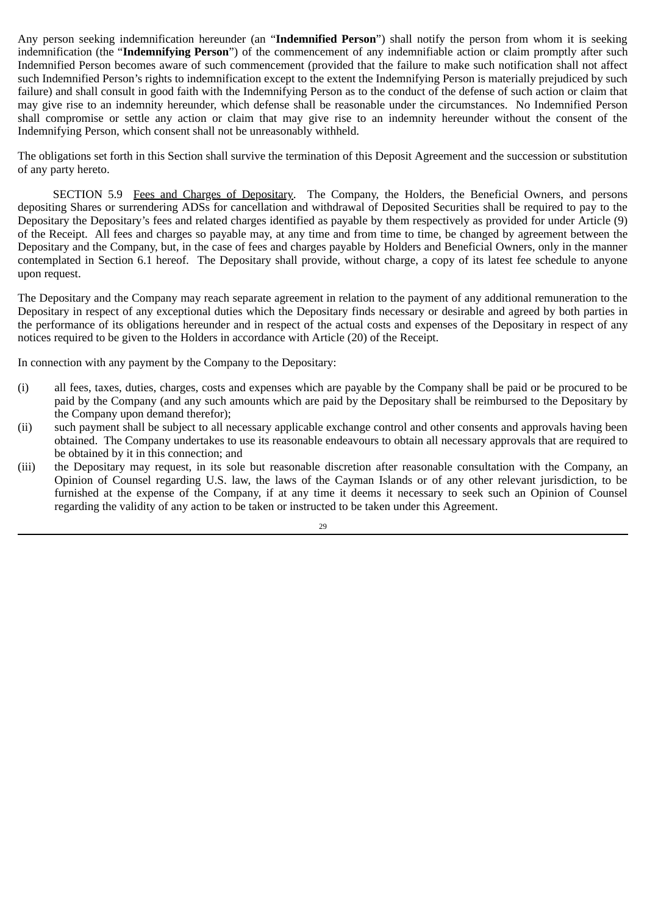Any person seeking indemnification hereunder (an "**Indemnified Person**") shall notify the person from whom it is seeking indemnification (the "**Indemnifying Person**") of the commencement of any indemnifiable action or claim promptly after such Indemnified Person becomes aware of such commencement (provided that the failure to make such notification shall not affect such Indemnified Person's rights to indemnification except to the extent the Indemnifying Person is materially prejudiced by such failure) and shall consult in good faith with the Indemnifying Person as to the conduct of the defense of such action or claim that may give rise to an indemnity hereunder, which defense shall be reasonable under the circumstances. No Indemnified Person shall compromise or settle any action or claim that may give rise to an indemnity hereunder without the consent of the Indemnifying Person, which consent shall not be unreasonably withheld.

The obligations set forth in this Section shall survive the termination of this Deposit Agreement and the succession or substitution of any party hereto.

SECTION 5.9 Fees and Charges of Depositary. The Company, the Holders, the Beneficial Owners, and persons depositing Shares or surrendering ADSs for cancellation and withdrawal of Deposited Securities shall be required to pay to the Depositary the Depositary's fees and related charges identified as payable by them respectively as provided for under Article (9) of the Receipt. All fees and charges so payable may, at any time and from time to time, be changed by agreement between the Depositary and the Company, but, in the case of fees and charges payable by Holders and Beneficial Owners, only in the manner contemplated in Section 6.1 hereof. The Depositary shall provide, without charge, a copy of its latest fee schedule to anyone upon request.

The Depositary and the Company may reach separate agreement in relation to the payment of any additional remuneration to the Depositary in respect of any exceptional duties which the Depositary finds necessary or desirable and agreed by both parties in the performance of its obligations hereunder and in respect of the actual costs and expenses of the Depositary in respect of any notices required to be given to the Holders in accordance with Article (20) of the Receipt.

In connection with any payment by the Company to the Depositary:

- (i) all fees, taxes, duties, charges, costs and expenses which are payable by the Company shall be paid or be procured to be paid by the Company (and any such amounts which are paid by the Depositary shall be reimbursed to the Depositary by the Company upon demand therefor);
- (ii) such payment shall be subject to all necessary applicable exchange control and other consents and approvals having been obtained. The Company undertakes to use its reasonable endeavours to obtain all necessary approvals that are required to be obtained by it in this connection; and
- (iii) the Depositary may request, in its sole but reasonable discretion after reasonable consultation with the Company, an Opinion of Counsel regarding U.S. law, the laws of the Cayman Islands or of any other relevant jurisdiction, to be furnished at the expense of the Company, if at any time it deems it necessary to seek such an Opinion of Counsel regarding the validity of any action to be taken or instructed to be taken under this Agreement.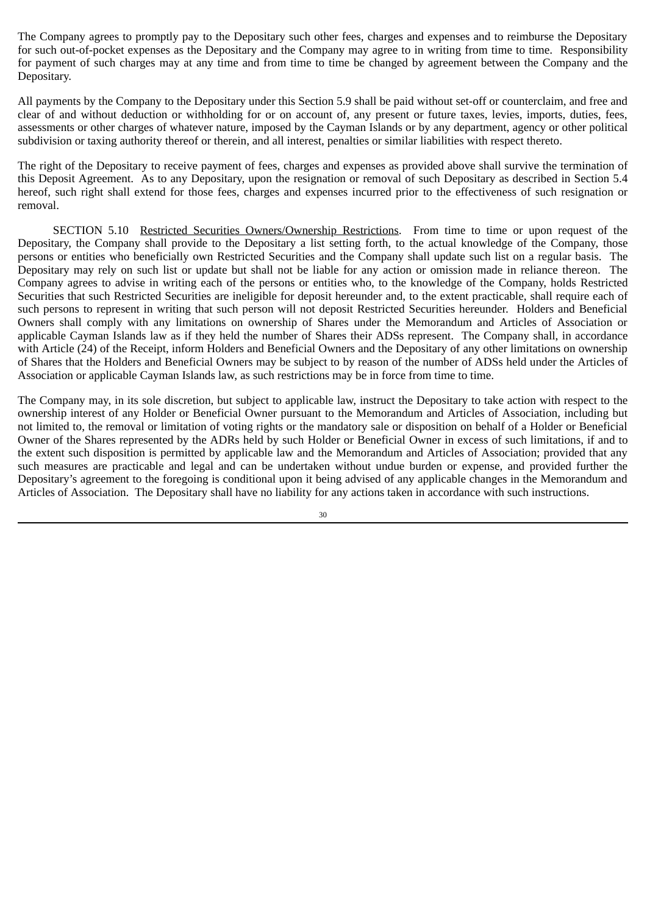The Company agrees to promptly pay to the Depositary such other fees, charges and expenses and to reimburse the Depositary for such out-of-pocket expenses as the Depositary and the Company may agree to in writing from time to time. Responsibility for payment of such charges may at any time and from time to time be changed by agreement between the Company and the Depositary.

All payments by the Company to the Depositary under this Section 5.9 shall be paid without set-off or counterclaim, and free and clear of and without deduction or withholding for or on account of, any present or future taxes, levies, imports, duties, fees, assessments or other charges of whatever nature, imposed by the Cayman Islands or by any department, agency or other political subdivision or taxing authority thereof or therein, and all interest, penalties or similar liabilities with respect thereto.

The right of the Depositary to receive payment of fees, charges and expenses as provided above shall survive the termination of this Deposit Agreement. As to any Depositary, upon the resignation or removal of such Depositary as described in Section 5.4 hereof, such right shall extend for those fees, charges and expenses incurred prior to the effectiveness of such resignation or removal.

SECTION 5.10 Restricted Securities Owners/Ownership Restrictions. From time to time or upon request of the Depositary, the Company shall provide to the Depositary a list setting forth, to the actual knowledge of the Company, those persons or entities who beneficially own Restricted Securities and the Company shall update such list on a regular basis. The Depositary may rely on such list or update but shall not be liable for any action or omission made in reliance thereon. The Company agrees to advise in writing each of the persons or entities who, to the knowledge of the Company, holds Restricted Securities that such Restricted Securities are ineligible for deposit hereunder and, to the extent practicable, shall require each of such persons to represent in writing that such person will not deposit Restricted Securities hereunder. Holders and Beneficial Owners shall comply with any limitations on ownership of Shares under the Memorandum and Articles of Association or applicable Cayman Islands law as if they held the number of Shares their ADSs represent. The Company shall, in accordance with Article (24) of the Receipt, inform Holders and Beneficial Owners and the Depositary of any other limitations on ownership of Shares that the Holders and Beneficial Owners may be subject to by reason of the number of ADSs held under the Articles of Association or applicable Cayman Islands law, as such restrictions may be in force from time to time.

The Company may, in its sole discretion, but subject to applicable law, instruct the Depositary to take action with respect to the ownership interest of any Holder or Beneficial Owner pursuant to the Memorandum and Articles of Association, including but not limited to, the removal or limitation of voting rights or the mandatory sale or disposition on behalf of a Holder or Beneficial Owner of the Shares represented by the ADRs held by such Holder or Beneficial Owner in excess of such limitations, if and to the extent such disposition is permitted by applicable law and the Memorandum and Articles of Association; provided that any such measures are practicable and legal and can be undertaken without undue burden or expense, and provided further the Depositary's agreement to the foregoing is conditional upon it being advised of any applicable changes in the Memorandum and Articles of Association. The Depositary shall have no liability for any actions taken in accordance with such instructions.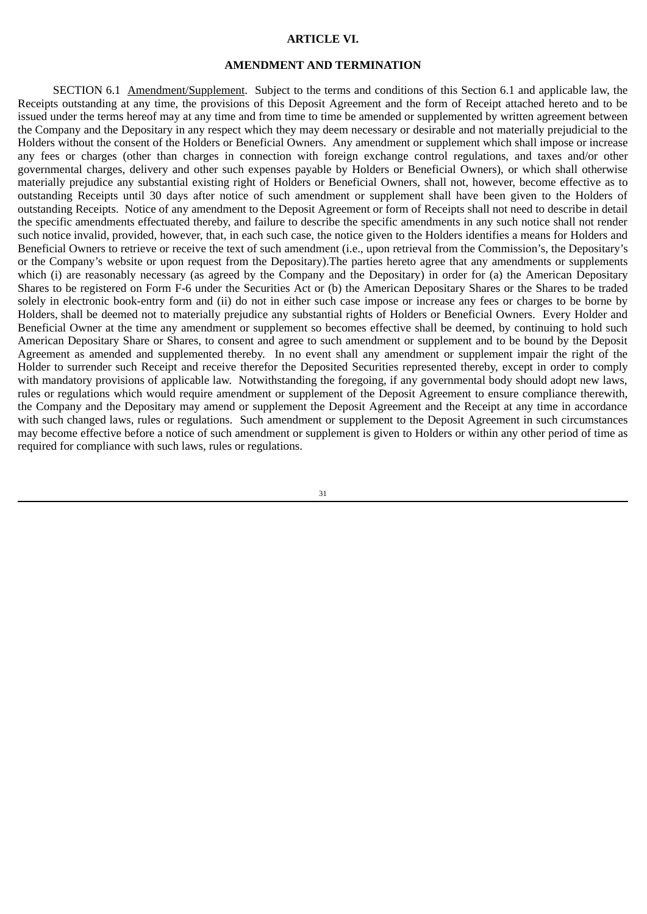#### **ARTICLE VI.**

## **AMENDMENT AND TERMINATION**

SECTION 6.1 Amendment/Supplement. Subject to the terms and conditions of this Section 6.1 and applicable law, the Receipts outstanding at any time, the provisions of this Deposit Agreement and the form of Receipt attached hereto and to be issued under the terms hereof may at any time and from time to time be amended or supplemented by written agreement between the Company and the Depositary in any respect which they may deem necessary or desirable and not materially prejudicial to the Holders without the consent of the Holders or Beneficial Owners. Any amendment or supplement which shall impose or increase any fees or charges (other than charges in connection with foreign exchange control regulations, and taxes and/or other governmental charges, delivery and other such expenses payable by Holders or Beneficial Owners), or which shall otherwise materially prejudice any substantial existing right of Holders or Beneficial Owners, shall not, however, become effective as to outstanding Receipts until 30 days after notice of such amendment or supplement shall have been given to the Holders of outstanding Receipts. Notice of any amendment to the Deposit Agreement or form of Receipts shall not need to describe in detail the specific amendments effectuated thereby, and failure to describe the specific amendments in any such notice shall not render such notice invalid, provided, however, that, in each such case, the notice given to the Holders identifies a means for Holders and Beneficial Owners to retrieve or receive the text of such amendment (i.e., upon retrieval from the Commission's, the Depositary's or the Company's website or upon request from the Depositary).The parties hereto agree that any amendments or supplements which (i) are reasonably necessary (as agreed by the Company and the Depositary) in order for (a) the American Depositary Shares to be registered on Form F‑6 under the Securities Act or (b) the American Depositary Shares or the Shares to be traded solely in electronic book‑entry form and (ii) do not in either such case impose or increase any fees or charges to be borne by Holders, shall be deemed not to materially prejudice any substantial rights of Holders or Beneficial Owners. Every Holder and Beneficial Owner at the time any amendment or supplement so becomes effective shall be deemed, by continuing to hold such American Depositary Share or Shares, to consent and agree to such amendment or supplement and to be bound by the Deposit Agreement as amended and supplemented thereby. In no event shall any amendment or supplement impair the right of the Holder to surrender such Receipt and receive therefor the Deposited Securities represented thereby, except in order to comply with mandatory provisions of applicable law. Notwithstanding the foregoing, if any governmental body should adopt new laws, rules or regulations which would require amendment or supplement of the Deposit Agreement to ensure compliance therewith, the Company and the Depositary may amend or supplement the Deposit Agreement and the Receipt at any time in accordance with such changed laws, rules or regulations. Such amendment or supplement to the Deposit Agreement in such circumstances may become effective before a notice of such amendment or supplement is given to Holders or within any other period of time as required for compliance with such laws, rules or regulations.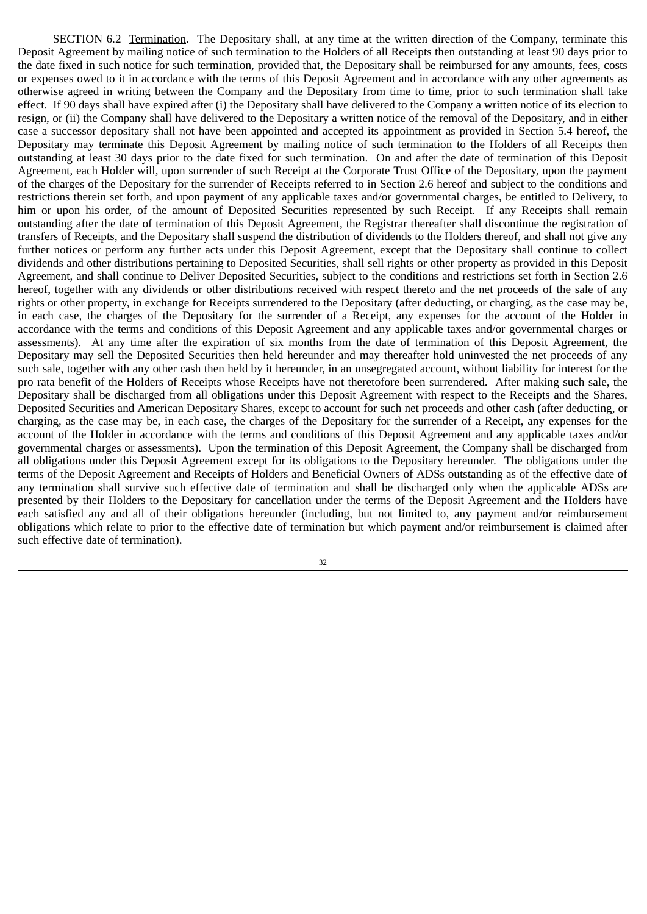SECTION 6.2 Termination. The Depositary shall, at any time at the written direction of the Company, terminate this Deposit Agreement by mailing notice of such termination to the Holders of all Receipts then outstanding at least 90 days prior to the date fixed in such notice for such termination, provided that, the Depositary shall be reimbursed for any amounts, fees, costs or expenses owed to it in accordance with the terms of this Deposit Agreement and in accordance with any other agreements as otherwise agreed in writing between the Company and the Depositary from time to time, prior to such termination shall take effect. If 90 days shall have expired after (i) the Depositary shall have delivered to the Company a written notice of its election to resign, or (ii) the Company shall have delivered to the Depositary a written notice of the removal of the Depositary, and in either case a successor depositary shall not have been appointed and accepted its appointment as provided in Section 5.4 hereof, the Depositary may terminate this Deposit Agreement by mailing notice of such termination to the Holders of all Receipts then outstanding at least 30 days prior to the date fixed for such termination. On and after the date of termination of this Deposit Agreement, each Holder will, upon surrender of such Receipt at the Corporate Trust Office of the Depositary, upon the payment of the charges of the Depositary for the surrender of Receipts referred to in Section 2.6 hereof and subject to the conditions and restrictions therein set forth, and upon payment of any applicable taxes and/or governmental charges, be entitled to Delivery, to him or upon his order, of the amount of Deposited Securities represented by such Receipt. If any Receipts shall remain outstanding after the date of termination of this Deposit Agreement, the Registrar thereafter shall discontinue the registration of transfers of Receipts, and the Depositary shall suspend the distribution of dividends to the Holders thereof, and shall not give any further notices or perform any further acts under this Deposit Agreement, except that the Depositary shall continue to collect dividends and other distributions pertaining to Deposited Securities, shall sell rights or other property as provided in this Deposit Agreement, and shall continue to Deliver Deposited Securities, subject to the conditions and restrictions set forth in Section 2.6 hereof, together with any dividends or other distributions received with respect thereto and the net proceeds of the sale of any rights or other property, in exchange for Receipts surrendered to the Depositary (after deducting, or charging, as the case may be, in each case, the charges of the Depositary for the surrender of a Receipt, any expenses for the account of the Holder in accordance with the terms and conditions of this Deposit Agreement and any applicable taxes and/or governmental charges or assessments). At any time after the expiration of six months from the date of termination of this Deposit Agreement, the Depositary may sell the Deposited Securities then held hereunder and may thereafter hold uninvested the net proceeds of any such sale, together with any other cash then held by it hereunder, in an unsegregated account, without liability for interest for the pro rata benefit of the Holders of Receipts whose Receipts have not theretofore been surrendered. After making such sale, the Depositary shall be discharged from all obligations under this Deposit Agreement with respect to the Receipts and the Shares, Deposited Securities and American Depositary Shares, except to account for such net proceeds and other cash (after deducting, or charging, as the case may be, in each case, the charges of the Depositary for the surrender of a Receipt, any expenses for the account of the Holder in accordance with the terms and conditions of this Deposit Agreement and any applicable taxes and/or governmental charges or assessments). Upon the termination of this Deposit Agreement, the Company shall be discharged from all obligations under this Deposit Agreement except for its obligations to the Depositary hereunder. The obligations under the terms of the Deposit Agreement and Receipts of Holders and Beneficial Owners of ADSs outstanding as of the effective date of any termination shall survive such effective date of termination and shall be discharged only when the applicable ADSs are presented by their Holders to the Depositary for cancellation under the terms of the Deposit Agreement and the Holders have each satisfied any and all of their obligations hereunder (including, but not limited to, any payment and/or reimbursement obligations which relate to prior to the effective date of termination but which payment and/or reimbursement is claimed after such effective date of termination).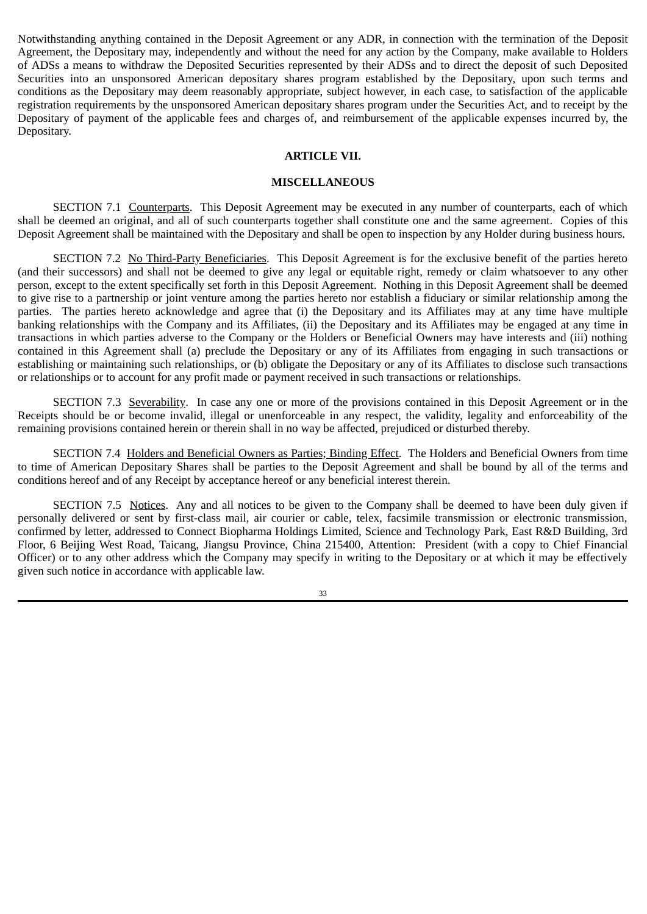Notwithstanding anything contained in the Deposit Agreement or any ADR, in connection with the termination of the Deposit Agreement, the Depositary may, independently and without the need for any action by the Company, make available to Holders of ADSs a means to withdraw the Deposited Securities represented by their ADSs and to direct the deposit of such Deposited Securities into an unsponsored American depositary shares program established by the Depositary, upon such terms and conditions as the Depositary may deem reasonably appropriate, subject however, in each case, to satisfaction of the applicable registration requirements by the unsponsored American depositary shares program under the Securities Act, and to receipt by the Depositary of payment of the applicable fees and charges of, and reimbursement of the applicable expenses incurred by, the Depositary.

## **ARTICLE VII.**

## **MISCELLANEOUS**

SECTION 7.1 Counterparts. This Deposit Agreement may be executed in any number of counterparts, each of which shall be deemed an original, and all of such counterparts together shall constitute one and the same agreement. Copies of this Deposit Agreement shall be maintained with the Depositary and shall be open to inspection by any Holder during business hours.

SECTION 7.2 No Third‑Party Beneficiaries. This Deposit Agreement is for the exclusive benefit of the parties hereto (and their successors) and shall not be deemed to give any legal or equitable right, remedy or claim whatsoever to any other person, except to the extent specifically set forth in this Deposit Agreement. Nothing in this Deposit Agreement shall be deemed to give rise to a partnership or joint venture among the parties hereto nor establish a fiduciary or similar relationship among the parties. The parties hereto acknowledge and agree that (i) the Depositary and its Affiliates may at any time have multiple banking relationships with the Company and its Affiliates, (ii) the Depositary and its Affiliates may be engaged at any time in transactions in which parties adverse to the Company or the Holders or Beneficial Owners may have interests and (iii) nothing contained in this Agreement shall (a) preclude the Depositary or any of its Affiliates from engaging in such transactions or establishing or maintaining such relationships, or (b) obligate the Depositary or any of its Affiliates to disclose such transactions or relationships or to account for any profit made or payment received in such transactions or relationships.

SECTION 7.3 Severability. In case any one or more of the provisions contained in this Deposit Agreement or in the Receipts should be or become invalid, illegal or unenforceable in any respect, the validity, legality and enforceability of the remaining provisions contained herein or therein shall in no way be affected, prejudiced or disturbed thereby.

SECTION 7.4 Holders and Beneficial Owners as Parties; Binding Effect. The Holders and Beneficial Owners from time to time of American Depositary Shares shall be parties to the Deposit Agreement and shall be bound by all of the terms and conditions hereof and of any Receipt by acceptance hereof or any beneficial interest therein.

SECTION 7.5 Notices. Any and all notices to be given to the Company shall be deemed to have been duly given if personally delivered or sent by first-class mail, air courier or cable, telex, facsimile transmission or electronic transmission, confirmed by letter, addressed to Connect Biopharma Holdings Limited, Science and Technology Park, East R&D Building, 3rd Floor, 6 Beijing West Road, Taicang, Jiangsu Province, China 215400, Attention: President (with a copy to Chief Financial Officer) or to any other address which the Company may specify in writing to the Depositary or at which it may be effectively given such notice in accordance with applicable law.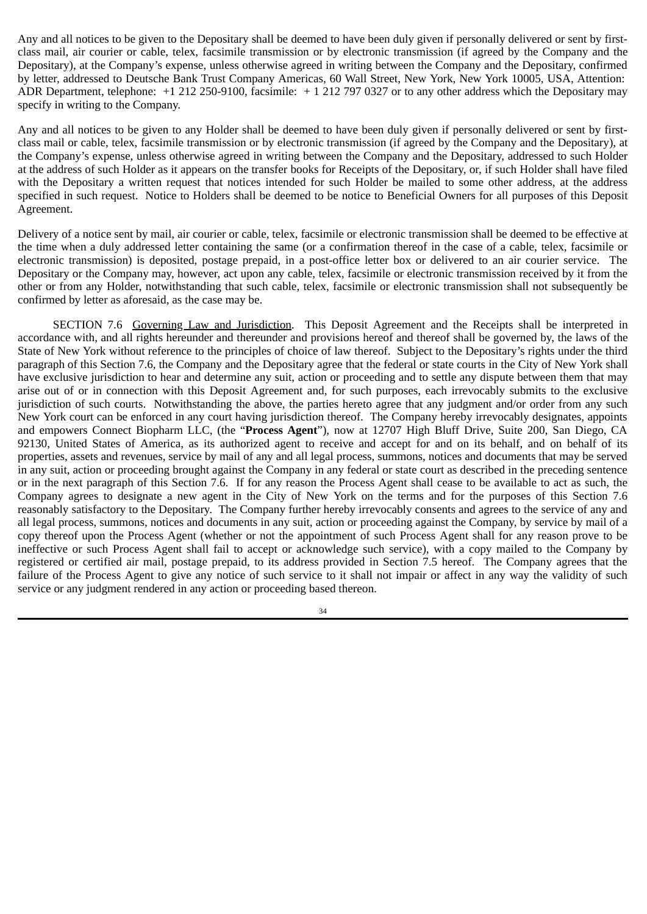Any and all notices to be given to the Depositary shall be deemed to have been duly given if personally delivered or sent by firstclass mail, air courier or cable, telex, facsimile transmission or by electronic transmission (if agreed by the Company and the Depositary), at the Company's expense, unless otherwise agreed in writing between the Company and the Depositary, confirmed by letter, addressed to Deutsche Bank Trust Company Americas, 60 Wall Street, New York, New York 10005, USA, Attention: ADR Department, telephone: +1 212 250‑9100, facsimile: + 1 212 797 0327 or to any other address which the Depositary may specify in writing to the Company.

Any and all notices to be given to any Holder shall be deemed to have been duly given if personally delivered or sent by firstclass mail or cable, telex, facsimile transmission or by electronic transmission (if agreed by the Company and the Depositary), at the Company's expense, unless otherwise agreed in writing between the Company and the Depositary, addressed to such Holder at the address of such Holder as it appears on the transfer books for Receipts of the Depositary, or, if such Holder shall have filed with the Depositary a written request that notices intended for such Holder be mailed to some other address, at the address specified in such request. Notice to Holders shall be deemed to be notice to Beneficial Owners for all purposes of this Deposit Agreement.

Delivery of a notice sent by mail, air courier or cable, telex, facsimile or electronic transmission shall be deemed to be effective at the time when a duly addressed letter containing the same (or a confirmation thereof in the case of a cable, telex, facsimile or electronic transmission) is deposited, postage prepaid, in a post‑office letter box or delivered to an air courier service. The Depositary or the Company may, however, act upon any cable, telex, facsimile or electronic transmission received by it from the other or from any Holder, notwithstanding that such cable, telex, facsimile or electronic transmission shall not subsequently be confirmed by letter as aforesaid, as the case may be.

SECTION 7.6 Governing Law and Jurisdiction. This Deposit Agreement and the Receipts shall be interpreted in accordance with, and all rights hereunder and thereunder and provisions hereof and thereof shall be governed by, the laws of the State of New York without reference to the principles of choice of law thereof. Subject to the Depositary's rights under the third paragraph of this Section 7.6, the Company and the Depositary agree that the federal or state courts in the City of New York shall have exclusive jurisdiction to hear and determine any suit, action or proceeding and to settle any dispute between them that may arise out of or in connection with this Deposit Agreement and, for such purposes, each irrevocably submits to the exclusive jurisdiction of such courts. Notwithstanding the above, the parties hereto agree that any judgment and/or order from any such New York court can be enforced in any court having jurisdiction thereof. The Company hereby irrevocably designates, appoints and empowers Connect Biopharm LLC, (the "**Process Agent**"), now at 12707 High Bluff Drive, Suite 200, San Diego, CA 92130, United States of America, as its authorized agent to receive and accept for and on its behalf, and on behalf of its properties, assets and revenues, service by mail of any and all legal process, summons, notices and documents that may be served in any suit, action or proceeding brought against the Company in any federal or state court as described in the preceding sentence or in the next paragraph of this Section 7.6. If for any reason the Process Agent shall cease to be available to act as such, the Company agrees to designate a new agent in the City of New York on the terms and for the purposes of this Section 7.6 reasonably satisfactory to the Depositary. The Company further hereby irrevocably consents and agrees to the service of any and all legal process, summons, notices and documents in any suit, action or proceeding against the Company, by service by mail of a copy thereof upon the Process Agent (whether or not the appointment of such Process Agent shall for any reason prove to be ineffective or such Process Agent shall fail to accept or acknowledge such service), with a copy mailed to the Company by registered or certified air mail, postage prepaid, to its address provided in Section 7.5 hereof. The Company agrees that the failure of the Process Agent to give any notice of such service to it shall not impair or affect in any way the validity of such service or any judgment rendered in any action or proceeding based thereon.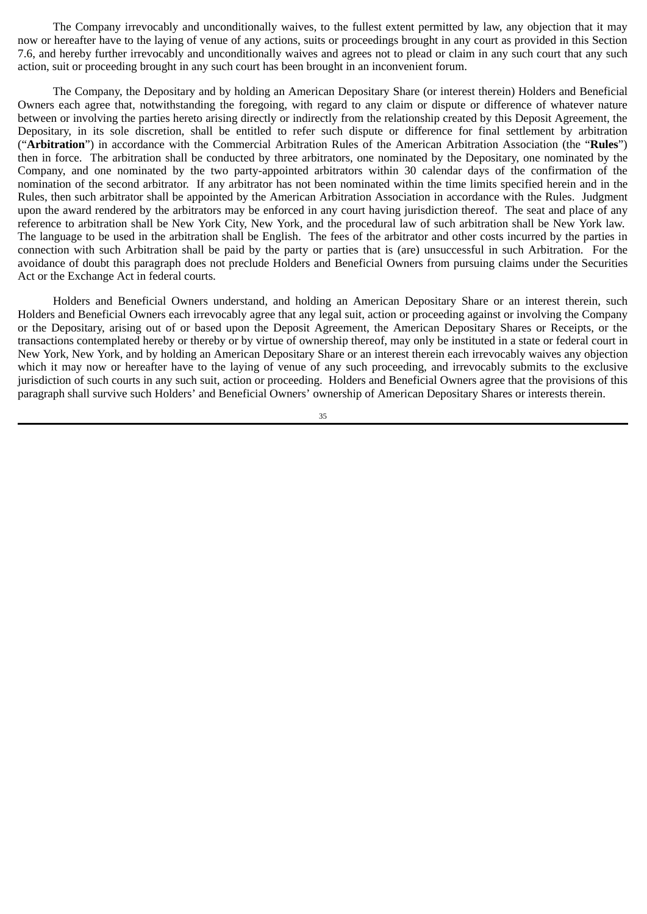The Company irrevocably and unconditionally waives, to the fullest extent permitted by law, any objection that it may now or hereafter have to the laying of venue of any actions, suits or proceedings brought in any court as provided in this Section 7.6, and hereby further irrevocably and unconditionally waives and agrees not to plead or claim in any such court that any such action, suit or proceeding brought in any such court has been brought in an inconvenient forum.

The Company, the Depositary and by holding an American Depositary Share (or interest therein) Holders and Beneficial Owners each agree that, notwithstanding the foregoing, with regard to any claim or dispute or difference of whatever nature between or involving the parties hereto arising directly or indirectly from the relationship created by this Deposit Agreement, the Depositary, in its sole discretion, shall be entitled to refer such dispute or difference for final settlement by arbitration ("**Arbitration**") in accordance with the Commercial Arbitration Rules of the American Arbitration Association (the "**Rules**") then in force. The arbitration shall be conducted by three arbitrators, one nominated by the Depositary, one nominated by the Company, and one nominated by the two party-appointed arbitrators within 30 calendar days of the confirmation of the nomination of the second arbitrator. If any arbitrator has not been nominated within the time limits specified herein and in the Rules, then such arbitrator shall be appointed by the American Arbitration Association in accordance with the Rules. Judgment upon the award rendered by the arbitrators may be enforced in any court having jurisdiction thereof. The seat and place of any reference to arbitration shall be New York City, New York, and the procedural law of such arbitration shall be New York law. The language to be used in the arbitration shall be English. The fees of the arbitrator and other costs incurred by the parties in connection with such Arbitration shall be paid by the party or parties that is (are) unsuccessful in such Arbitration. For the avoidance of doubt this paragraph does not preclude Holders and Beneficial Owners from pursuing claims under the Securities Act or the Exchange Act in federal courts.

Holders and Beneficial Owners understand, and holding an American Depositary Share or an interest therein, such Holders and Beneficial Owners each irrevocably agree that any legal suit, action or proceeding against or involving the Company or the Depositary, arising out of or based upon the Deposit Agreement, the American Depositary Shares or Receipts, or the transactions contemplated hereby or thereby or by virtue of ownership thereof, may only be instituted in a state or federal court in New York, New York, and by holding an American Depositary Share or an interest therein each irrevocably waives any objection which it may now or hereafter have to the laying of venue of any such proceeding, and irrevocably submits to the exclusive jurisdiction of such courts in any such suit, action or proceeding. Holders and Beneficial Owners agree that the provisions of this paragraph shall survive such Holders' and Beneficial Owners' ownership of American Depositary Shares or interests therein.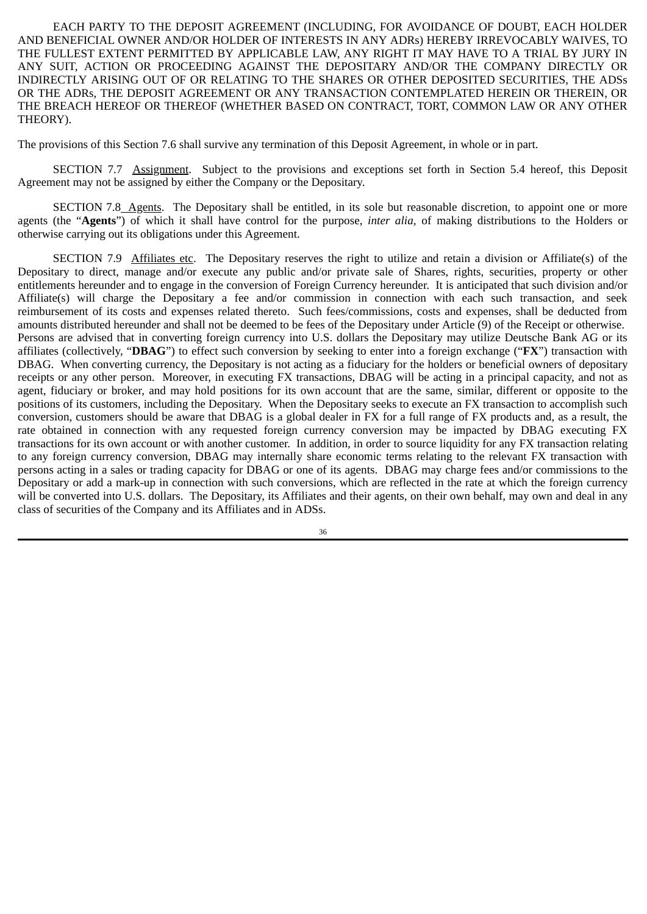EACH PARTY TO THE DEPOSIT AGREEMENT (INCLUDING, FOR AVOIDANCE OF DOUBT, EACH HOLDER AND BENEFICIAL OWNER AND/OR HOLDER OF INTERESTS IN ANY ADRs) HEREBY IRREVOCABLY WAIVES, TO THE FULLEST EXTENT PERMITTED BY APPLICABLE LAW, ANY RIGHT IT MAY HAVE TO A TRIAL BY JURY IN ANY SUIT, ACTION OR PROCEEDING AGAINST THE DEPOSITARY AND/OR THE COMPANY DIRECTLY OR INDIRECTLY ARISING OUT OF OR RELATING TO THE SHARES OR OTHER DEPOSITED SECURITIES, THE ADSs OR THE ADRs, THE DEPOSIT AGREEMENT OR ANY TRANSACTION CONTEMPLATED HEREIN OR THEREIN, OR THE BREACH HEREOF OR THEREOF (WHETHER BASED ON CONTRACT, TORT, COMMON LAW OR ANY OTHER THEORY).

The provisions of this Section 7.6 shall survive any termination of this Deposit Agreement, in whole or in part.

SECTION 7.7 Assignment. Subject to the provisions and exceptions set forth in Section 5.4 hereof, this Deposit Agreement may not be assigned by either the Company or the Depositary.

SECTION 7.8 Agents. The Depositary shall be entitled, in its sole but reasonable discretion, to appoint one or more agents (the "**Agents**") of which it shall have control for the purpose, *inter alia*, of making distributions to the Holders or otherwise carrying out its obligations under this Agreement.

SECTION 7.9 Affiliates etc. The Depositary reserves the right to utilize and retain a division or Affiliate(s) of the Depositary to direct, manage and/or execute any public and/or private sale of Shares, rights, securities, property or other entitlements hereunder and to engage in the conversion of Foreign Currency hereunder. It is anticipated that such division and/or Affiliate(s) will charge the Depositary a fee and/or commission in connection with each such transaction, and seek reimbursement of its costs and expenses related thereto. Such fees/commissions, costs and expenses, shall be deducted from amounts distributed hereunder and shall not be deemed to be fees of the Depositary under Article (9) of the Receipt or otherwise. Persons are advised that in converting foreign currency into U.S. dollars the Depositary may utilize Deutsche Bank AG or its affiliates (collectively, "**DBAG**") to effect such conversion by seeking to enter into a foreign exchange ("**FX**") transaction with DBAG. When converting currency, the Depositary is not acting as a fiduciary for the holders or beneficial owners of depositary receipts or any other person. Moreover, in executing FX transactions, DBAG will be acting in a principal capacity, and not as agent, fiduciary or broker, and may hold positions for its own account that are the same, similar, different or opposite to the positions of its customers, including the Depositary. When the Depositary seeks to execute an FX transaction to accomplish such conversion, customers should be aware that DBAG is a global dealer in FX for a full range of FX products and, as a result, the rate obtained in connection with any requested foreign currency conversion may be impacted by DBAG executing FX transactions for its own account or with another customer. In addition, in order to source liquidity for any FX transaction relating to any foreign currency conversion, DBAG may internally share economic terms relating to the relevant FX transaction with persons acting in a sales or trading capacity for DBAG or one of its agents. DBAG may charge fees and/or commissions to the Depositary or add a mark-up in connection with such conversions, which are reflected in the rate at which the foreign currency will be converted into U.S. dollars. The Depositary, its Affiliates and their agents, on their own behalf, may own and deal in any class of securities of the Company and its Affiliates and in ADSs.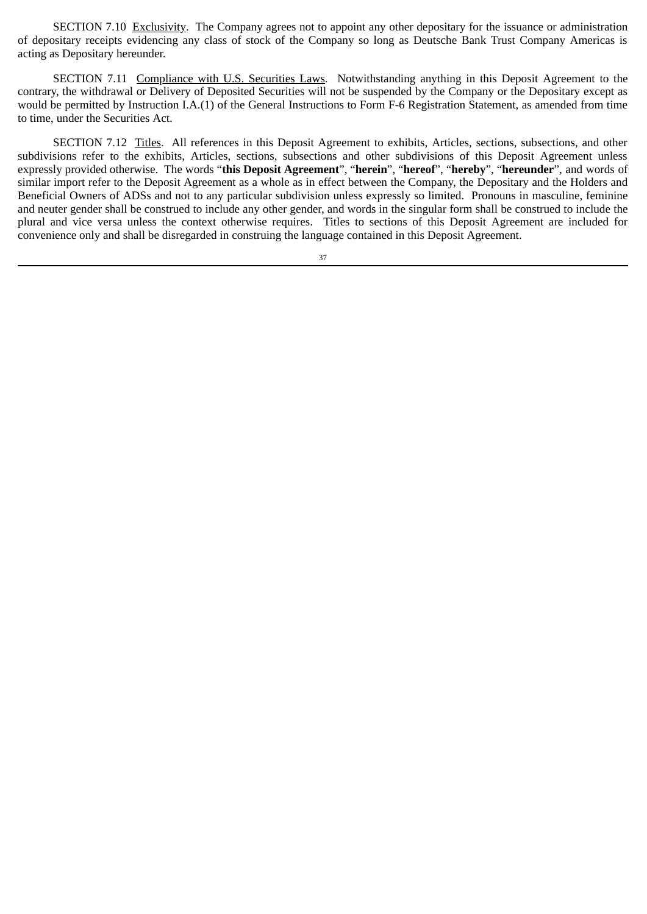SECTION 7.10 Exclusivity. The Company agrees not to appoint any other depositary for the issuance or administration of depositary receipts evidencing any class of stock of the Company so long as Deutsche Bank Trust Company Americas is acting as Depositary hereunder.

SECTION 7.11 Compliance with U.S. Securities Laws. Notwithstanding anything in this Deposit Agreement to the contrary, the withdrawal or Delivery of Deposited Securities will not be suspended by the Company or the Depositary except as would be permitted by Instruction I.A.(1) of the General Instructions to Form F‑6 Registration Statement, as amended from time to time, under the Securities Act.

SECTION 7.12 Titles. All references in this Deposit Agreement to exhibits, Articles, sections, subsections, and other subdivisions refer to the exhibits, Articles, sections, subsections and other subdivisions of this Deposit Agreement unless expressly provided otherwise. The words "**this Deposit Agreement**", "**herein**", "**hereof**", "**hereby**", "**hereunder**", and words of similar import refer to the Deposit Agreement as a whole as in effect between the Company, the Depositary and the Holders and Beneficial Owners of ADSs and not to any particular subdivision unless expressly so limited. Pronouns in masculine, feminine and neuter gender shall be construed to include any other gender, and words in the singular form shall be construed to include the plural and vice versa unless the context otherwise requires. Titles to sections of this Deposit Agreement are included for convenience only and shall be disregarded in construing the language contained in this Deposit Agreement.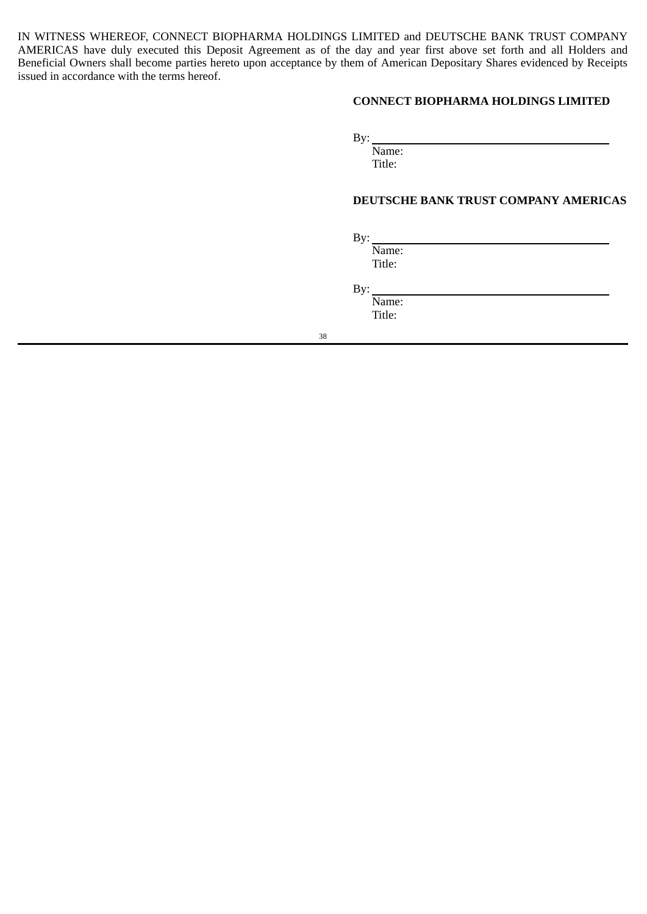IN WITNESS WHEREOF, CONNECT BIOPHARMA HOLDINGS LIMITED and DEUTSCHE BANK TRUST COMPANY AMERICAS have duly executed this Deposit Agreement as of the day and year first above set forth and all Holders and Beneficial Owners shall become parties hereto upon acceptance by them of American Depositary Shares evidenced by Receipts issued in accordance with the terms hereof.

# **CONNECT BIOPHARMA HOLDINGS LIMITED**

By:

Name:

Title:

## **DEUTSCHE BANK TRUST COMPANY AMERICAS**

By:

Name: Title:

By:

Name: Title: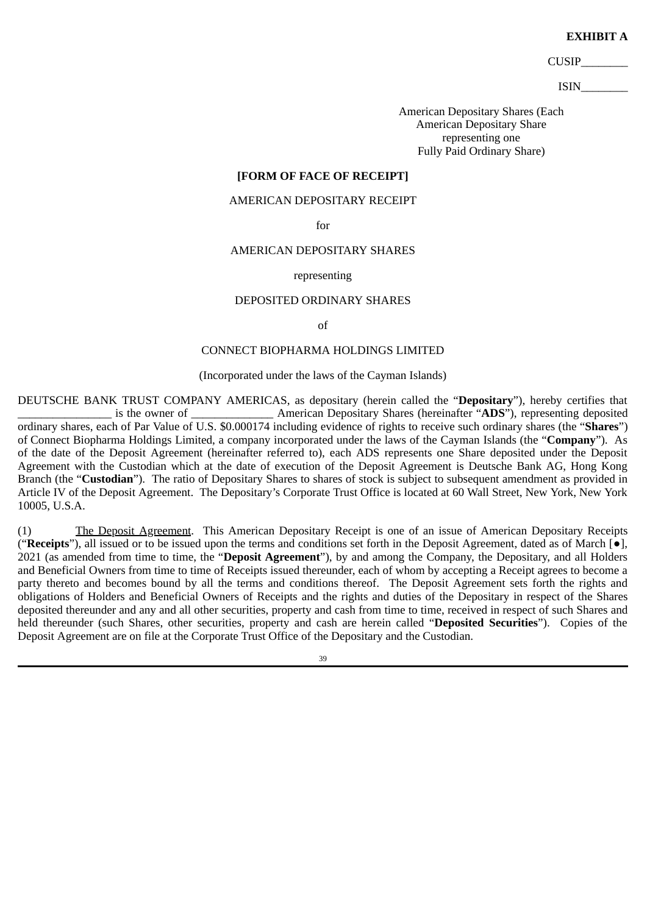#### **EXHIBIT A**

CUSIP\_\_\_\_\_\_\_\_

ISIN\_\_\_\_\_\_\_\_

American Depositary Shares (Each American Depositary Share representing one Fully Paid Ordinary Share)

# **[FORM OF FACE OF RECEIPT]**

### AMERICAN DEPOSITARY RECEIPT

for

### AMERICAN DEPOSITARY SHARES

#### representing

### DEPOSITED ORDINARY SHARES

of

# CONNECT BIOPHARMA HOLDINGS LIMITED

## (Incorporated under the laws of the Cayman Islands)

DEUTSCHE BANK TRUST COMPANY AMERICAS, as depositary (herein called the "**Depositary**"), hereby certifies that is the owner of **American Depositary Shares (hereinafter "ADS")**, representing deposited ordinary shares, each of Par Value of U.S. \$0.000174 including evidence of rights to receive such ordinary shares (the "**Shares**") of Connect Biopharma Holdings Limited, a company incorporated under the laws of the Cayman Islands (the "**Company**"). As of the date of the Deposit Agreement (hereinafter referred to), each ADS represents one Share deposited under the Deposit Agreement with the Custodian which at the date of execution of the Deposit Agreement is Deutsche Bank AG, Hong Kong Branch (the "**Custodian**"). The ratio of Depositary Shares to shares of stock is subject to subsequent amendment as provided in Article IV of the Deposit Agreement. The Depositary's Corporate Trust Office is located at 60 Wall Street, New York, New York 10005, U.S.A.

(1) The Deposit Agreement. This American Depositary Receipt is one of an issue of American Depositary Receipts ("**Receipts**"), all issued or to be issued upon the terms and conditions set forth in the Deposit Agreement, dated as of March [●], 2021 (as amended from time to time, the "**Deposit Agreement**"), by and among the Company, the Depositary, and all Holders and Beneficial Owners from time to time of Receipts issued thereunder, each of whom by accepting a Receipt agrees to become a party thereto and becomes bound by all the terms and conditions thereof. The Deposit Agreement sets forth the rights and obligations of Holders and Beneficial Owners of Receipts and the rights and duties of the Depositary in respect of the Shares deposited thereunder and any and all other securities, property and cash from time to time, received in respect of such Shares and held thereunder (such Shares, other securities, property and cash are herein called "**Deposited Securities**"). Copies of the Deposit Agreement are on file at the Corporate Trust Office of the Depositary and the Custodian.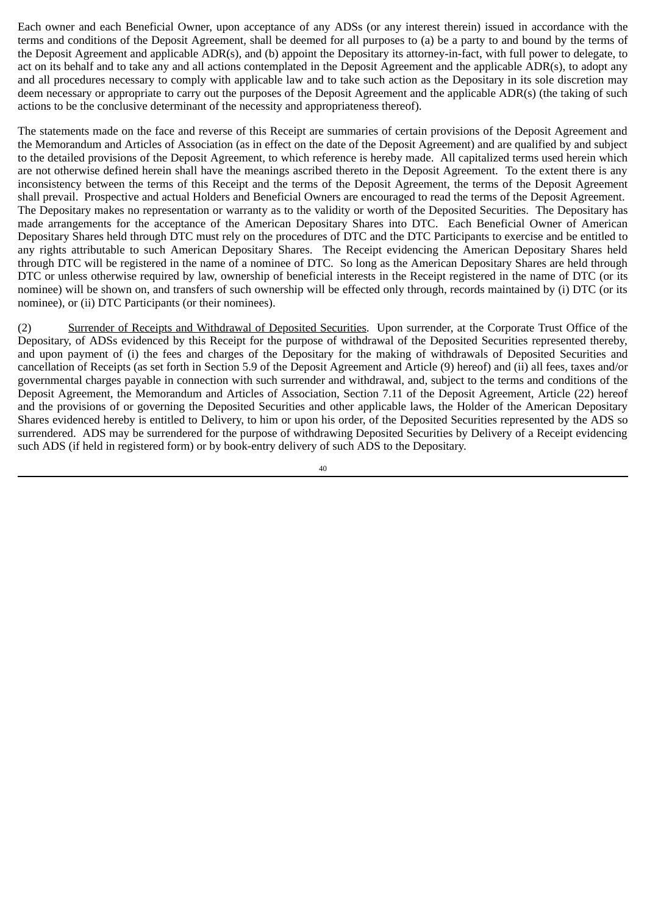Each owner and each Beneficial Owner, upon acceptance of any ADSs (or any interest therein) issued in accordance with the terms and conditions of the Deposit Agreement, shall be deemed for all purposes to (a) be a party to and bound by the terms of the Deposit Agreement and applicable ADR(s), and (b) appoint the Depositary its attorney-in-fact, with full power to delegate, to act on its behalf and to take any and all actions contemplated in the Deposit Agreement and the applicable ADR(s), to adopt any and all procedures necessary to comply with applicable law and to take such action as the Depositary in its sole discretion may deem necessary or appropriate to carry out the purposes of the Deposit Agreement and the applicable ADR(s) (the taking of such actions to be the conclusive determinant of the necessity and appropriateness thereof).

The statements made on the face and reverse of this Receipt are summaries of certain provisions of the Deposit Agreement and the Memorandum and Articles of Association (as in effect on the date of the Deposit Agreement) and are qualified by and subject to the detailed provisions of the Deposit Agreement, to which reference is hereby made. All capitalized terms used herein which are not otherwise defined herein shall have the meanings ascribed thereto in the Deposit Agreement. To the extent there is any inconsistency between the terms of this Receipt and the terms of the Deposit Agreement, the terms of the Deposit Agreement shall prevail. Prospective and actual Holders and Beneficial Owners are encouraged to read the terms of the Deposit Agreement. The Depositary makes no representation or warranty as to the validity or worth of the Deposited Securities. The Depositary has made arrangements for the acceptance of the American Depositary Shares into DTC. Each Beneficial Owner of American Depositary Shares held through DTC must rely on the procedures of DTC and the DTC Participants to exercise and be entitled to any rights attributable to such American Depositary Shares. The Receipt evidencing the American Depositary Shares held through DTC will be registered in the name of a nominee of DTC. So long as the American Depositary Shares are held through DTC or unless otherwise required by law, ownership of beneficial interests in the Receipt registered in the name of DTC (or its nominee) will be shown on, and transfers of such ownership will be effected only through, records maintained by (i) DTC (or its nominee), or (ii) DTC Participants (or their nominees).

(2) Surrender of Receipts and Withdrawal of Deposited Securities. Upon surrender, at the Corporate Trust Office of the Depositary, of ADSs evidenced by this Receipt for the purpose of withdrawal of the Deposited Securities represented thereby, and upon payment of (i) the fees and charges of the Depositary for the making of withdrawals of Deposited Securities and cancellation of Receipts (as set forth in Section 5.9 of the Deposit Agreement and Article (9) hereof) and (ii) all fees, taxes and/or governmental charges payable in connection with such surrender and withdrawal, and, subject to the terms and conditions of the Deposit Agreement, the Memorandum and Articles of Association, Section 7.11 of the Deposit Agreement, Article (22) hereof and the provisions of or governing the Deposited Securities and other applicable laws, the Holder of the American Depositary Shares evidenced hereby is entitled to Delivery, to him or upon his order, of the Deposited Securities represented by the ADS so surrendered. ADS may be surrendered for the purpose of withdrawing Deposited Securities by Delivery of a Receipt evidencing such ADS (if held in registered form) or by book-entry delivery of such ADS to the Depositary.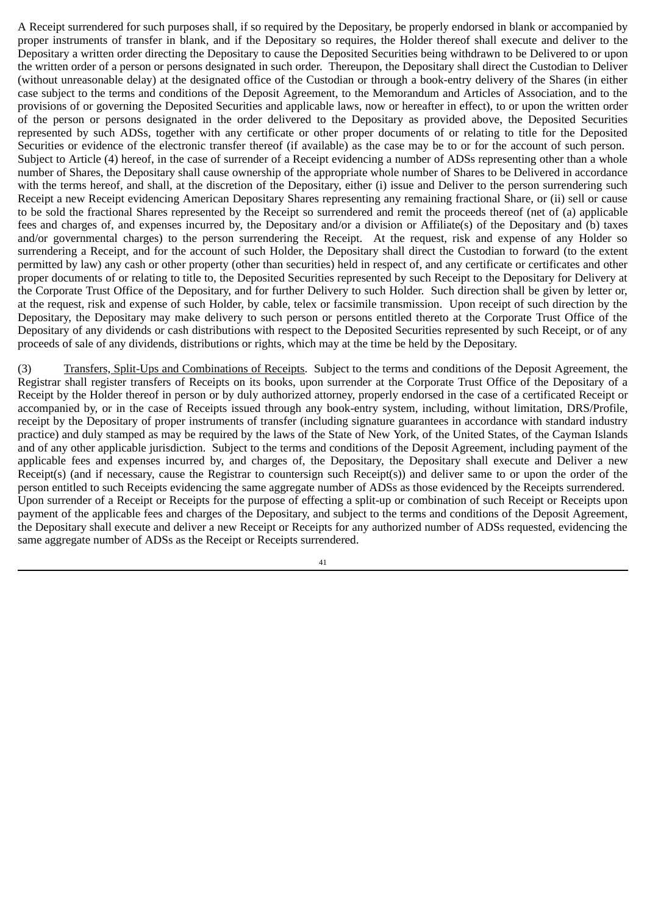A Receipt surrendered for such purposes shall, if so required by the Depositary, be properly endorsed in blank or accompanied by proper instruments of transfer in blank, and if the Depositary so requires, the Holder thereof shall execute and deliver to the Depositary a written order directing the Depositary to cause the Deposited Securities being withdrawn to be Delivered to or upon the written order of a person or persons designated in such order. Thereupon, the Depositary shall direct the Custodian to Deliver (without unreasonable delay) at the designated office of the Custodian or through a book-entry delivery of the Shares (in either case subject to the terms and conditions of the Deposit Agreement, to the Memorandum and Articles of Association, and to the provisions of or governing the Deposited Securities and applicable laws, now or hereafter in effect), to or upon the written order of the person or persons designated in the order delivered to the Depositary as provided above, the Deposited Securities represented by such ADSs, together with any certificate or other proper documents of or relating to title for the Deposited Securities or evidence of the electronic transfer thereof (if available) as the case may be to or for the account of such person. Subject to Article (4) hereof, in the case of surrender of a Receipt evidencing a number of ADSs representing other than a whole number of Shares, the Depositary shall cause ownership of the appropriate whole number of Shares to be Delivered in accordance with the terms hereof, and shall, at the discretion of the Depositary, either (i) issue and Deliver to the person surrendering such Receipt a new Receipt evidencing American Depositary Shares representing any remaining fractional Share, or (ii) sell or cause to be sold the fractional Shares represented by the Receipt so surrendered and remit the proceeds thereof (net of (a) applicable fees and charges of, and expenses incurred by, the Depositary and/or a division or Affiliate(s) of the Depositary and (b) taxes and/or governmental charges) to the person surrendering the Receipt. At the request, risk and expense of any Holder so surrendering a Receipt, and for the account of such Holder, the Depositary shall direct the Custodian to forward (to the extent permitted by law) any cash or other property (other than securities) held in respect of, and any certificate or certificates and other proper documents of or relating to title to, the Deposited Securities represented by such Receipt to the Depositary for Delivery at the Corporate Trust Office of the Depositary, and for further Delivery to such Holder. Such direction shall be given by letter or, at the request, risk and expense of such Holder, by cable, telex or facsimile transmission. Upon receipt of such direction by the Depositary, the Depositary may make delivery to such person or persons entitled thereto at the Corporate Trust Office of the Depositary of any dividends or cash distributions with respect to the Deposited Securities represented by such Receipt, or of any proceeds of sale of any dividends, distributions or rights, which may at the time be held by the Depositary.

(3) Transfers, Split‑Ups and Combinations of Receipts. Subject to the terms and conditions of the Deposit Agreement, the Registrar shall register transfers of Receipts on its books, upon surrender at the Corporate Trust Office of the Depositary of a Receipt by the Holder thereof in person or by duly authorized attorney, properly endorsed in the case of a certificated Receipt or accompanied by, or in the case of Receipts issued through any book-entry system, including, without limitation, DRS/Profile, receipt by the Depositary of proper instruments of transfer (including signature guarantees in accordance with standard industry practice) and duly stamped as may be required by the laws of the State of New York, of the United States, of the Cayman Islands and of any other applicable jurisdiction. Subject to the terms and conditions of the Deposit Agreement, including payment of the applicable fees and expenses incurred by, and charges of, the Depositary, the Depositary shall execute and Deliver a new Receipt(s) (and if necessary, cause the Registrar to countersign such Receipt(s)) and deliver same to or upon the order of the person entitled to such Receipts evidencing the same aggregate number of ADSs as those evidenced by the Receipts surrendered. Upon surrender of a Receipt or Receipts for the purpose of effecting a split‑up or combination of such Receipt or Receipts upon payment of the applicable fees and charges of the Depositary, and subject to the terms and conditions of the Deposit Agreement, the Depositary shall execute and deliver a new Receipt or Receipts for any authorized number of ADSs requested, evidencing the same aggregate number of ADSs as the Receipt or Receipts surrendered.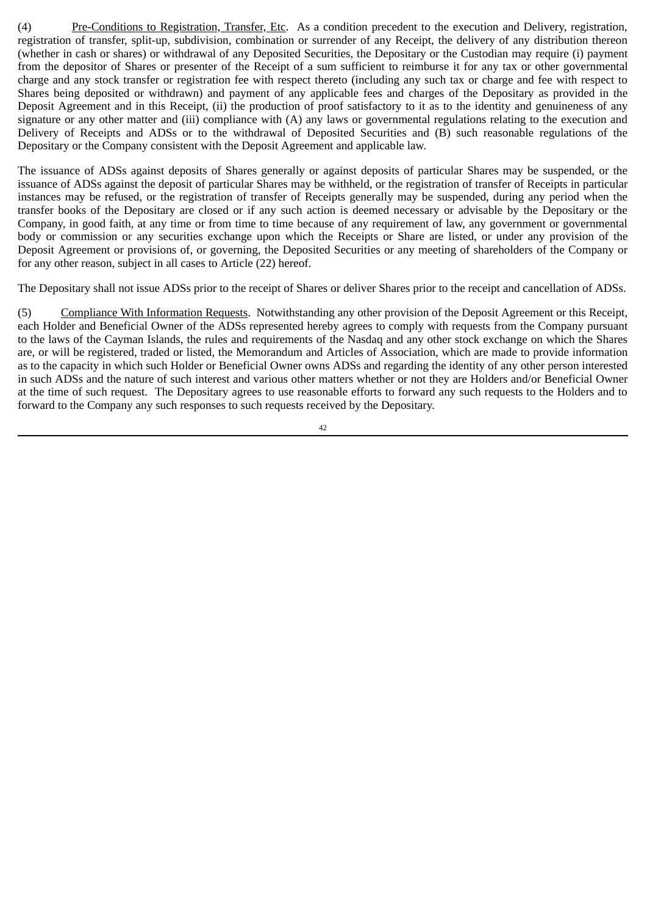(4) Pre‑Conditions to Registration, Transfer, Etc. As a condition precedent to the execution and Delivery, registration, registration of transfer, split-up, subdivision, combination or surrender of any Receipt, the delivery of any distribution thereon (whether in cash or shares) or withdrawal of any Deposited Securities, the Depositary or the Custodian may require (i) payment from the depositor of Shares or presenter of the Receipt of a sum sufficient to reimburse it for any tax or other governmental charge and any stock transfer or registration fee with respect thereto (including any such tax or charge and fee with respect to Shares being deposited or withdrawn) and payment of any applicable fees and charges of the Depositary as provided in the Deposit Agreement and in this Receipt, (ii) the production of proof satisfactory to it as to the identity and genuineness of any signature or any other matter and (iii) compliance with (A) any laws or governmental regulations relating to the execution and Delivery of Receipts and ADSs or to the withdrawal of Deposited Securities and (B) such reasonable regulations of the Depositary or the Company consistent with the Deposit Agreement and applicable law.

The issuance of ADSs against deposits of Shares generally or against deposits of particular Shares may be suspended, or the issuance of ADSs against the deposit of particular Shares may be withheld, or the registration of transfer of Receipts in particular instances may be refused, or the registration of transfer of Receipts generally may be suspended, during any period when the transfer books of the Depositary are closed or if any such action is deemed necessary or advisable by the Depositary or the Company, in good faith, at any time or from time to time because of any requirement of law, any government or governmental body or commission or any securities exchange upon which the Receipts or Share are listed, or under any provision of the Deposit Agreement or provisions of, or governing, the Deposited Securities or any meeting of shareholders of the Company or for any other reason, subject in all cases to Article (22) hereof.

The Depositary shall not issue ADSs prior to the receipt of Shares or deliver Shares prior to the receipt and cancellation of ADSs.

(5) Compliance With Information Requests. Notwithstanding any other provision of the Deposit Agreement or this Receipt, each Holder and Beneficial Owner of the ADSs represented hereby agrees to comply with requests from the Company pursuant to the laws of the Cayman Islands, the rules and requirements of the Nasdaq and any other stock exchange on which the Shares are, or will be registered, traded or listed, the Memorandum and Articles of Association, which are made to provide information as to the capacity in which such Holder or Beneficial Owner owns ADSs and regarding the identity of any other person interested in such ADSs and the nature of such interest and various other matters whether or not they are Holders and/or Beneficial Owner at the time of such request. The Depositary agrees to use reasonable efforts to forward any such requests to the Holders and to forward to the Company any such responses to such requests received by the Depositary.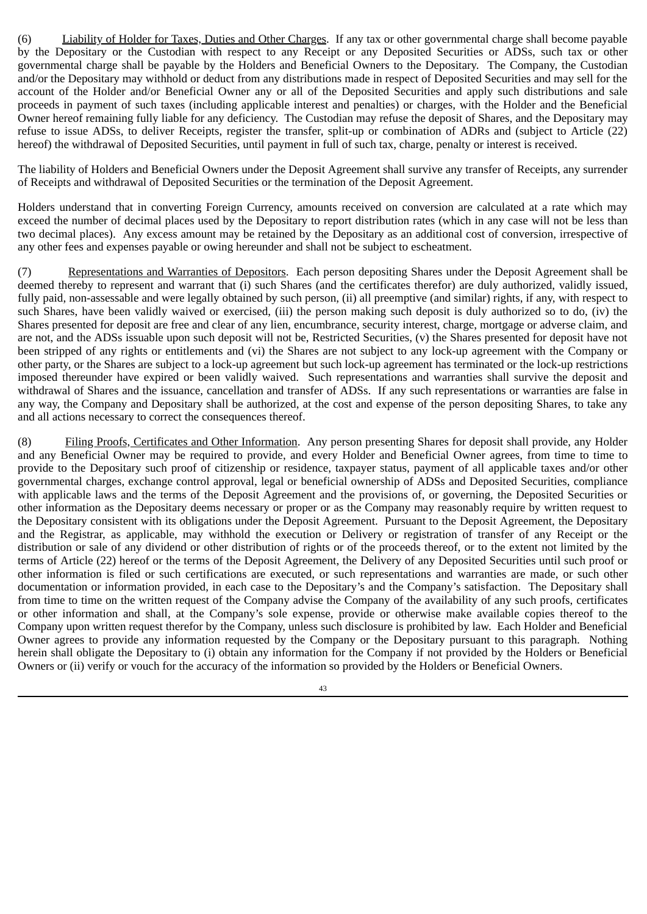(6) Liability of Holder for Taxes, Duties and Other Charges. If any tax or other governmental charge shall become payable by the Depositary or the Custodian with respect to any Receipt or any Deposited Securities or ADSs, such tax or other governmental charge shall be payable by the Holders and Beneficial Owners to the Depositary. The Company, the Custodian and/or the Depositary may withhold or deduct from any distributions made in respect of Deposited Securities and may sell for the account of the Holder and/or Beneficial Owner any or all of the Deposited Securities and apply such distributions and sale proceeds in payment of such taxes (including applicable interest and penalties) or charges, with the Holder and the Beneficial Owner hereof remaining fully liable for any deficiency. The Custodian may refuse the deposit of Shares, and the Depositary may refuse to issue ADSs, to deliver Receipts, register the transfer, split‑up or combination of ADRs and (subject to Article (22) hereof) the withdrawal of Deposited Securities, until payment in full of such tax, charge, penalty or interest is received.

The liability of Holders and Beneficial Owners under the Deposit Agreement shall survive any transfer of Receipts, any surrender of Receipts and withdrawal of Deposited Securities or the termination of the Deposit Agreement.

Holders understand that in converting Foreign Currency, amounts received on conversion are calculated at a rate which may exceed the number of decimal places used by the Depositary to report distribution rates (which in any case will not be less than two decimal places). Any excess amount may be retained by the Depositary as an additional cost of conversion, irrespective of any other fees and expenses payable or owing hereunder and shall not be subject to escheatment.

(7) Representations and Warranties of Depositors. Each person depositing Shares under the Deposit Agreement shall be deemed thereby to represent and warrant that (i) such Shares (and the certificates therefor) are duly authorized, validly issued, fully paid, non-assessable and were legally obtained by such person, (ii) all preemptive (and similar) rights, if any, with respect to such Shares, have been validly waived or exercised, (iii) the person making such deposit is duly authorized so to do, (iv) the Shares presented for deposit are free and clear of any lien, encumbrance, security interest, charge, mortgage or adverse claim, and are not, and the ADSs issuable upon such deposit will not be, Restricted Securities, (v) the Shares presented for deposit have not been stripped of any rights or entitlements and (vi) the Shares are not subject to any lock-up agreement with the Company or other party, or the Shares are subject to a lock-up agreement but such lock-up agreement has terminated or the lock-up restrictions imposed thereunder have expired or been validly waived. Such representations and warranties shall survive the deposit and withdrawal of Shares and the issuance, cancellation and transfer of ADSs. If any such representations or warranties are false in any way, the Company and Depositary shall be authorized, at the cost and expense of the person depositing Shares, to take any and all actions necessary to correct the consequences thereof.

(8) Filing Proofs, Certificates and Other Information. Any person presenting Shares for deposit shall provide, any Holder and any Beneficial Owner may be required to provide, and every Holder and Beneficial Owner agrees, from time to time to provide to the Depositary such proof of citizenship or residence, taxpayer status, payment of all applicable taxes and/or other governmental charges, exchange control approval, legal or beneficial ownership of ADSs and Deposited Securities, compliance with applicable laws and the terms of the Deposit Agreement and the provisions of, or governing, the Deposited Securities or other information as the Depositary deems necessary or proper or as the Company may reasonably require by written request to the Depositary consistent with its obligations under the Deposit Agreement. Pursuant to the Deposit Agreement, the Depositary and the Registrar, as applicable, may withhold the execution or Delivery or registration of transfer of any Receipt or the distribution or sale of any dividend or other distribution of rights or of the proceeds thereof, or to the extent not limited by the terms of Article (22) hereof or the terms of the Deposit Agreement, the Delivery of any Deposited Securities until such proof or other information is filed or such certifications are executed, or such representations and warranties are made, or such other documentation or information provided, in each case to the Depositary's and the Company's satisfaction. The Depositary shall from time to time on the written request of the Company advise the Company of the availability of any such proofs, certificates or other information and shall, at the Company's sole expense, provide or otherwise make available copies thereof to the Company upon written request therefor by the Company, unless such disclosure is prohibited by law. Each Holder and Beneficial Owner agrees to provide any information requested by the Company or the Depositary pursuant to this paragraph. Nothing herein shall obligate the Depositary to (i) obtain any information for the Company if not provided by the Holders or Beneficial Owners or (ii) verify or vouch for the accuracy of the information so provided by the Holders or Beneficial Owners.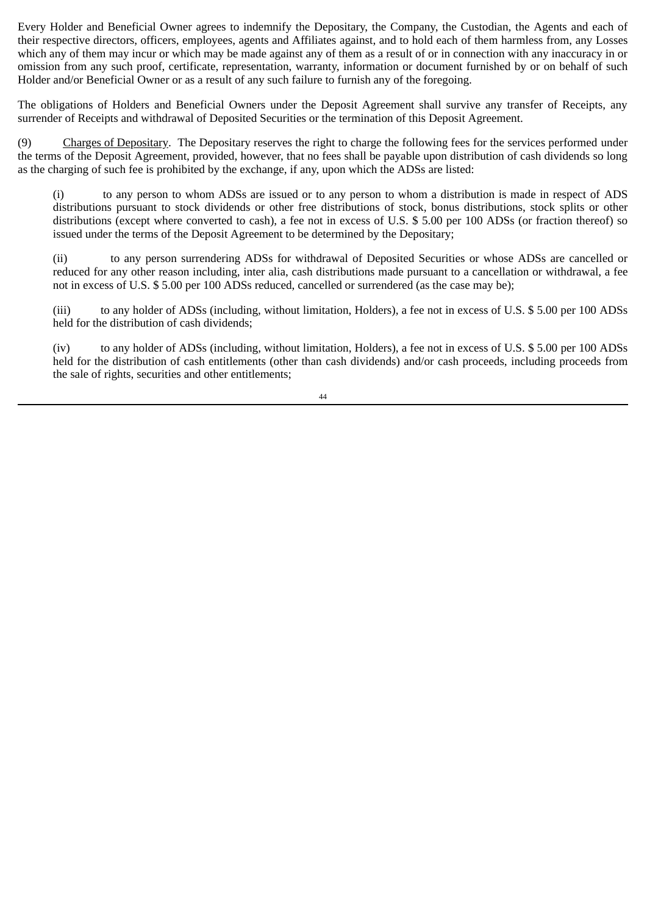Every Holder and Beneficial Owner agrees to indemnify the Depositary, the Company, the Custodian, the Agents and each of their respective directors, officers, employees, agents and Affiliates against, and to hold each of them harmless from, any Losses which any of them may incur or which may be made against any of them as a result of or in connection with any inaccuracy in or omission from any such proof, certificate, representation, warranty, information or document furnished by or on behalf of such Holder and/or Beneficial Owner or as a result of any such failure to furnish any of the foregoing.

The obligations of Holders and Beneficial Owners under the Deposit Agreement shall survive any transfer of Receipts, any surrender of Receipts and withdrawal of Deposited Securities or the termination of this Deposit Agreement.

(9) Charges of Depositary. The Depositary reserves the right to charge the following fees for the services performed under the terms of the Deposit Agreement, provided, however, that no fees shall be payable upon distribution of cash dividends so long as the charging of such fee is prohibited by the exchange, if any, upon which the ADSs are listed:

(i) to any person to whom ADSs are issued or to any person to whom a distribution is made in respect of ADS distributions pursuant to stock dividends or other free distributions of stock, bonus distributions, stock splits or other distributions (except where converted to cash), a fee not in excess of U.S. \$ 5.00 per 100 ADSs (or fraction thereof) so issued under the terms of the Deposit Agreement to be determined by the Depositary;

(ii) to any person surrendering ADSs for withdrawal of Deposited Securities or whose ADSs are cancelled or reduced for any other reason including, inter alia, cash distributions made pursuant to a cancellation or withdrawal, a fee not in excess of U.S. \$ 5.00 per 100 ADSs reduced, cancelled or surrendered (as the case may be);

(iii) to any holder of ADSs (including, without limitation, Holders), a fee not in excess of U.S. \$ 5.00 per 100 ADSs held for the distribution of cash dividends;

(iv) to any holder of ADSs (including, without limitation, Holders), a fee not in excess of U.S. \$ 5.00 per 100 ADSs held for the distribution of cash entitlements (other than cash dividends) and/or cash proceeds, including proceeds from the sale of rights, securities and other entitlements;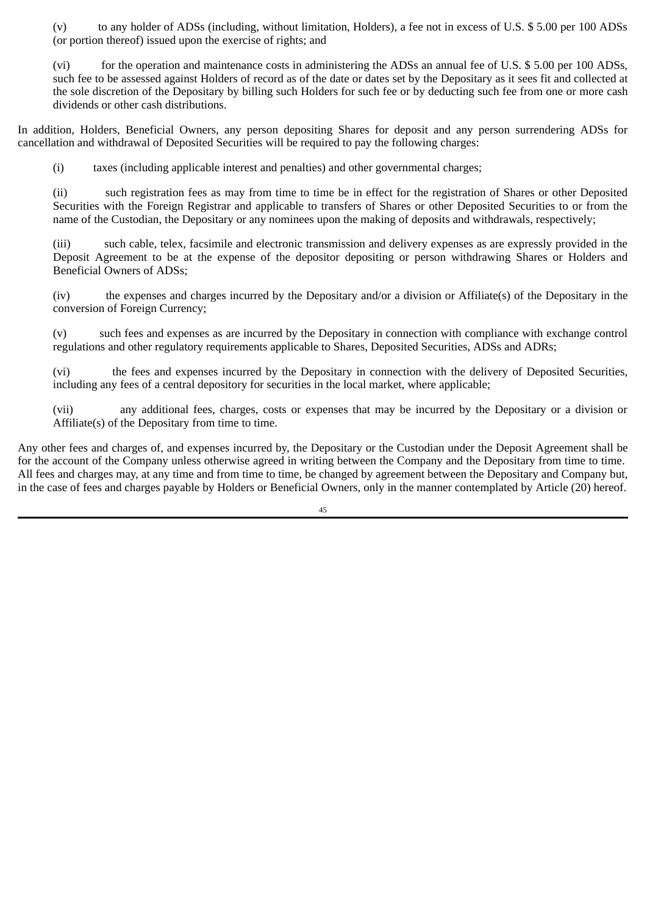(v) to any holder of ADSs (including, without limitation, Holders), a fee not in excess of U.S. \$ 5.00 per 100 ADSs (or portion thereof) issued upon the exercise of rights; and

(vi) for the operation and maintenance costs in administering the ADSs an annual fee of U.S. \$ 5.00 per 100 ADSs, such fee to be assessed against Holders of record as of the date or dates set by the Depositary as it sees fit and collected at the sole discretion of the Depositary by billing such Holders for such fee or by deducting such fee from one or more cash dividends or other cash distributions.

In addition, Holders, Beneficial Owners, any person depositing Shares for deposit and any person surrendering ADSs for cancellation and withdrawal of Deposited Securities will be required to pay the following charges:

(i) taxes (including applicable interest and penalties) and other governmental charges;

(ii) such registration fees as may from time to time be in effect for the registration of Shares or other Deposited Securities with the Foreign Registrar and applicable to transfers of Shares or other Deposited Securities to or from the name of the Custodian, the Depositary or any nominees upon the making of deposits and withdrawals, respectively;

(iii) such cable, telex, facsimile and electronic transmission and delivery expenses as are expressly provided in the Deposit Agreement to be at the expense of the depositor depositing or person withdrawing Shares or Holders and Beneficial Owners of ADSs;

(iv) the expenses and charges incurred by the Depositary and/or a division or Affiliate(s) of the Depositary in the conversion of Foreign Currency;

(v) such fees and expenses as are incurred by the Depositary in connection with compliance with exchange control regulations and other regulatory requirements applicable to Shares, Deposited Securities, ADSs and ADRs;

(vi) the fees and expenses incurred by the Depositary in connection with the delivery of Deposited Securities, including any fees of a central depository for securities in the local market, where applicable;

(vii) any additional fees, charges, costs or expenses that may be incurred by the Depositary or a division or Affiliate(s) of the Depositary from time to time.

Any other fees and charges of, and expenses incurred by, the Depositary or the Custodian under the Deposit Agreement shall be for the account of the Company unless otherwise agreed in writing between the Company and the Depositary from time to time. All fees and charges may, at any time and from time to time, be changed by agreement between the Depositary and Company but, in the case of fees and charges payable by Holders or Beneficial Owners, only in the manner contemplated by Article (20) hereof.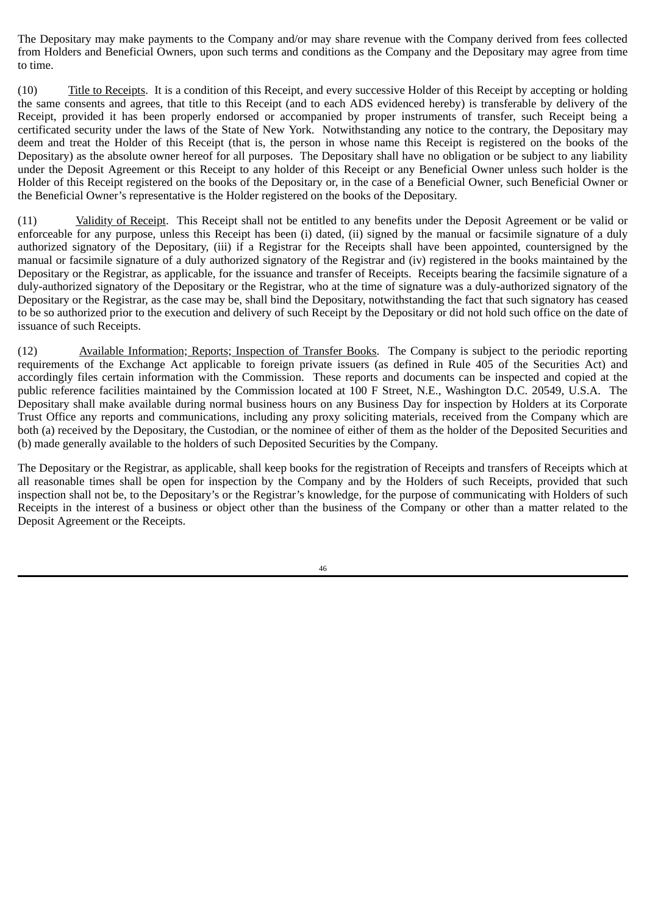The Depositary may make payments to the Company and/or may share revenue with the Company derived from fees collected from Holders and Beneficial Owners, upon such terms and conditions as the Company and the Depositary may agree from time to time.

(10) Title to Receipts. It is a condition of this Receipt, and every successive Holder of this Receipt by accepting or holding the same consents and agrees, that title to this Receipt (and to each ADS evidenced hereby) is transferable by delivery of the Receipt, provided it has been properly endorsed or accompanied by proper instruments of transfer, such Receipt being a certificated security under the laws of the State of New York. Notwithstanding any notice to the contrary, the Depositary may deem and treat the Holder of this Receipt (that is, the person in whose name this Receipt is registered on the books of the Depositary) as the absolute owner hereof for all purposes. The Depositary shall have no obligation or be subject to any liability under the Deposit Agreement or this Receipt to any holder of this Receipt or any Beneficial Owner unless such holder is the Holder of this Receipt registered on the books of the Depositary or, in the case of a Beneficial Owner, such Beneficial Owner or the Beneficial Owner's representative is the Holder registered on the books of the Depositary.

(11) Validity of Receipt. This Receipt shall not be entitled to any benefits under the Deposit Agreement or be valid or enforceable for any purpose, unless this Receipt has been (i) dated, (ii) signed by the manual or facsimile signature of a duly authorized signatory of the Depositary, (iii) if a Registrar for the Receipts shall have been appointed, countersigned by the manual or facsimile signature of a duly authorized signatory of the Registrar and (iv) registered in the books maintained by the Depositary or the Registrar, as applicable, for the issuance and transfer of Receipts. Receipts bearing the facsimile signature of a duly‑authorized signatory of the Depositary or the Registrar, who at the time of signature was a duly‑authorized signatory of the Depositary or the Registrar, as the case may be, shall bind the Depositary, notwithstanding the fact that such signatory has ceased to be so authorized prior to the execution and delivery of such Receipt by the Depositary or did not hold such office on the date of issuance of such Receipts.

(12) Available Information; Reports; Inspection of Transfer Books. The Company is subject to the periodic reporting requirements of the Exchange Act applicable to foreign private issuers (as defined in Rule 405 of the Securities Act) and accordingly files certain information with the Commission. These reports and documents can be inspected and copied at the public reference facilities maintained by the Commission located at 100 F Street, N.E., Washington D.C. 20549, U.S.A. The Depositary shall make available during normal business hours on any Business Day for inspection by Holders at its Corporate Trust Office any reports and communications, including any proxy soliciting materials, received from the Company which are both (a) received by the Depositary, the Custodian, or the nominee of either of them as the holder of the Deposited Securities and (b) made generally available to the holders of such Deposited Securities by the Company.

The Depositary or the Registrar, as applicable, shall keep books for the registration of Receipts and transfers of Receipts which at all reasonable times shall be open for inspection by the Company and by the Holders of such Receipts, provided that such inspection shall not be, to the Depositary's or the Registrar's knowledge, for the purpose of communicating with Holders of such Receipts in the interest of a business or object other than the business of the Company or other than a matter related to the Deposit Agreement or the Receipts.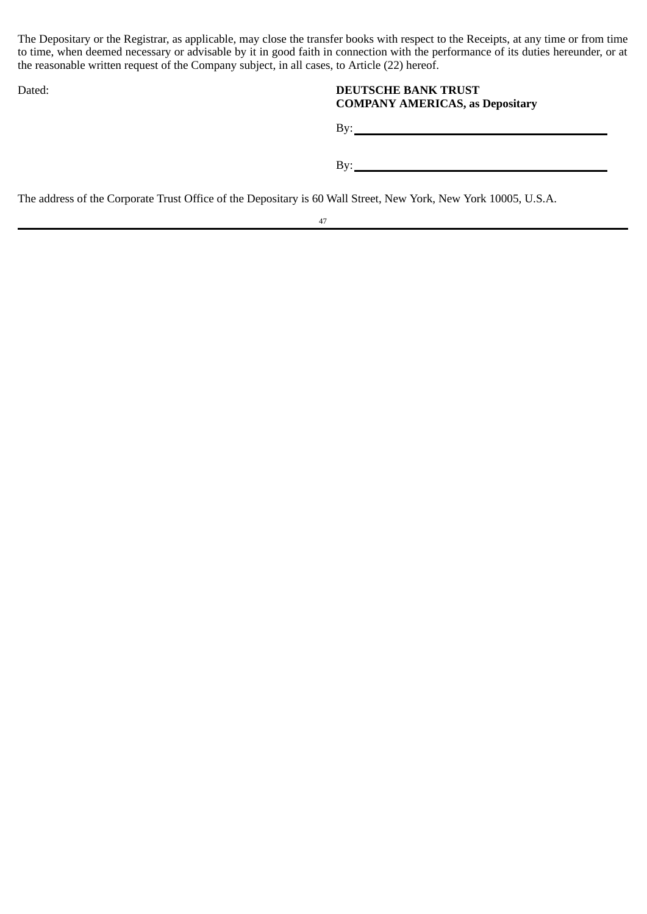The Depositary or the Registrar, as applicable, may close the transfer books with respect to the Receipts, at any time or from time to time, when deemed necessary or advisable by it in good faith in connection with the performance of its duties hereunder, or at the reasonable written request of the Company subject, in all cases, to Article (22) hereof.

# Dated: **DEUTSCHE BANK TRUST COMPANY AMERICAS, as Depositary**

By:

By:

The address of the Corporate Trust Office of the Depositary is 60 Wall Street, New York, New York 10005, U.S.A.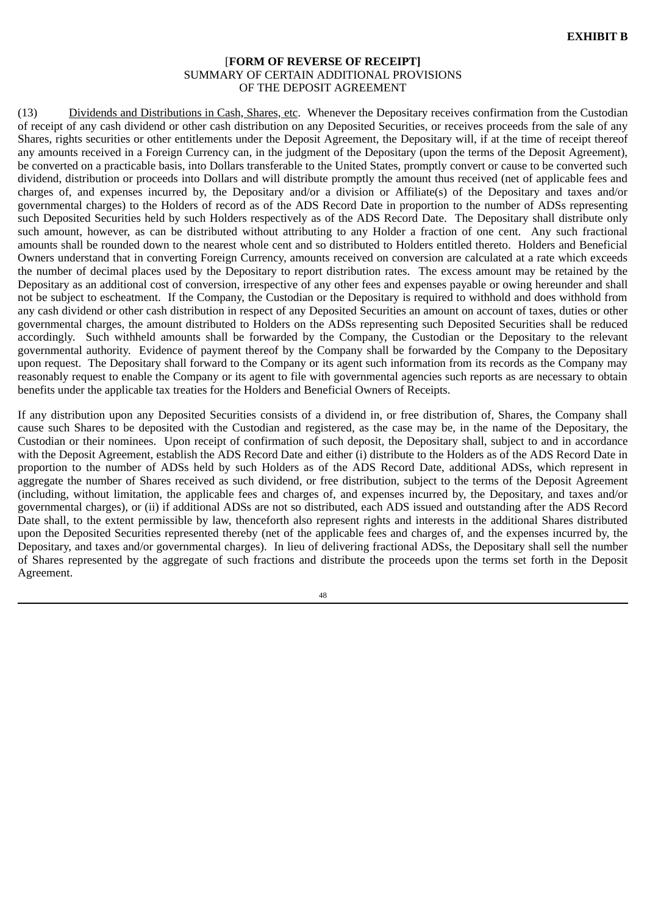## [**FORM OF REVERSE OF RECEIPT]** SUMMARY OF CERTAIN ADDITIONAL PROVISIONS OF THE DEPOSIT AGREEMENT

(13) Dividends and Distributions in Cash, Shares, etc. Whenever the Depositary receives confirmation from the Custodian of receipt of any cash dividend or other cash distribution on any Deposited Securities, or receives proceeds from the sale of any Shares, rights securities or other entitlements under the Deposit Agreement, the Depositary will, if at the time of receipt thereof any amounts received in a Foreign Currency can, in the judgment of the Depositary (upon the terms of the Deposit Agreement), be converted on a practicable basis, into Dollars transferable to the United States, promptly convert or cause to be converted such dividend, distribution or proceeds into Dollars and will distribute promptly the amount thus received (net of applicable fees and charges of, and expenses incurred by, the Depositary and/or a division or Affiliate(s) of the Depositary and taxes and/or governmental charges) to the Holders of record as of the ADS Record Date in proportion to the number of ADSs representing such Deposited Securities held by such Holders respectively as of the ADS Record Date. The Depositary shall distribute only such amount, however, as can be distributed without attributing to any Holder a fraction of one cent. Any such fractional amounts shall be rounded down to the nearest whole cent and so distributed to Holders entitled thereto. Holders and Beneficial Owners understand that in converting Foreign Currency, amounts received on conversion are calculated at a rate which exceeds the number of decimal places used by the Depositary to report distribution rates. The excess amount may be retained by the Depositary as an additional cost of conversion, irrespective of any other fees and expenses payable or owing hereunder and shall not be subject to escheatment. If the Company, the Custodian or the Depositary is required to withhold and does withhold from any cash dividend or other cash distribution in respect of any Deposited Securities an amount on account of taxes, duties or other governmental charges, the amount distributed to Holders on the ADSs representing such Deposited Securities shall be reduced accordingly. Such withheld amounts shall be forwarded by the Company, the Custodian or the Depositary to the relevant governmental authority. Evidence of payment thereof by the Company shall be forwarded by the Company to the Depositary upon request. The Depositary shall forward to the Company or its agent such information from its records as the Company may reasonably request to enable the Company or its agent to file with governmental agencies such reports as are necessary to obtain benefits under the applicable tax treaties for the Holders and Beneficial Owners of Receipts.

If any distribution upon any Deposited Securities consists of a dividend in, or free distribution of, Shares, the Company shall cause such Shares to be deposited with the Custodian and registered, as the case may be, in the name of the Depositary, the Custodian or their nominees. Upon receipt of confirmation of such deposit, the Depositary shall, subject to and in accordance with the Deposit Agreement, establish the ADS Record Date and either (i) distribute to the Holders as of the ADS Record Date in proportion to the number of ADSs held by such Holders as of the ADS Record Date, additional ADSs, which represent in aggregate the number of Shares received as such dividend, or free distribution, subject to the terms of the Deposit Agreement (including, without limitation, the applicable fees and charges of, and expenses incurred by, the Depositary, and taxes and/or governmental charges), or (ii) if additional ADSs are not so distributed, each ADS issued and outstanding after the ADS Record Date shall, to the extent permissible by law, thenceforth also represent rights and interests in the additional Shares distributed upon the Deposited Securities represented thereby (net of the applicable fees and charges of, and the expenses incurred by, the Depositary, and taxes and/or governmental charges). In lieu of delivering fractional ADSs, the Depositary shall sell the number of Shares represented by the aggregate of such fractions and distribute the proceeds upon the terms set forth in the Deposit Agreement.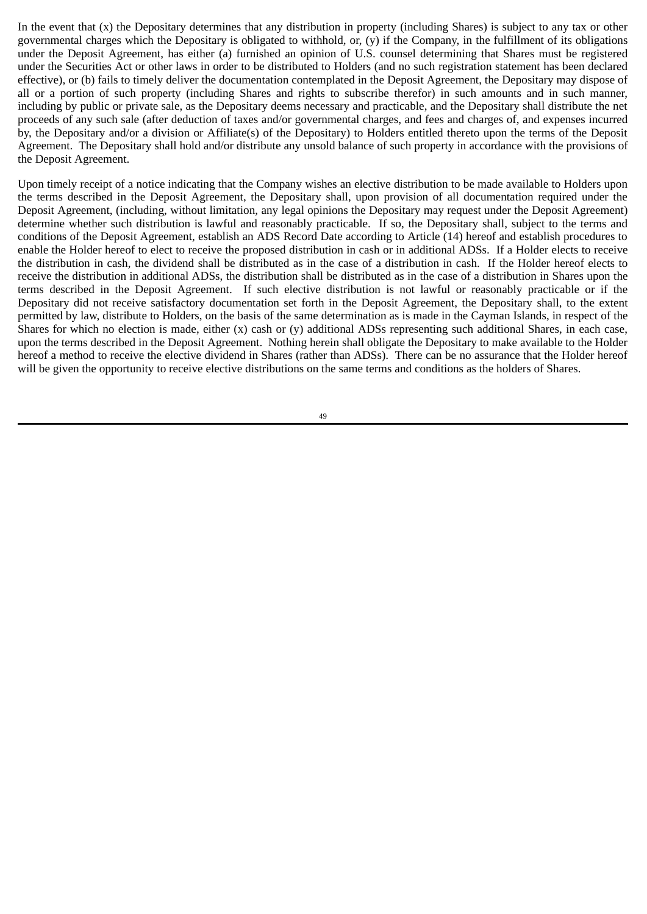In the event that (x) the Depositary determines that any distribution in property (including Shares) is subject to any tax or other governmental charges which the Depositary is obligated to withhold, or, (y) if the Company, in the fulfillment of its obligations under the Deposit Agreement, has either (a) furnished an opinion of U.S. counsel determining that Shares must be registered under the Securities Act or other laws in order to be distributed to Holders (and no such registration statement has been declared effective), or (b) fails to timely deliver the documentation contemplated in the Deposit Agreement, the Depositary may dispose of all or a portion of such property (including Shares and rights to subscribe therefor) in such amounts and in such manner, including by public or private sale, as the Depositary deems necessary and practicable, and the Depositary shall distribute the net proceeds of any such sale (after deduction of taxes and/or governmental charges, and fees and charges of, and expenses incurred by, the Depositary and/or a division or Affiliate(s) of the Depositary) to Holders entitled thereto upon the terms of the Deposit Agreement. The Depositary shall hold and/or distribute any unsold balance of such property in accordance with the provisions of the Deposit Agreement.

Upon timely receipt of a notice indicating that the Company wishes an elective distribution to be made available to Holders upon the terms described in the Deposit Agreement, the Depositary shall, upon provision of all documentation required under the Deposit Agreement, (including, without limitation, any legal opinions the Depositary may request under the Deposit Agreement) determine whether such distribution is lawful and reasonably practicable. If so, the Depositary shall, subject to the terms and conditions of the Deposit Agreement, establish an ADS Record Date according to Article (14) hereof and establish procedures to enable the Holder hereof to elect to receive the proposed distribution in cash or in additional ADSs. If a Holder elects to receive the distribution in cash, the dividend shall be distributed as in the case of a distribution in cash. If the Holder hereof elects to receive the distribution in additional ADSs, the distribution shall be distributed as in the case of a distribution in Shares upon the terms described in the Deposit Agreement. If such elective distribution is not lawful or reasonably practicable or if the Depositary did not receive satisfactory documentation set forth in the Deposit Agreement, the Depositary shall, to the extent permitted by law, distribute to Holders, on the basis of the same determination as is made in the Cayman Islands, in respect of the Shares for which no election is made, either (x) cash or (y) additional ADSs representing such additional Shares, in each case, upon the terms described in the Deposit Agreement. Nothing herein shall obligate the Depositary to make available to the Holder hereof a method to receive the elective dividend in Shares (rather than ADSs). There can be no assurance that the Holder hereof will be given the opportunity to receive elective distributions on the same terms and conditions as the holders of Shares.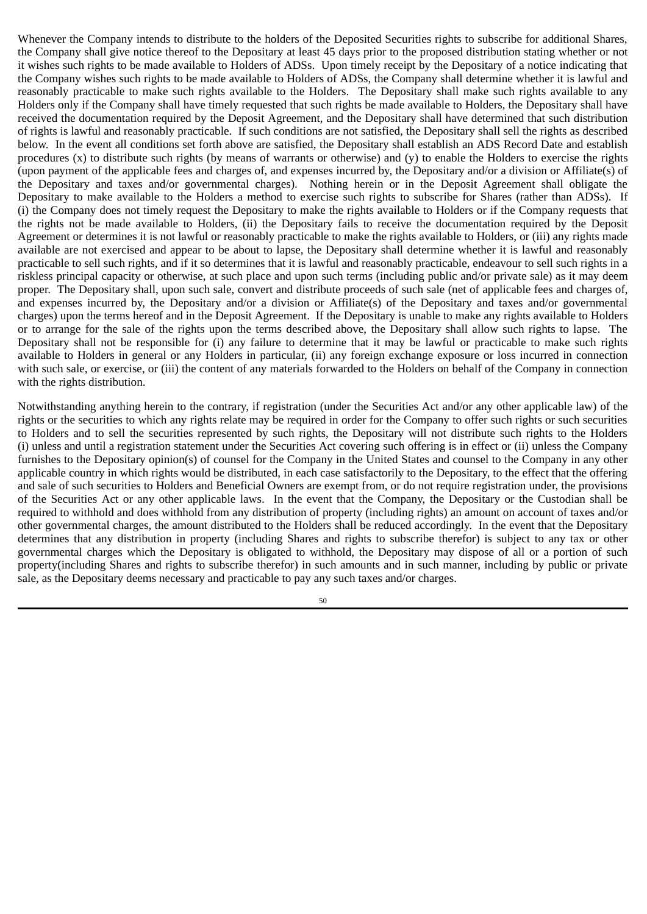Whenever the Company intends to distribute to the holders of the Deposited Securities rights to subscribe for additional Shares, the Company shall give notice thereof to the Depositary at least 45 days prior to the proposed distribution stating whether or not it wishes such rights to be made available to Holders of ADSs. Upon timely receipt by the Depositary of a notice indicating that the Company wishes such rights to be made available to Holders of ADSs, the Company shall determine whether it is lawful and reasonably practicable to make such rights available to the Holders. The Depositary shall make such rights available to any Holders only if the Company shall have timely requested that such rights be made available to Holders, the Depositary shall have received the documentation required by the Deposit Agreement, and the Depositary shall have determined that such distribution of rights is lawful and reasonably practicable. If such conditions are not satisfied, the Depositary shall sell the rights as described below. In the event all conditions set forth above are satisfied, the Depositary shall establish an ADS Record Date and establish procedures (x) to distribute such rights (by means of warrants or otherwise) and (y) to enable the Holders to exercise the rights (upon payment of the applicable fees and charges of, and expenses incurred by, the Depositary and/or a division or Affiliate(s) of the Depositary and taxes and/or governmental charges). Nothing herein or in the Deposit Agreement shall obligate the Depositary to make available to the Holders a method to exercise such rights to subscribe for Shares (rather than ADSs). If (i) the Company does not timely request the Depositary to make the rights available to Holders or if the Company requests that the rights not be made available to Holders, (ii) the Depositary fails to receive the documentation required by the Deposit Agreement or determines it is not lawful or reasonably practicable to make the rights available to Holders, or (iii) any rights made available are not exercised and appear to be about to lapse, the Depositary shall determine whether it is lawful and reasonably practicable to sell such rights, and if it so determines that it is lawful and reasonably practicable, endeavour to sell such rights in a riskless principal capacity or otherwise, at such place and upon such terms (including public and/or private sale) as it may deem proper. The Depositary shall, upon such sale, convert and distribute proceeds of such sale (net of applicable fees and charges of, and expenses incurred by, the Depositary and/or a division or Affiliate(s) of the Depositary and taxes and/or governmental charges) upon the terms hereof and in the Deposit Agreement. If the Depositary is unable to make any rights available to Holders or to arrange for the sale of the rights upon the terms described above, the Depositary shall allow such rights to lapse. The Depositary shall not be responsible for (i) any failure to determine that it may be lawful or practicable to make such rights available to Holders in general or any Holders in particular, (ii) any foreign exchange exposure or loss incurred in connection with such sale, or exercise, or (iii) the content of any materials forwarded to the Holders on behalf of the Company in connection with the rights distribution.

Notwithstanding anything herein to the contrary, if registration (under the Securities Act and/or any other applicable law) of the rights or the securities to which any rights relate may be required in order for the Company to offer such rights or such securities to Holders and to sell the securities represented by such rights, the Depositary will not distribute such rights to the Holders (i) unless and until a registration statement under the Securities Act covering such offering is in effect or (ii) unless the Company furnishes to the Depositary opinion(s) of counsel for the Company in the United States and counsel to the Company in any other applicable country in which rights would be distributed, in each case satisfactorily to the Depositary, to the effect that the offering and sale of such securities to Holders and Beneficial Owners are exempt from, or do not require registration under, the provisions of the Securities Act or any other applicable laws. In the event that the Company, the Depositary or the Custodian shall be required to withhold and does withhold from any distribution of property (including rights) an amount on account of taxes and/or other governmental charges, the amount distributed to the Holders shall be reduced accordingly. In the event that the Depositary determines that any distribution in property (including Shares and rights to subscribe therefor) is subject to any tax or other governmental charges which the Depositary is obligated to withhold, the Depositary may dispose of all or a portion of such property(including Shares and rights to subscribe therefor) in such amounts and in such manner, including by public or private sale, as the Depositary deems necessary and practicable to pay any such taxes and/or charges.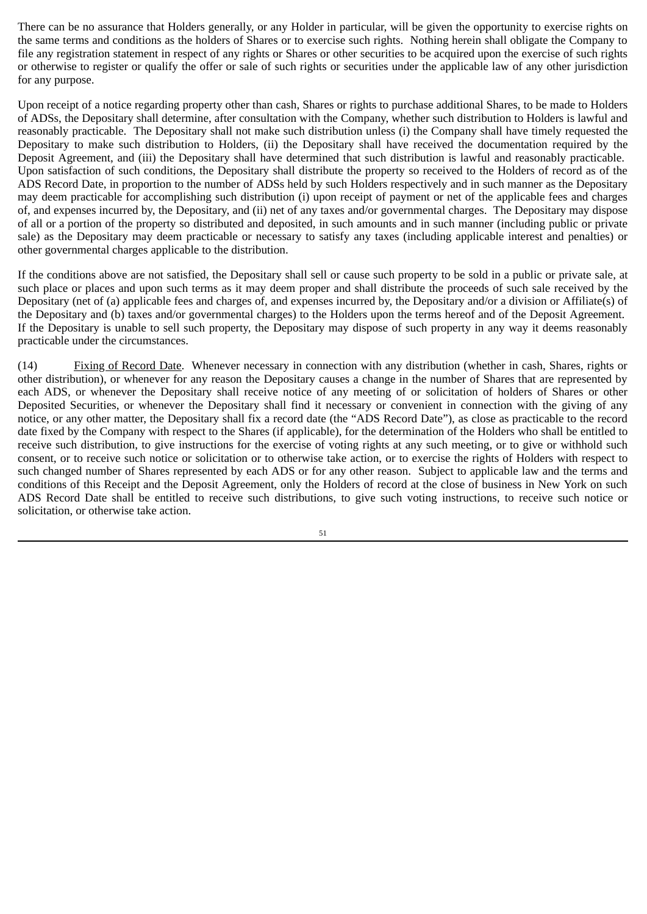There can be no assurance that Holders generally, or any Holder in particular, will be given the opportunity to exercise rights on the same terms and conditions as the holders of Shares or to exercise such rights. Nothing herein shall obligate the Company to file any registration statement in respect of any rights or Shares or other securities to be acquired upon the exercise of such rights or otherwise to register or qualify the offer or sale of such rights or securities under the applicable law of any other jurisdiction for any purpose.

Upon receipt of a notice regarding property other than cash, Shares or rights to purchase additional Shares, to be made to Holders of ADSs, the Depositary shall determine, after consultation with the Company, whether such distribution to Holders is lawful and reasonably practicable. The Depositary shall not make such distribution unless (i) the Company shall have timely requested the Depositary to make such distribution to Holders, (ii) the Depositary shall have received the documentation required by the Deposit Agreement, and (iii) the Depositary shall have determined that such distribution is lawful and reasonably practicable. Upon satisfaction of such conditions, the Depositary shall distribute the property so received to the Holders of record as of the ADS Record Date, in proportion to the number of ADSs held by such Holders respectively and in such manner as the Depositary may deem practicable for accomplishing such distribution (i) upon receipt of payment or net of the applicable fees and charges of, and expenses incurred by, the Depositary, and (ii) net of any taxes and/or governmental charges. The Depositary may dispose of all or a portion of the property so distributed and deposited, in such amounts and in such manner (including public or private sale) as the Depositary may deem practicable or necessary to satisfy any taxes (including applicable interest and penalties) or other governmental charges applicable to the distribution.

If the conditions above are not satisfied, the Depositary shall sell or cause such property to be sold in a public or private sale, at such place or places and upon such terms as it may deem proper and shall distribute the proceeds of such sale received by the Depositary (net of (a) applicable fees and charges of, and expenses incurred by, the Depositary and/or a division or Affiliate(s) of the Depositary and (b) taxes and/or governmental charges) to the Holders upon the terms hereof and of the Deposit Agreement. If the Depositary is unable to sell such property, the Depositary may dispose of such property in any way it deems reasonably practicable under the circumstances.

(14) Fixing of Record Date. Whenever necessary in connection with any distribution (whether in cash, Shares, rights or other distribution), or whenever for any reason the Depositary causes a change in the number of Shares that are represented by each ADS, or whenever the Depositary shall receive notice of any meeting of or solicitation of holders of Shares or other Deposited Securities, or whenever the Depositary shall find it necessary or convenient in connection with the giving of any notice, or any other matter, the Depositary shall fix a record date (the "ADS Record Date"), as close as practicable to the record date fixed by the Company with respect to the Shares (if applicable), for the determination of the Holders who shall be entitled to receive such distribution, to give instructions for the exercise of voting rights at any such meeting, or to give or withhold such consent, or to receive such notice or solicitation or to otherwise take action, or to exercise the rights of Holders with respect to such changed number of Shares represented by each ADS or for any other reason. Subject to applicable law and the terms and conditions of this Receipt and the Deposit Agreement, only the Holders of record at the close of business in New York on such ADS Record Date shall be entitled to receive such distributions, to give such voting instructions, to receive such notice or solicitation, or otherwise take action.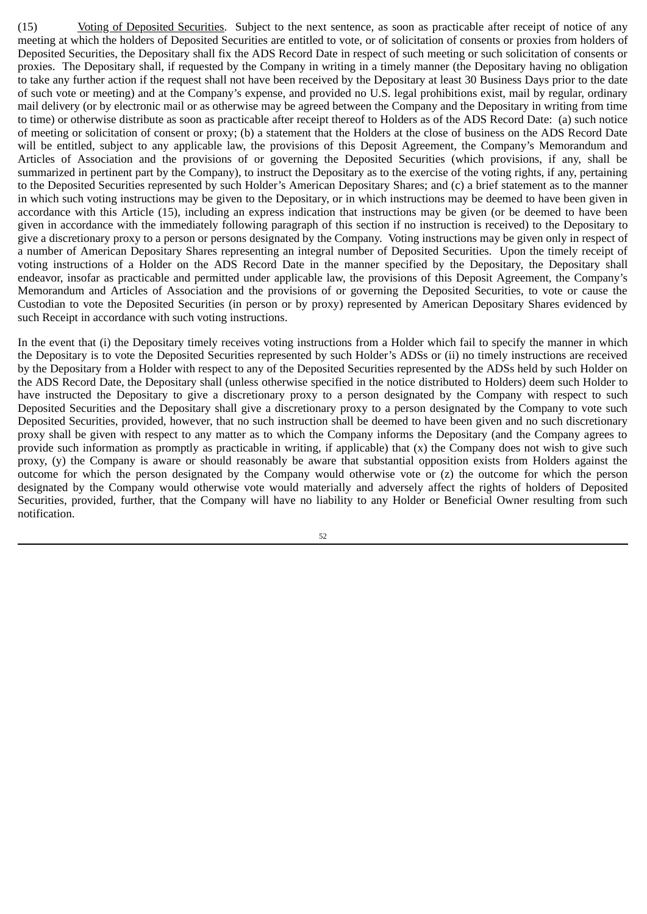(15) Voting of Deposited Securities. Subject to the next sentence, as soon as practicable after receipt of notice of any meeting at which the holders of Deposited Securities are entitled to vote, or of solicitation of consents or proxies from holders of Deposited Securities, the Depositary shall fix the ADS Record Date in respect of such meeting or such solicitation of consents or proxies. The Depositary shall, if requested by the Company in writing in a timely manner (the Depositary having no obligation to take any further action if the request shall not have been received by the Depositary at least 30 Business Days prior to the date of such vote or meeting) and at the Company's expense, and provided no U.S. legal prohibitions exist, mail by regular, ordinary mail delivery (or by electronic mail or as otherwise may be agreed between the Company and the Depositary in writing from time to time) or otherwise distribute as soon as practicable after receipt thereof to Holders as of the ADS Record Date: (a) such notice of meeting or solicitation of consent or proxy; (b) a statement that the Holders at the close of business on the ADS Record Date will be entitled, subject to any applicable law, the provisions of this Deposit Agreement, the Company's Memorandum and Articles of Association and the provisions of or governing the Deposited Securities (which provisions, if any, shall be summarized in pertinent part by the Company), to instruct the Depositary as to the exercise of the voting rights, if any, pertaining to the Deposited Securities represented by such Holder's American Depositary Shares; and (c) a brief statement as to the manner in which such voting instructions may be given to the Depositary, or in which instructions may be deemed to have been given in accordance with this Article (15), including an express indication that instructions may be given (or be deemed to have been given in accordance with the immediately following paragraph of this section if no instruction is received) to the Depositary to give a discretionary proxy to a person or persons designated by the Company. Voting instructions may be given only in respect of a number of American Depositary Shares representing an integral number of Deposited Securities. Upon the timely receipt of voting instructions of a Holder on the ADS Record Date in the manner specified by the Depositary, the Depositary shall endeavor, insofar as practicable and permitted under applicable law, the provisions of this Deposit Agreement, the Company's Memorandum and Articles of Association and the provisions of or governing the Deposited Securities, to vote or cause the Custodian to vote the Deposited Securities (in person or by proxy) represented by American Depositary Shares evidenced by such Receipt in accordance with such voting instructions.

In the event that (i) the Depositary timely receives voting instructions from a Holder which fail to specify the manner in which the Depositary is to vote the Deposited Securities represented by such Holder's ADSs or (ii) no timely instructions are received by the Depositary from a Holder with respect to any of the Deposited Securities represented by the ADSs held by such Holder on the ADS Record Date, the Depositary shall (unless otherwise specified in the notice distributed to Holders) deem such Holder to have instructed the Depositary to give a discretionary proxy to a person designated by the Company with respect to such Deposited Securities and the Depositary shall give a discretionary proxy to a person designated by the Company to vote such Deposited Securities, provided, however, that no such instruction shall be deemed to have been given and no such discretionary proxy shall be given with respect to any matter as to which the Company informs the Depositary (and the Company agrees to provide such information as promptly as practicable in writing, if applicable) that (x) the Company does not wish to give such proxy, (y) the Company is aware or should reasonably be aware that substantial opposition exists from Holders against the outcome for which the person designated by the Company would otherwise vote or (z) the outcome for which the person designated by the Company would otherwise vote would materially and adversely affect the rights of holders of Deposited Securities, provided, further, that the Company will have no liability to any Holder or Beneficial Owner resulting from such notification.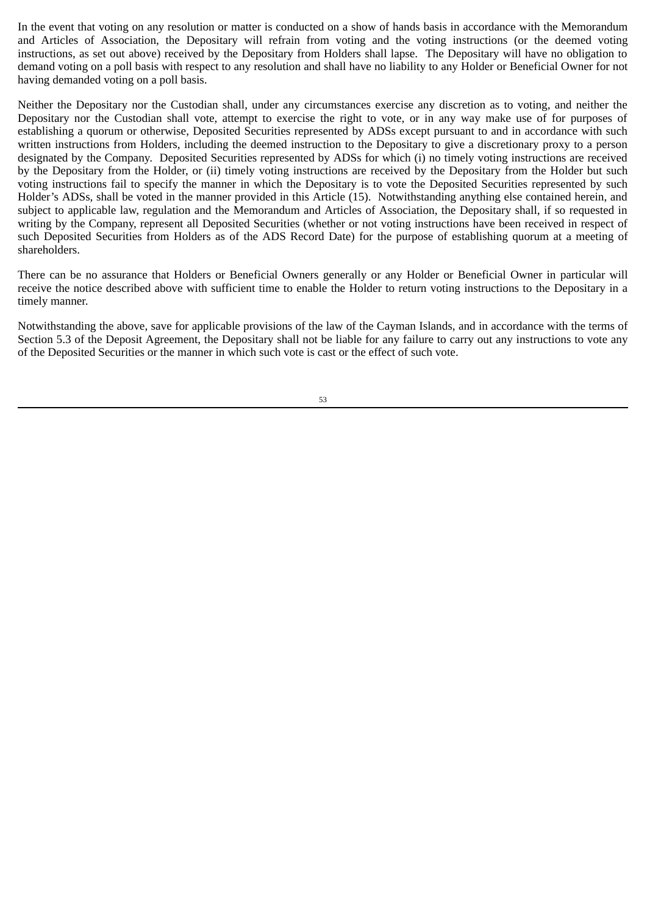In the event that voting on any resolution or matter is conducted on a show of hands basis in accordance with the Memorandum and Articles of Association, the Depositary will refrain from voting and the voting instructions (or the deemed voting instructions, as set out above) received by the Depositary from Holders shall lapse. The Depositary will have no obligation to demand voting on a poll basis with respect to any resolution and shall have no liability to any Holder or Beneficial Owner for not having demanded voting on a poll basis.

Neither the Depositary nor the Custodian shall, under any circumstances exercise any discretion as to voting, and neither the Depositary nor the Custodian shall vote, attempt to exercise the right to vote, or in any way make use of for purposes of establishing a quorum or otherwise, Deposited Securities represented by ADSs except pursuant to and in accordance with such written instructions from Holders, including the deemed instruction to the Depositary to give a discretionary proxy to a person designated by the Company. Deposited Securities represented by ADSs for which (i) no timely voting instructions are received by the Depositary from the Holder, or (ii) timely voting instructions are received by the Depositary from the Holder but such voting instructions fail to specify the manner in which the Depositary is to vote the Deposited Securities represented by such Holder's ADSs, shall be voted in the manner provided in this Article (15). Notwithstanding anything else contained herein, and subject to applicable law, regulation and the Memorandum and Articles of Association, the Depositary shall, if so requested in writing by the Company, represent all Deposited Securities (whether or not voting instructions have been received in respect of such Deposited Securities from Holders as of the ADS Record Date) for the purpose of establishing quorum at a meeting of shareholders.

There can be no assurance that Holders or Beneficial Owners generally or any Holder or Beneficial Owner in particular will receive the notice described above with sufficient time to enable the Holder to return voting instructions to the Depositary in a timely manner.

Notwithstanding the above, save for applicable provisions of the law of the Cayman Islands, and in accordance with the terms of Section 5.3 of the Deposit Agreement, the Depositary shall not be liable for any failure to carry out any instructions to vote any of the Deposited Securities or the manner in which such vote is cast or the effect of such vote.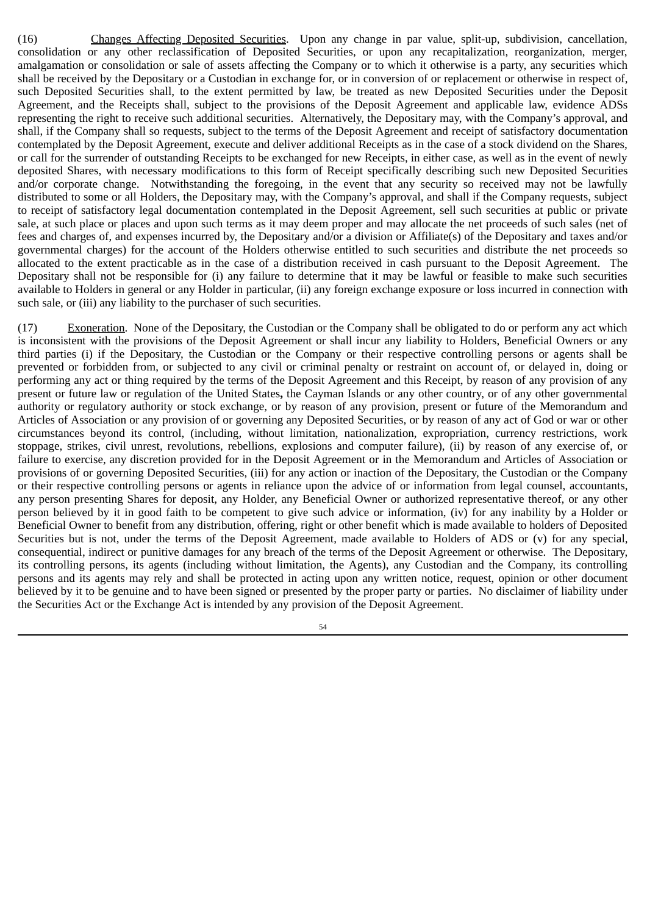(16) Changes Affecting Deposited Securities. Upon any change in par value, split-up, subdivision, cancellation, consolidation or any other reclassification of Deposited Securities, or upon any recapitalization, reorganization, merger, amalgamation or consolidation or sale of assets affecting the Company or to which it otherwise is a party, any securities which shall be received by the Depositary or a Custodian in exchange for, or in conversion of or replacement or otherwise in respect of, such Deposited Securities shall, to the extent permitted by law, be treated as new Deposited Securities under the Deposit Agreement, and the Receipts shall, subject to the provisions of the Deposit Agreement and applicable law, evidence ADSs representing the right to receive such additional securities. Alternatively, the Depositary may, with the Company's approval, and shall, if the Company shall so requests, subject to the terms of the Deposit Agreement and receipt of satisfactory documentation contemplated by the Deposit Agreement, execute and deliver additional Receipts as in the case of a stock dividend on the Shares, or call for the surrender of outstanding Receipts to be exchanged for new Receipts, in either case, as well as in the event of newly deposited Shares, with necessary modifications to this form of Receipt specifically describing such new Deposited Securities and/or corporate change. Notwithstanding the foregoing, in the event that any security so received may not be lawfully distributed to some or all Holders, the Depositary may, with the Company's approval, and shall if the Company requests, subject to receipt of satisfactory legal documentation contemplated in the Deposit Agreement, sell such securities at public or private sale, at such place or places and upon such terms as it may deem proper and may allocate the net proceeds of such sales (net of fees and charges of, and expenses incurred by, the Depositary and/or a division or Affiliate(s) of the Depositary and taxes and/or governmental charges) for the account of the Holders otherwise entitled to such securities and distribute the net proceeds so allocated to the extent practicable as in the case of a distribution received in cash pursuant to the Deposit Agreement. The Depositary shall not be responsible for (i) any failure to determine that it may be lawful or feasible to make such securities available to Holders in general or any Holder in particular, (ii) any foreign exchange exposure or loss incurred in connection with such sale, or (iii) any liability to the purchaser of such securities.

(17) Exoneration. None of the Depositary, the Custodian or the Company shall be obligated to do or perform any act which is inconsistent with the provisions of the Deposit Agreement or shall incur any liability to Holders, Beneficial Owners or any third parties (i) if the Depositary, the Custodian or the Company or their respective controlling persons or agents shall be prevented or forbidden from, or subjected to any civil or criminal penalty or restraint on account of, or delayed in, doing or performing any act or thing required by the terms of the Deposit Agreement and this Receipt, by reason of any provision of any present or future law or regulation of the United States**,** the Cayman Islands or any other country, or of any other governmental authority or regulatory authority or stock exchange, or by reason of any provision, present or future of the Memorandum and Articles of Association or any provision of or governing any Deposited Securities, or by reason of any act of God or war or other circumstances beyond its control, (including, without limitation, nationalization, expropriation, currency restrictions, work stoppage, strikes, civil unrest, revolutions, rebellions, explosions and computer failure), (ii) by reason of any exercise of, or failure to exercise, any discretion provided for in the Deposit Agreement or in the Memorandum and Articles of Association or provisions of or governing Deposited Securities, (iii) for any action or inaction of the Depositary, the Custodian or the Company or their respective controlling persons or agents in reliance upon the advice of or information from legal counsel, accountants, any person presenting Shares for deposit, any Holder, any Beneficial Owner or authorized representative thereof, or any other person believed by it in good faith to be competent to give such advice or information, (iv) for any inability by a Holder or Beneficial Owner to benefit from any distribution, offering, right or other benefit which is made available to holders of Deposited Securities but is not, under the terms of the Deposit Agreement, made available to Holders of ADS or (v) for any special, consequential, indirect or punitive damages for any breach of the terms of the Deposit Agreement or otherwise. The Depositary, its controlling persons, its agents (including without limitation, the Agents), any Custodian and the Company, its controlling persons and its agents may rely and shall be protected in acting upon any written notice, request, opinion or other document believed by it to be genuine and to have been signed or presented by the proper party or parties. No disclaimer of liability under the Securities Act or the Exchange Act is intended by any provision of the Deposit Agreement.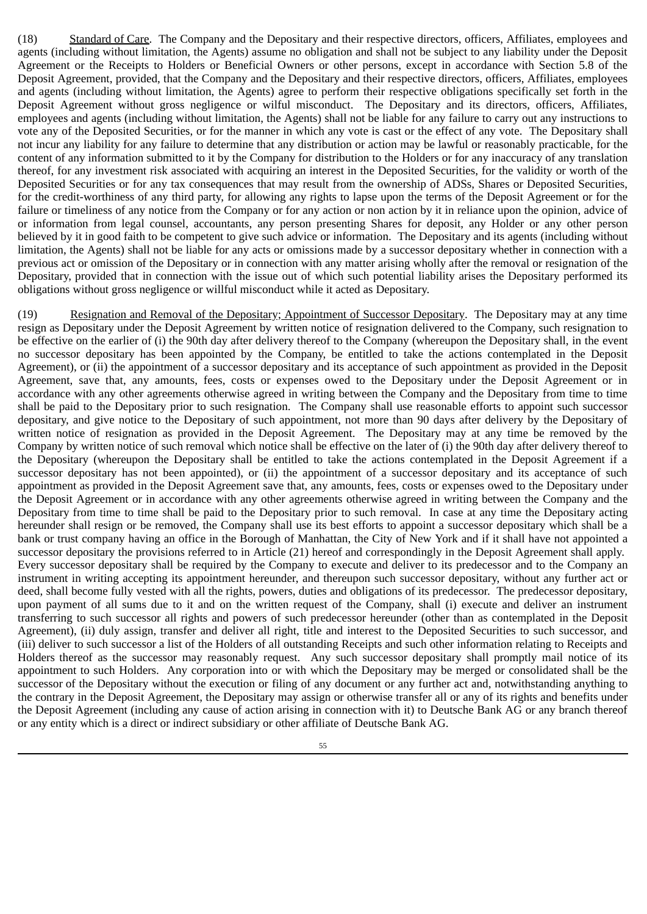(18) Standard of Care. The Company and the Depositary and their respective directors, officers, Affiliates, employees and agents (including without limitation, the Agents) assume no obligation and shall not be subject to any liability under the Deposit Agreement or the Receipts to Holders or Beneficial Owners or other persons, except in accordance with Section 5.8 of the Deposit Agreement, provided, that the Company and the Depositary and their respective directors, officers, Affiliates, employees and agents (including without limitation, the Agents) agree to perform their respective obligations specifically set forth in the Deposit Agreement without gross negligence or wilful misconduct. The Depositary and its directors, officers, Affiliates, employees and agents (including without limitation, the Agents) shall not be liable for any failure to carry out any instructions to vote any of the Deposited Securities, or for the manner in which any vote is cast or the effect of any vote. The Depositary shall not incur any liability for any failure to determine that any distribution or action may be lawful or reasonably practicable, for the content of any information submitted to it by the Company for distribution to the Holders or for any inaccuracy of any translation thereof, for any investment risk associated with acquiring an interest in the Deposited Securities, for the validity or worth of the Deposited Securities or for any tax consequences that may result from the ownership of ADSs, Shares or Deposited Securities, for the credit–worthiness of any third party, for allowing any rights to lapse upon the terms of the Deposit Agreement or for the failure or timeliness of any notice from the Company or for any action or non action by it in reliance upon the opinion, advice of or information from legal counsel, accountants, any person presenting Shares for deposit, any Holder or any other person believed by it in good faith to be competent to give such advice or information. The Depositary and its agents (including without limitation, the Agents) shall not be liable for any acts or omissions made by a successor depositary whether in connection with a previous act or omission of the Depositary or in connection with any matter arising wholly after the removal or resignation of the Depositary, provided that in connection with the issue out of which such potential liability arises the Depositary performed its obligations without gross negligence or willful misconduct while it acted as Depositary.

(19) Resignation and Removal of the Depositary; Appointment of Successor Depositary. The Depositary may at any time resign as Depositary under the Deposit Agreement by written notice of resignation delivered to the Company, such resignation to be effective on the earlier of (i) the 90th day after delivery thereof to the Company (whereupon the Depositary shall, in the event no successor depositary has been appointed by the Company, be entitled to take the actions contemplated in the Deposit Agreement), or (ii) the appointment of a successor depositary and its acceptance of such appointment as provided in the Deposit Agreement, save that, any amounts, fees, costs or expenses owed to the Depositary under the Deposit Agreement or in accordance with any other agreements otherwise agreed in writing between the Company and the Depositary from time to time shall be paid to the Depositary prior to such resignation. The Company shall use reasonable efforts to appoint such successor depositary, and give notice to the Depositary of such appointment, not more than 90 days after delivery by the Depositary of written notice of resignation as provided in the Deposit Agreement. The Depositary may at any time be removed by the Company by written notice of such removal which notice shall be effective on the later of (i) the 90th day after delivery thereof to the Depositary (whereupon the Depositary shall be entitled to take the actions contemplated in the Deposit Agreement if a successor depositary has not been appointed), or (ii) the appointment of a successor depositary and its acceptance of such appointment as provided in the Deposit Agreement save that, any amounts, fees, costs or expenses owed to the Depositary under the Deposit Agreement or in accordance with any other agreements otherwise agreed in writing between the Company and the Depositary from time to time shall be paid to the Depositary prior to such removal. In case at any time the Depositary acting hereunder shall resign or be removed, the Company shall use its best efforts to appoint a successor depositary which shall be a bank or trust company having an office in the Borough of Manhattan, the City of New York and if it shall have not appointed a successor depositary the provisions referred to in Article (21) hereof and correspondingly in the Deposit Agreement shall apply. Every successor depositary shall be required by the Company to execute and deliver to its predecessor and to the Company an instrument in writing accepting its appointment hereunder, and thereupon such successor depositary, without any further act or deed, shall become fully vested with all the rights, powers, duties and obligations of its predecessor. The predecessor depositary, upon payment of all sums due to it and on the written request of the Company, shall (i) execute and deliver an instrument transferring to such successor all rights and powers of such predecessor hereunder (other than as contemplated in the Deposit Agreement), (ii) duly assign, transfer and deliver all right, title and interest to the Deposited Securities to such successor, and (iii) deliver to such successor a list of the Holders of all outstanding Receipts and such other information relating to Receipts and Holders thereof as the successor may reasonably request. Any such successor depositary shall promptly mail notice of its appointment to such Holders. Any corporation into or with which the Depositary may be merged or consolidated shall be the successor of the Depositary without the execution or filing of any document or any further act and, notwithstanding anything to the contrary in the Deposit Agreement, the Depositary may assign or otherwise transfer all or any of its rights and benefits under the Deposit Agreement (including any cause of action arising in connection with it) to Deutsche Bank AG or any branch thereof or any entity which is a direct or indirect subsidiary or other affiliate of Deutsche Bank AG.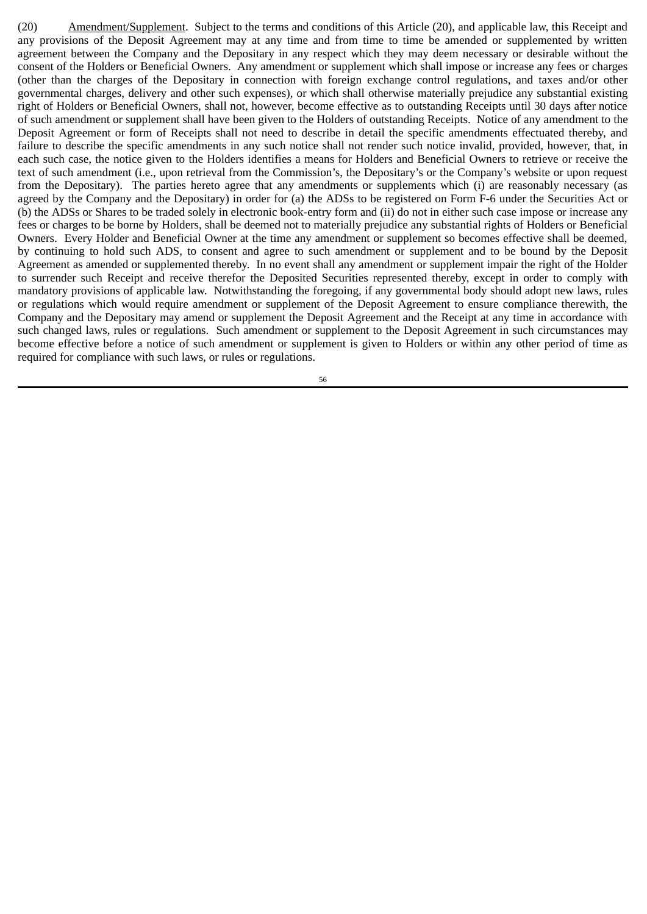(20) Amendment/Supplement. Subject to the terms and conditions of this Article (20), and applicable law, this Receipt and any provisions of the Deposit Agreement may at any time and from time to time be amended or supplemented by written agreement between the Company and the Depositary in any respect which they may deem necessary or desirable without the consent of the Holders or Beneficial Owners. Any amendment or supplement which shall impose or increase any fees or charges (other than the charges of the Depositary in connection with foreign exchange control regulations, and taxes and/or other governmental charges, delivery and other such expenses), or which shall otherwise materially prejudice any substantial existing right of Holders or Beneficial Owners, shall not, however, become effective as to outstanding Receipts until 30 days after notice of such amendment or supplement shall have been given to the Holders of outstanding Receipts. Notice of any amendment to the Deposit Agreement or form of Receipts shall not need to describe in detail the specific amendments effectuated thereby, and failure to describe the specific amendments in any such notice shall not render such notice invalid, provided, however, that, in each such case, the notice given to the Holders identifies a means for Holders and Beneficial Owners to retrieve or receive the text of such amendment (i.e., upon retrieval from the Commission's, the Depositary's or the Company's website or upon request from the Depositary). The parties hereto agree that any amendments or supplements which (i) are reasonably necessary (as agreed by the Company and the Depositary) in order for (a) the ADSs to be registered on Form F‑6 under the Securities Act or (b) the ADSs or Shares to be traded solely in electronic book‑entry form and (ii) do not in either such case impose or increase any fees or charges to be borne by Holders, shall be deemed not to materially prejudice any substantial rights of Holders or Beneficial Owners. Every Holder and Beneficial Owner at the time any amendment or supplement so becomes effective shall be deemed, by continuing to hold such ADS, to consent and agree to such amendment or supplement and to be bound by the Deposit Agreement as amended or supplemented thereby. In no event shall any amendment or supplement impair the right of the Holder to surrender such Receipt and receive therefor the Deposited Securities represented thereby, except in order to comply with mandatory provisions of applicable law. Notwithstanding the foregoing, if any governmental body should adopt new laws, rules or regulations which would require amendment or supplement of the Deposit Agreement to ensure compliance therewith, the Company and the Depositary may amend or supplement the Deposit Agreement and the Receipt at any time in accordance with such changed laws, rules or regulations. Such amendment or supplement to the Deposit Agreement in such circumstances may become effective before a notice of such amendment or supplement is given to Holders or within any other period of time as required for compliance with such laws, or rules or regulations.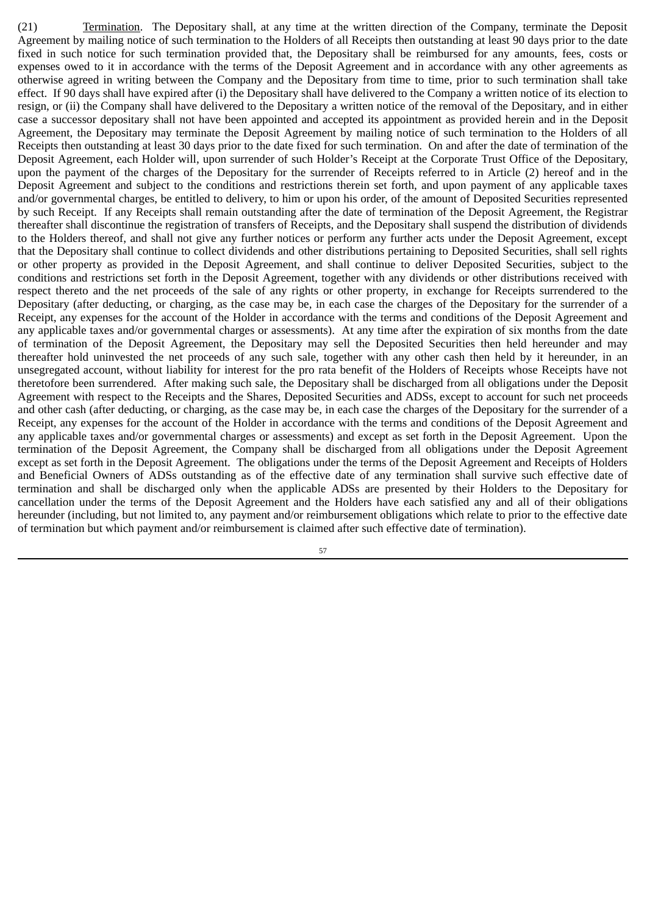(21) Termination. The Depositary shall, at any time at the written direction of the Company, terminate the Deposit Agreement by mailing notice of such termination to the Holders of all Receipts then outstanding at least 90 days prior to the date fixed in such notice for such termination provided that, the Depositary shall be reimbursed for any amounts, fees, costs or expenses owed to it in accordance with the terms of the Deposit Agreement and in accordance with any other agreements as otherwise agreed in writing between the Company and the Depositary from time to time, prior to such termination shall take effect. If 90 days shall have expired after (i) the Depositary shall have delivered to the Company a written notice of its election to resign, or (ii) the Company shall have delivered to the Depositary a written notice of the removal of the Depositary, and in either case a successor depositary shall not have been appointed and accepted its appointment as provided herein and in the Deposit Agreement, the Depositary may terminate the Deposit Agreement by mailing notice of such termination to the Holders of all Receipts then outstanding at least 30 days prior to the date fixed for such termination. On and after the date of termination of the Deposit Agreement, each Holder will, upon surrender of such Holder's Receipt at the Corporate Trust Office of the Depositary, upon the payment of the charges of the Depositary for the surrender of Receipts referred to in Article (2) hereof and in the Deposit Agreement and subject to the conditions and restrictions therein set forth, and upon payment of any applicable taxes and/or governmental charges, be entitled to delivery, to him or upon his order, of the amount of Deposited Securities represented by such Receipt. If any Receipts shall remain outstanding after the date of termination of the Deposit Agreement, the Registrar thereafter shall discontinue the registration of transfers of Receipts, and the Depositary shall suspend the distribution of dividends to the Holders thereof, and shall not give any further notices or perform any further acts under the Deposit Agreement, except that the Depositary shall continue to collect dividends and other distributions pertaining to Deposited Securities, shall sell rights or other property as provided in the Deposit Agreement, and shall continue to deliver Deposited Securities, subject to the conditions and restrictions set forth in the Deposit Agreement, together with any dividends or other distributions received with respect thereto and the net proceeds of the sale of any rights or other property, in exchange for Receipts surrendered to the Depositary (after deducting, or charging, as the case may be, in each case the charges of the Depositary for the surrender of a Receipt, any expenses for the account of the Holder in accordance with the terms and conditions of the Deposit Agreement and any applicable taxes and/or governmental charges or assessments). At any time after the expiration of six months from the date of termination of the Deposit Agreement, the Depositary may sell the Deposited Securities then held hereunder and may thereafter hold uninvested the net proceeds of any such sale, together with any other cash then held by it hereunder, in an unsegregated account, without liability for interest for the pro rata benefit of the Holders of Receipts whose Receipts have not theretofore been surrendered. After making such sale, the Depositary shall be discharged from all obligations under the Deposit Agreement with respect to the Receipts and the Shares, Deposited Securities and ADSs, except to account for such net proceeds and other cash (after deducting, or charging, as the case may be, in each case the charges of the Depositary for the surrender of a Receipt, any expenses for the account of the Holder in accordance with the terms and conditions of the Deposit Agreement and any applicable taxes and/or governmental charges or assessments) and except as set forth in the Deposit Agreement. Upon the termination of the Deposit Agreement, the Company shall be discharged from all obligations under the Deposit Agreement except as set forth in the Deposit Agreement. The obligations under the terms of the Deposit Agreement and Receipts of Holders and Beneficial Owners of ADSs outstanding as of the effective date of any termination shall survive such effective date of termination and shall be discharged only when the applicable ADSs are presented by their Holders to the Depositary for cancellation under the terms of the Deposit Agreement and the Holders have each satisfied any and all of their obligations hereunder (including, but not limited to, any payment and/or reimbursement obligations which relate to prior to the effective date of termination but which payment and/or reimbursement is claimed after such effective date of termination).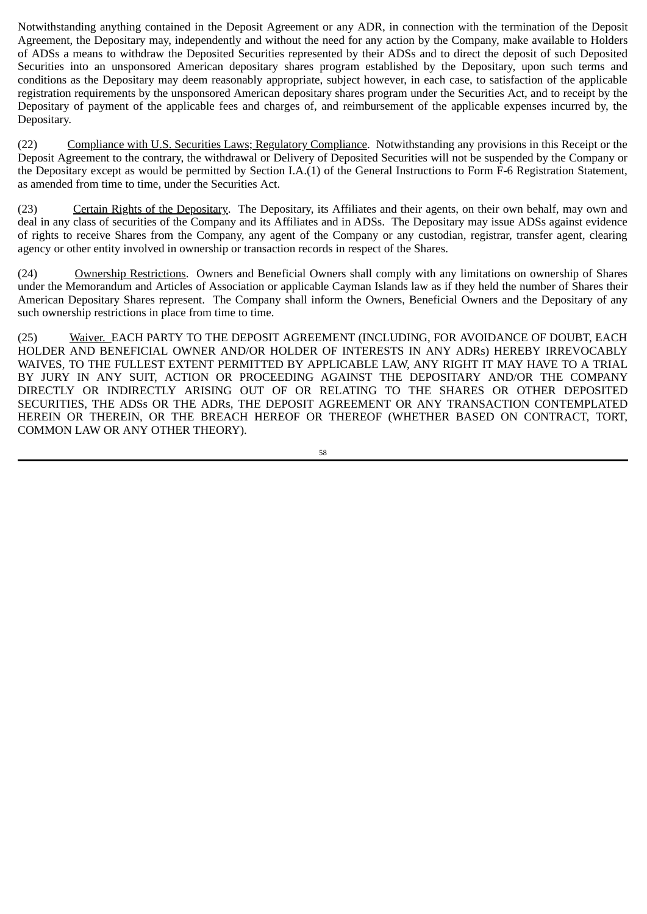Notwithstanding anything contained in the Deposit Agreement or any ADR, in connection with the termination of the Deposit Agreement, the Depositary may, independently and without the need for any action by the Company, make available to Holders of ADSs a means to withdraw the Deposited Securities represented by their ADSs and to direct the deposit of such Deposited Securities into an unsponsored American depositary shares program established by the Depositary, upon such terms and conditions as the Depositary may deem reasonably appropriate, subject however, in each case, to satisfaction of the applicable registration requirements by the unsponsored American depositary shares program under the Securities Act, and to receipt by the Depositary of payment of the applicable fees and charges of, and reimbursement of the applicable expenses incurred by, the Depositary.

(22) Compliance with U.S. Securities Laws; Regulatory Compliance. Notwithstanding any provisions in this Receipt or the Deposit Agreement to the contrary, the withdrawal or Delivery of Deposited Securities will not be suspended by the Company or the Depositary except as would be permitted by Section I.A.(1) of the General Instructions to Form F‑6 Registration Statement, as amended from time to time, under the Securities Act.

(23) Certain Rights of the Depositary. The Depositary, its Affiliates and their agents, on their own behalf, may own and deal in any class of securities of the Company and its Affiliates and in ADSs. The Depositary may issue ADSs against evidence of rights to receive Shares from the Company, any agent of the Company or any custodian, registrar, transfer agent, clearing agency or other entity involved in ownership or transaction records in respect of the Shares.

(24) Ownership Restrictions. Owners and Beneficial Owners shall comply with any limitations on ownership of Shares under the Memorandum and Articles of Association or applicable Cayman Islands law as if they held the number of Shares their American Depositary Shares represent. The Company shall inform the Owners, Beneficial Owners and the Depositary of any such ownership restrictions in place from time to time.

(25) Waiver. EACH PARTY TO THE DEPOSIT AGREEMENT (INCLUDING, FOR AVOIDANCE OF DOUBT, EACH HOLDER AND BENEFICIAL OWNER AND/OR HOLDER OF INTERESTS IN ANY ADRs) HEREBY IRREVOCABLY WAIVES, TO THE FULLEST EXTENT PERMITTED BY APPLICABLE LAW, ANY RIGHT IT MAY HAVE TO A TRIAL BY JURY IN ANY SUIT, ACTION OR PROCEEDING AGAINST THE DEPOSITARY AND/OR THE COMPANY DIRECTLY OR INDIRECTLY ARISING OUT OF OR RELATING TO THE SHARES OR OTHER DEPOSITED SECURITIES, THE ADSs OR THE ADRs, THE DEPOSIT AGREEMENT OR ANY TRANSACTION CONTEMPLATED HEREIN OR THEREIN, OR THE BREACH HEREOF OR THEREOF (WHETHER BASED ON CONTRACT, TORT, COMMON LAW OR ANY OTHER THEORY).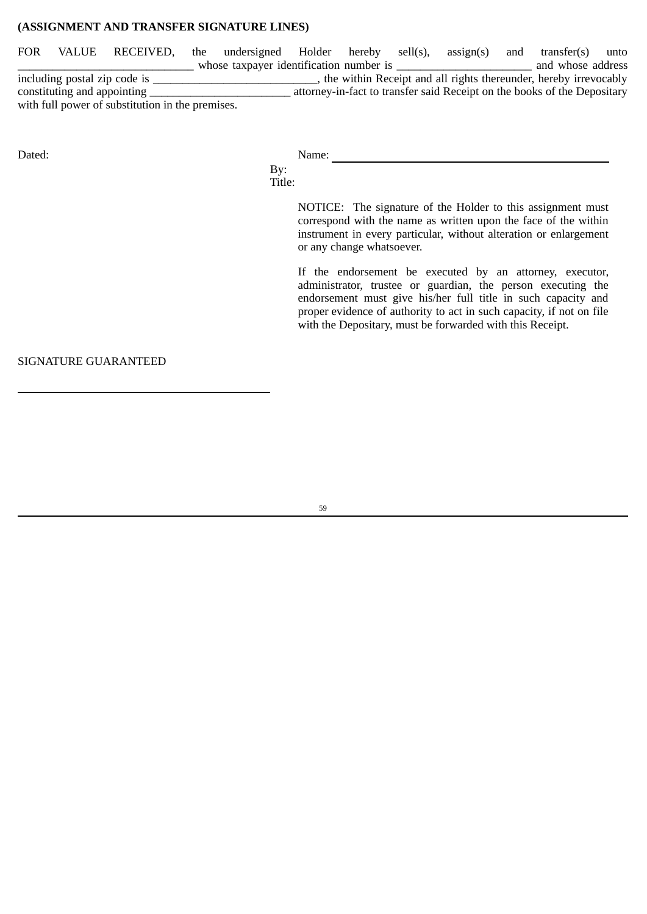## **(ASSIGNMENT AND TRANSFER SIGNATURE LINES)**

FOR VALUE RECEIVED, the undersigned Holder hereby sell(s), assign(s) and transfer(s) unto \_\_\_\_\_\_\_\_\_\_\_\_\_\_\_\_\_\_\_\_\_\_\_\_\_\_\_\_\_\_ whose taxpayer identification number is \_\_\_\_\_\_\_\_\_\_\_\_\_\_\_\_\_\_\_\_\_\_\_ and whose address including postal zip code is \_\_\_\_\_\_\_\_\_\_\_\_\_\_\_\_\_\_\_\_\_\_\_\_\_\_\_\_\_\_, the within Receipt and all rights thereunder, hereby irrevocably constituting and appointing \_\_\_\_\_\_\_\_\_\_\_\_\_\_\_\_\_\_\_\_\_\_\_\_ attorney‑in‑fact to transfer said Receipt on the books of the Depositary with full power of substitution in the premises.

Dated: Name:

By: Title:

> NOTICE: The signature of the Holder to this assignment must correspond with the name as written upon the face of the within instrument in every particular, without alteration or enlargement or any change whatsoever.

If the endorsement be executed by an attorney, executor, administrator, trustee or guardian, the person executing the endorsement must give his/her full title in such capacity and proper evidence of authority to act in such capacity, if not on file with the Depositary, must be forwarded with this Receipt.

SIGNATURE GUARANTEED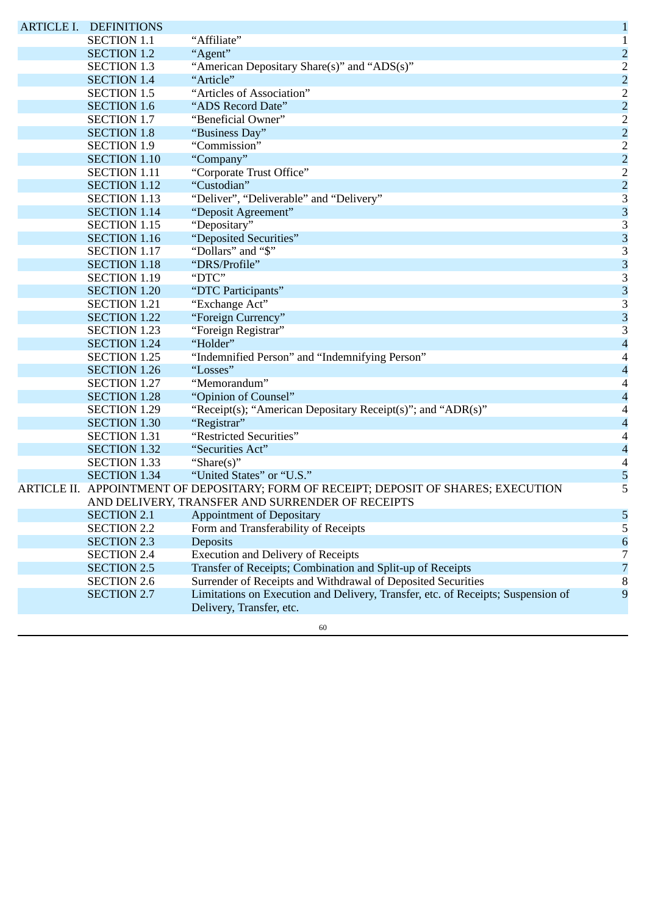|  | <b>ARTICLE I. DEFINITIONS</b> |                                                                                                              | $\mathbf{1}$             |
|--|-------------------------------|--------------------------------------------------------------------------------------------------------------|--------------------------|
|  | <b>SECTION 1.1</b>            | "Affiliate"                                                                                                  | $\mathbf{1}$             |
|  | <b>SECTION 1.2</b>            | "Agent"                                                                                                      | $\overline{c}$           |
|  | <b>SECTION 1.3</b>            | "American Depositary Share(s)" and "ADS(s)"                                                                  | $\overline{2}$           |
|  | <b>SECTION 1.4</b>            | "Article"                                                                                                    | $\overline{a}$           |
|  | <b>SECTION 1.5</b>            | "Articles of Association"                                                                                    | $\overline{2}$           |
|  | <b>SECTION 1.6</b>            | "ADS Record Date"                                                                                            | $\overline{a}$           |
|  | <b>SECTION 1.7</b>            | "Beneficial Owner"                                                                                           | $\overline{2}$           |
|  | <b>SECTION 1.8</b>            | "Business Day"                                                                                               | $\overline{a}$           |
|  | <b>SECTION 1.9</b>            | "Commission"                                                                                                 | $\overline{2}$           |
|  | <b>SECTION 1.10</b>           | "Company"                                                                                                    | $\overline{a}$           |
|  | <b>SECTION 1.11</b>           | "Corporate Trust Office"                                                                                     | $\overline{2}$           |
|  | <b>SECTION 1.12</b>           | "Custodian"                                                                                                  | $\overline{c}$           |
|  | <b>SECTION 1.13</b>           | "Deliver", "Deliverable" and "Delivery"                                                                      | 3                        |
|  | <b>SECTION 1.14</b>           | "Deposit Agreement"                                                                                          | 3                        |
|  | <b>SECTION 1.15</b>           | "Depositary"                                                                                                 | 3                        |
|  | <b>SECTION 1.16</b>           | "Deposited Securities"                                                                                       | 3                        |
|  | <b>SECTION 1.17</b>           | "Dollars" and "\$"                                                                                           | 3                        |
|  | <b>SECTION 1.18</b>           | "DRS/Profile"                                                                                                | 3                        |
|  | <b>SECTION 1.19</b>           | "DTC"                                                                                                        | 3                        |
|  | <b>SECTION 1.20</b>           | "DTC Participants"                                                                                           | 3                        |
|  | <b>SECTION 1.21</b>           | "Exchange Act"                                                                                               | 3                        |
|  | <b>SECTION 1.22</b>           | "Foreign Currency"                                                                                           | 3                        |
|  | <b>SECTION 1.23</b>           | "Foreign Registrar"                                                                                          | 3                        |
|  | <b>SECTION 1.24</b>           | "Holder"                                                                                                     | $\overline{\mathcal{A}}$ |
|  | <b>SECTION 1.25</b>           | "Indemnified Person" and "Indemnifying Person"                                                               | 4                        |
|  | <b>SECTION 1.26</b>           | "Losses"                                                                                                     | $\overline{\mathcal{A}}$ |
|  | <b>SECTION 1.27</b>           | "Memorandum"                                                                                                 | 4                        |
|  | <b>SECTION 1.28</b>           | "Opinion of Counsel"                                                                                         | $\overline{\mathcal{A}}$ |
|  | <b>SECTION 1.29</b>           | "Receipt(s); "American Depositary Receipt(s)"; and "ADR(s)"                                                  | 4                        |
|  | <b>SECTION 1.30</b>           | "Registrar"                                                                                                  | $\overline{\mathcal{A}}$ |
|  | <b>SECTION 1.31</b>           | "Restricted Securities"                                                                                      | 4                        |
|  | <b>SECTION 1.32</b>           | "Securities Act"                                                                                             | $\overline{\mathcal{A}}$ |
|  | <b>SECTION 1.33</b>           | "Share $(s)$ "                                                                                               | $\overline{\mathcal{A}}$ |
|  | <b>SECTION 1.34</b>           | "United States" or "U.S."                                                                                    | 5                        |
|  |                               | ARTICLE II. APPOINTMENT OF DEPOSITARY; FORM OF RECEIPT; DEPOSIT OF SHARES; EXECUTION                         | 5                        |
|  |                               | AND DELIVERY, TRANSFER AND SURRENDER OF RECEIPTS                                                             |                          |
|  | <b>SECTION 2.1</b>            | <b>Appointment of Depositary</b>                                                                             | 5                        |
|  | <b>SECTION 2.2</b>            | Form and Transferability of Receipts                                                                         | 5                        |
|  | <b>SECTION 2.3</b>            | Deposits                                                                                                     | 6                        |
|  | <b>SECTION 2.4</b>            | <b>Execution and Delivery of Receipts</b>                                                                    | 7                        |
|  | <b>SECTION 2.5</b>            | Transfer of Receipts; Combination and Split-up of Receipts                                                   | 7                        |
|  | <b>SECTION 2.6</b>            | Surrender of Receipts and Withdrawal of Deposited Securities                                                 | 8                        |
|  | <b>SECTION 2.7</b>            | Limitations on Execution and Delivery, Transfer, etc. of Receipts; Suspension of<br>Delivery, Transfer, etc. | 9                        |
|  |                               | 60                                                                                                           |                          |
|  |                               |                                                                                                              |                          |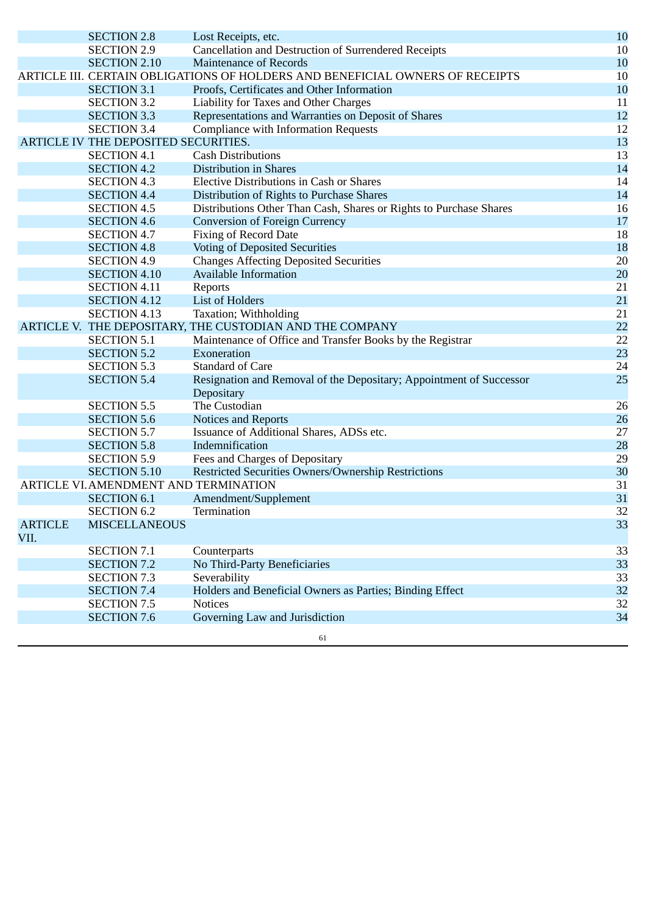|                        | <b>SECTION 2.8</b>                    | Lost Receipts, etc.                                                           | 10 |
|------------------------|---------------------------------------|-------------------------------------------------------------------------------|----|
|                        | <b>SECTION 2.9</b>                    | Cancellation and Destruction of Surrendered Receipts                          | 10 |
|                        | <b>SECTION 2.10</b>                   | <b>Maintenance of Records</b>                                                 | 10 |
|                        |                                       | ARTICLE III. CERTAIN OBLIGATIONS OF HOLDERS AND BENEFICIAL OWNERS OF RECEIPTS | 10 |
|                        | <b>SECTION 3.1</b>                    | Proofs, Certificates and Other Information                                    | 10 |
|                        | <b>SECTION 3.2</b>                    | Liability for Taxes and Other Charges                                         | 11 |
|                        | <b>SECTION 3.3</b>                    | Representations and Warranties on Deposit of Shares                           | 12 |
|                        | <b>SECTION 3.4</b>                    | <b>Compliance with Information Requests</b>                                   | 12 |
|                        | ARTICLE IV THE DEPOSITED SECURITIES.  |                                                                               | 13 |
|                        | <b>SECTION 4.1</b>                    | <b>Cash Distributions</b>                                                     | 13 |
|                        | <b>SECTION 4.2</b>                    | <b>Distribution in Shares</b>                                                 | 14 |
|                        | <b>SECTION 4.3</b>                    | <b>Elective Distributions in Cash or Shares</b>                               | 14 |
|                        | <b>SECTION 4.4</b>                    | Distribution of Rights to Purchase Shares                                     | 14 |
|                        | <b>SECTION 4.5</b>                    | Distributions Other Than Cash, Shares or Rights to Purchase Shares            | 16 |
|                        | <b>SECTION 4.6</b>                    | <b>Conversion of Foreign Currency</b>                                         | 17 |
|                        | <b>SECTION 4.7</b>                    | <b>Fixing of Record Date</b>                                                  | 18 |
|                        | <b>SECTION 4.8</b>                    | <b>Voting of Deposited Securities</b>                                         | 18 |
|                        | <b>SECTION 4.9</b>                    | <b>Changes Affecting Deposited Securities</b>                                 | 20 |
|                        | <b>SECTION 4.10</b>                   | <b>Available Information</b>                                                  | 20 |
|                        | <b>SECTION 4.11</b>                   | Reports                                                                       | 21 |
|                        | <b>SECTION 4.12</b>                   | <b>List of Holders</b>                                                        | 21 |
|                        | <b>SECTION 4.13</b>                   | Taxation; Withholding                                                         | 21 |
|                        |                                       | ARTICLE V. THE DEPOSITARY, THE CUSTODIAN AND THE COMPANY                      | 22 |
|                        | <b>SECTION 5.1</b>                    | Maintenance of Office and Transfer Books by the Registrar                     | 22 |
|                        | <b>SECTION 5.2</b>                    | Exoneration                                                                   | 23 |
|                        | <b>SECTION 5.3</b>                    | <b>Standard of Care</b>                                                       | 24 |
|                        | <b>SECTION 5.4</b>                    | Resignation and Removal of the Depositary; Appointment of Successor           | 25 |
|                        |                                       | Depositary                                                                    |    |
|                        | <b>SECTION 5.5</b>                    | The Custodian                                                                 | 26 |
|                        | <b>SECTION 5.6</b>                    | Notices and Reports                                                           | 26 |
|                        | <b>SECTION 5.7</b>                    | Issuance of Additional Shares, ADSs etc.                                      | 27 |
|                        | <b>SECTION 5.8</b>                    | Indemnification                                                               | 28 |
|                        | <b>SECTION 5.9</b>                    | Fees and Charges of Depositary                                                | 29 |
|                        | <b>SECTION 5.10</b>                   | Restricted Securities Owners/Ownership Restrictions                           | 30 |
|                        | ARTICLE VI. AMENDMENT AND TERMINATION |                                                                               | 31 |
|                        | <b>SECTION 6.1</b>                    | Amendment/Supplement                                                          | 31 |
|                        | <b>SECTION 6.2</b>                    | Termination                                                                   | 32 |
| <b>ARTICLE</b><br>VII. | <b>MISCELLANEOUS</b>                  |                                                                               | 33 |
|                        | <b>SECTION 7.1</b>                    | Counterparts                                                                  | 33 |
|                        | <b>SECTION 7.2</b>                    | No Third-Party Beneficiaries                                                  | 33 |
|                        | <b>SECTION 7.3</b>                    | Severability                                                                  | 33 |
|                        | <b>SECTION 7.4</b>                    | Holders and Beneficial Owners as Parties; Binding Effect                      | 32 |
|                        | <b>SECTION 7.5</b>                    | <b>Notices</b>                                                                | 32 |
|                        | <b>SECTION 7.6</b>                    | Governing Law and Jurisdiction                                                | 34 |
|                        |                                       | 61                                                                            |    |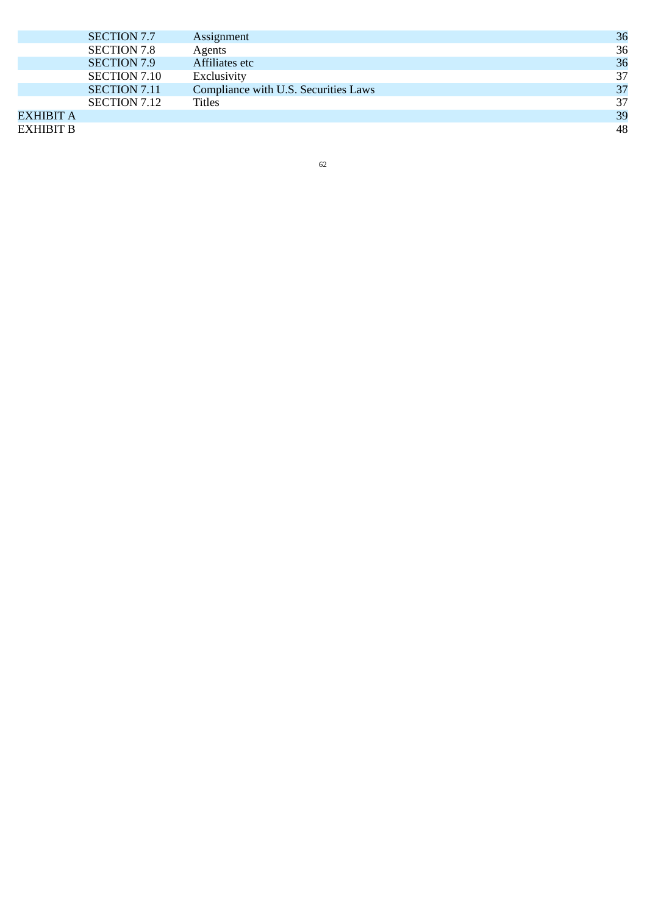|           | SECTION 7.7         | Assignment                           | 36 |
|-----------|---------------------|--------------------------------------|----|
|           | <b>SECTION 7.8</b>  | Agents                               | 36 |
|           | <b>SECTION 7.9</b>  | Affiliates etc                       | 36 |
|           | SECTION 7.10        | Exclusivity                          | 37 |
|           | <b>SECTION 7.11</b> | Compliance with U.S. Securities Laws | 37 |
|           | SECTION 7.12        | <b>Titles</b>                        | 37 |
| EXHIBIT A |                     |                                      | 39 |
| EXHIBIT B |                     |                                      | 48 |

62